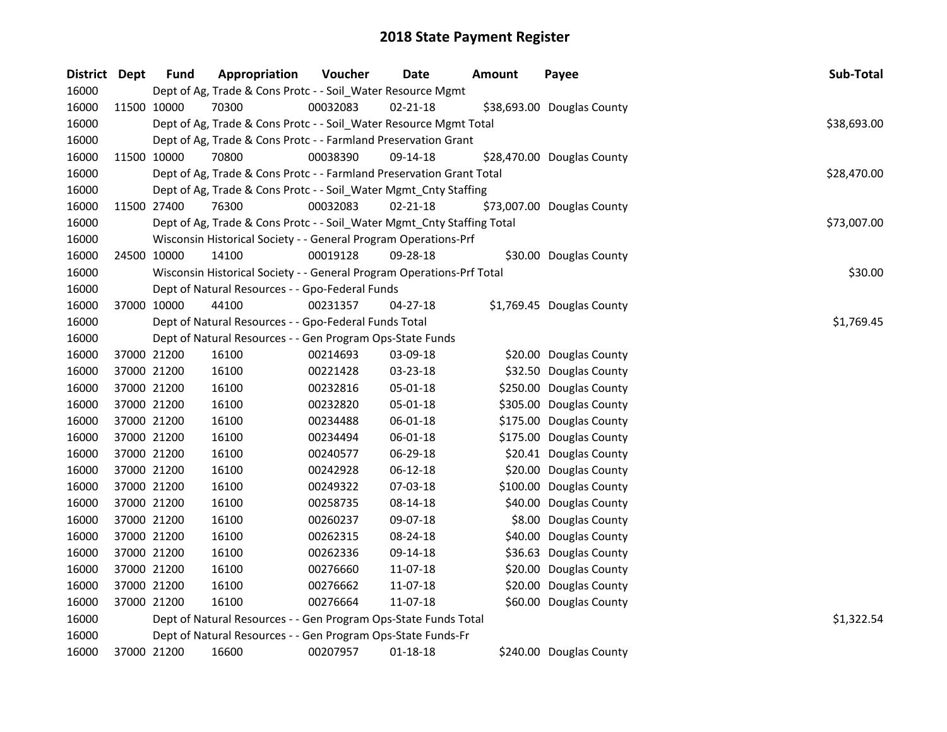| District Dept |             | <b>Fund</b> | Appropriation                                                          | Voucher  | <b>Date</b>    | <b>Amount</b> | Payee                      | Sub-Total   |
|---------------|-------------|-------------|------------------------------------------------------------------------|----------|----------------|---------------|----------------------------|-------------|
| 16000         |             |             | Dept of Ag, Trade & Cons Protc - - Soil_Water Resource Mgmt            |          |                |               |                            |             |
| 16000         |             | 11500 10000 | 70300                                                                  | 00032083 | $02 - 21 - 18$ |               | \$38,693.00 Douglas County |             |
| 16000         |             |             | Dept of Ag, Trade & Cons Protc - - Soil_Water Resource Mgmt Total      |          |                |               |                            | \$38,693.00 |
| 16000         |             |             | Dept of Ag, Trade & Cons Protc - - Farmland Preservation Grant         |          |                |               |                            |             |
| 16000         |             | 11500 10000 | 70800                                                                  | 00038390 | 09-14-18       |               | \$28,470.00 Douglas County |             |
| 16000         |             |             | Dept of Ag, Trade & Cons Protc - - Farmland Preservation Grant Total   |          |                |               |                            | \$28,470.00 |
| 16000         |             |             | Dept of Ag, Trade & Cons Protc - - Soil_Water Mgmt_Cnty Staffing       |          |                |               |                            |             |
| 16000         |             | 11500 27400 | 76300                                                                  | 00032083 | $02 - 21 - 18$ |               | \$73,007.00 Douglas County |             |
| 16000         |             |             | Dept of Ag, Trade & Cons Protc - - Soil_Water Mgmt_Cnty Staffing Total |          |                |               |                            | \$73,007.00 |
| 16000         |             |             | Wisconsin Historical Society - - General Program Operations-Prf        |          |                |               |                            |             |
| 16000         |             | 24500 10000 | 14100                                                                  | 00019128 | 09-28-18       |               | \$30.00 Douglas County     |             |
| 16000         |             |             | Wisconsin Historical Society - - General Program Operations-Prf Total  |          |                |               |                            | \$30.00     |
| 16000         |             |             | Dept of Natural Resources - - Gpo-Federal Funds                        |          |                |               |                            |             |
| 16000         | 37000 10000 |             | 44100                                                                  | 00231357 | 04-27-18       |               | \$1,769.45 Douglas County  |             |
| 16000         |             |             | Dept of Natural Resources - - Gpo-Federal Funds Total                  |          |                |               |                            | \$1,769.45  |
| 16000         |             |             | Dept of Natural Resources - - Gen Program Ops-State Funds              |          |                |               |                            |             |
| 16000         |             | 37000 21200 | 16100                                                                  | 00214693 | 03-09-18       |               | \$20.00 Douglas County     |             |
| 16000         |             | 37000 21200 | 16100                                                                  | 00221428 | 03-23-18       |               | \$32.50 Douglas County     |             |
| 16000         |             | 37000 21200 | 16100                                                                  | 00232816 | 05-01-18       |               | \$250.00 Douglas County    |             |
| 16000         |             | 37000 21200 | 16100                                                                  | 00232820 | 05-01-18       |               | \$305.00 Douglas County    |             |
| 16000         |             | 37000 21200 | 16100                                                                  | 00234488 | 06-01-18       |               | \$175.00 Douglas County    |             |
| 16000         |             | 37000 21200 | 16100                                                                  | 00234494 | 06-01-18       |               | \$175.00 Douglas County    |             |
| 16000         |             | 37000 21200 | 16100                                                                  | 00240577 | 06-29-18       |               | \$20.41 Douglas County     |             |
| 16000         |             | 37000 21200 | 16100                                                                  | 00242928 | 06-12-18       |               | \$20.00 Douglas County     |             |
| 16000         |             | 37000 21200 | 16100                                                                  | 00249322 | 07-03-18       |               | \$100.00 Douglas County    |             |
| 16000         |             | 37000 21200 | 16100                                                                  | 00258735 | 08-14-18       |               | \$40.00 Douglas County     |             |
| 16000         |             | 37000 21200 | 16100                                                                  | 00260237 | 09-07-18       |               | \$8.00 Douglas County      |             |
| 16000         |             | 37000 21200 | 16100                                                                  | 00262315 | 08-24-18       |               | \$40.00 Douglas County     |             |
| 16000         |             | 37000 21200 | 16100                                                                  | 00262336 | 09-14-18       |               | \$36.63 Douglas County     |             |
| 16000         |             | 37000 21200 | 16100                                                                  | 00276660 | 11-07-18       |               | \$20.00 Douglas County     |             |
| 16000         |             | 37000 21200 | 16100                                                                  | 00276662 | 11-07-18       |               | \$20.00 Douglas County     |             |
| 16000         |             | 37000 21200 | 16100                                                                  | 00276664 | 11-07-18       |               | \$60.00 Douglas County     |             |
| 16000         |             |             | Dept of Natural Resources - - Gen Program Ops-State Funds Total        |          |                |               |                            | \$1,322.54  |
| 16000         |             |             | Dept of Natural Resources - - Gen Program Ops-State Funds-Fr           |          |                |               |                            |             |
| 16000         |             | 37000 21200 | 16600                                                                  | 00207957 | 01-18-18       |               | \$240.00 Douglas County    |             |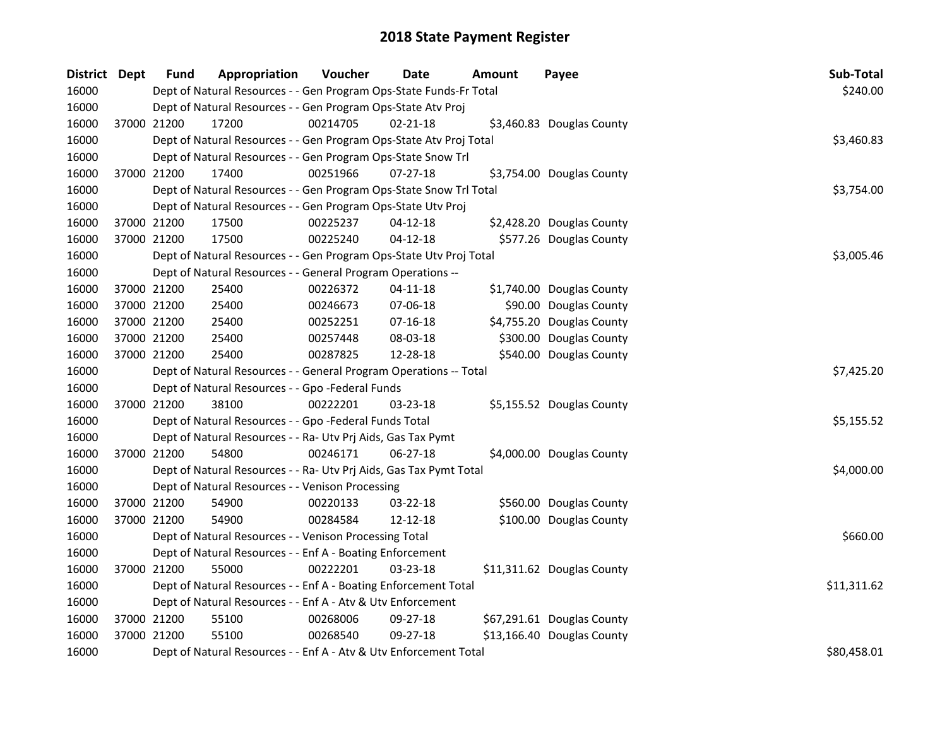| <b>District</b> | <b>Dept</b> | Fund        | Appropriation                                                      | Voucher     | <b>Date</b>    | Amount | Payee                      | Sub-Total   |
|-----------------|-------------|-------------|--------------------------------------------------------------------|-------------|----------------|--------|----------------------------|-------------|
| 16000           |             |             | Dept of Natural Resources - - Gen Program Ops-State Funds-Fr Total |             |                |        |                            | \$240.00    |
| 16000           |             |             | Dept of Natural Resources - - Gen Program Ops-State Atv Proj       |             |                |        |                            |             |
| 16000           |             | 37000 21200 | 17200                                                              | 00214705    | $02 - 21 - 18$ |        | \$3,460.83 Douglas County  |             |
| 16000           |             |             | Dept of Natural Resources - - Gen Program Ops-State Atv Proj Total |             |                |        |                            | \$3,460.83  |
| 16000           |             |             | Dept of Natural Resources - - Gen Program Ops-State Snow Trl       |             |                |        |                            |             |
| 16000           |             | 37000 21200 | 17400                                                              | 00251966    | $07 - 27 - 18$ |        | \$3,754.00 Douglas County  |             |
| 16000           |             |             | Dept of Natural Resources - - Gen Program Ops-State Snow Trl Total |             |                |        |                            | \$3,754.00  |
| 16000           |             |             | Dept of Natural Resources - - Gen Program Ops-State Utv Proj       |             |                |        |                            |             |
| 16000           |             | 37000 21200 | 17500                                                              | 00225237    | $04 - 12 - 18$ |        | \$2,428.20 Douglas County  |             |
| 16000           |             | 37000 21200 | 17500                                                              | 00225240    | $04 - 12 - 18$ |        | \$577.26 Douglas County    |             |
| 16000           |             |             | Dept of Natural Resources - - Gen Program Ops-State Utv Proj Total |             |                |        |                            | \$3,005.46  |
| 16000           |             |             | Dept of Natural Resources - - General Program Operations --        |             |                |        |                            |             |
| 16000           |             | 37000 21200 | 25400                                                              | 00226372    | $04 - 11 - 18$ |        | \$1,740.00 Douglas County  |             |
| 16000           |             | 37000 21200 | 25400                                                              | 00246673    | 07-06-18       |        | \$90.00 Douglas County     |             |
| 16000           |             | 37000 21200 | 25400                                                              | 00252251    | $07 - 16 - 18$ |        | \$4,755.20 Douglas County  |             |
| 16000           |             | 37000 21200 | 25400                                                              | 00257448    | 08-03-18       |        | \$300.00 Douglas County    |             |
| 16000           |             | 37000 21200 | 25400                                                              | 00287825    | 12-28-18       |        | \$540.00 Douglas County    |             |
| 16000           |             |             | Dept of Natural Resources - - General Program Operations -- Total  |             |                |        |                            | \$7,425.20  |
| 16000           |             |             | Dept of Natural Resources - - Gpo -Federal Funds                   |             |                |        |                            |             |
| 16000           |             | 37000 21200 | 38100                                                              | 00222201    | 03-23-18       |        | \$5,155.52 Douglas County  |             |
| 16000           |             |             | Dept of Natural Resources - - Gpo -Federal Funds Total             |             |                |        |                            | \$5,155.52  |
| 16000           |             |             | Dept of Natural Resources - - Ra- Utv Prj Aids, Gas Tax Pymt       |             |                |        |                            |             |
| 16000           |             | 37000 21200 | 54800                                                              | 00246171    | 06-27-18       |        | \$4,000.00 Douglas County  |             |
| 16000           |             |             | Dept of Natural Resources - - Ra- Utv Prj Aids, Gas Tax Pymt Total |             |                |        |                            | \$4,000.00  |
| 16000           |             |             | Dept of Natural Resources - - Venison Processing                   |             |                |        |                            |             |
| 16000           |             | 37000 21200 | 54900                                                              | 00220133    | 03-22-18       |        | \$560.00 Douglas County    |             |
| 16000           |             | 37000 21200 | 54900                                                              | 00284584    | 12-12-18       |        | \$100.00 Douglas County    |             |
| 16000           |             |             | Dept of Natural Resources - - Venison Processing Total             |             |                |        |                            | \$660.00    |
| 16000           |             |             | Dept of Natural Resources - - Enf A - Boating Enforcement          |             |                |        |                            |             |
| 16000           |             | 37000 21200 | 55000                                                              | 00222201    | 03-23-18       |        | \$11,311.62 Douglas County |             |
| 16000           |             |             | Dept of Natural Resources - - Enf A - Boating Enforcement Total    |             |                |        |                            | \$11,311.62 |
| 16000           |             |             | Dept of Natural Resources - - Enf A - Atv & Utv Enforcement        |             |                |        |                            |             |
| 16000           |             | 37000 21200 | 55100                                                              | 00268006    | 09-27-18       |        | \$67,291.61 Douglas County |             |
| 16000           |             | 37000 21200 | 55100                                                              | 00268540    | 09-27-18       |        | \$13,166.40 Douglas County |             |
| 16000           |             |             | Dept of Natural Resources - - Enf A - Atv & Utv Enforcement Total  | \$80,458.01 |                |        |                            |             |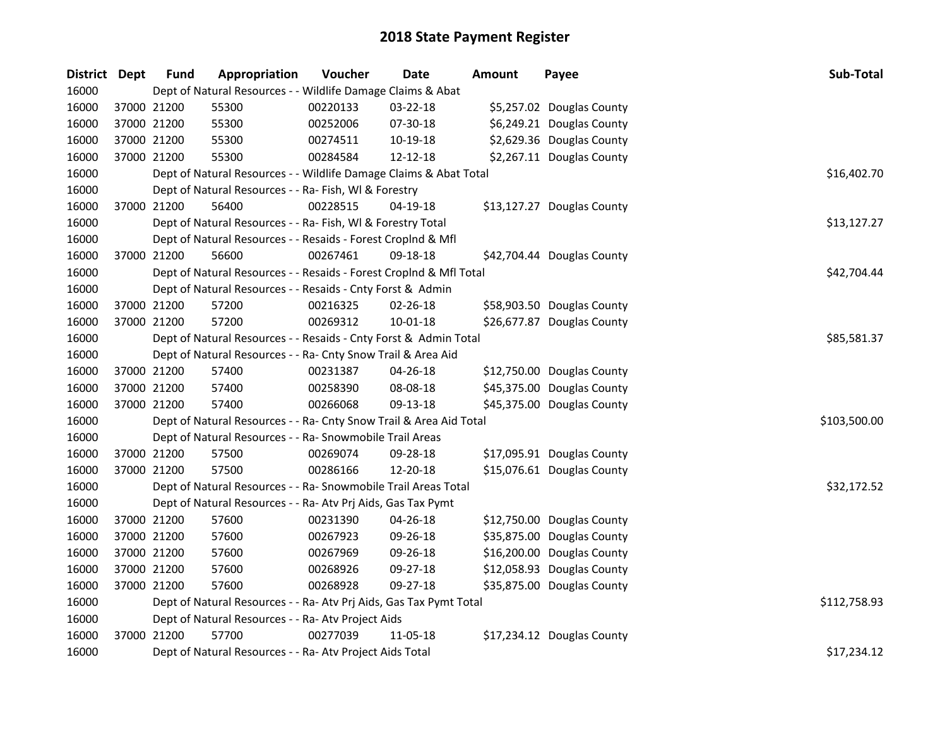| District Dept |             | <b>Fund</b> | Appropriation                                                      | Voucher  | Date        | Amount | Payee                      | Sub-Total    |
|---------------|-------------|-------------|--------------------------------------------------------------------|----------|-------------|--------|----------------------------|--------------|
| 16000         |             |             | Dept of Natural Resources - - Wildlife Damage Claims & Abat        |          |             |        |                            |              |
| 16000         |             | 37000 21200 | 55300                                                              | 00220133 | 03-22-18    |        | \$5,257.02 Douglas County  |              |
| 16000         |             | 37000 21200 | 55300                                                              | 00252006 | 07-30-18    |        | \$6,249.21 Douglas County  |              |
| 16000         |             | 37000 21200 | 55300                                                              | 00274511 | 10-19-18    |        | \$2,629.36 Douglas County  |              |
| 16000         |             | 37000 21200 | 55300                                                              | 00284584 | 12-12-18    |        | \$2,267.11 Douglas County  |              |
| 16000         |             |             | Dept of Natural Resources - - Wildlife Damage Claims & Abat Total  |          |             |        |                            | \$16,402.70  |
| 16000         |             |             | Dept of Natural Resources - - Ra- Fish, WI & Forestry              |          |             |        |                            |              |
| 16000         |             | 37000 21200 | 56400                                                              | 00228515 | $04-19-18$  |        | \$13,127.27 Douglas County |              |
| 16000         |             |             | Dept of Natural Resources - - Ra- Fish, WI & Forestry Total        |          |             |        |                            | \$13,127.27  |
| 16000         |             |             | Dept of Natural Resources - - Resaids - Forest Croplnd & Mfl       |          |             |        |                            |              |
| 16000         |             | 37000 21200 | 56600                                                              | 00267461 | 09-18-18    |        | \$42,704.44 Douglas County |              |
| 16000         |             |             | Dept of Natural Resources - - Resaids - Forest Croplnd & Mfl Total |          |             |        |                            | \$42,704.44  |
| 16000         |             |             | Dept of Natural Resources - - Resaids - Cnty Forst & Admin         |          |             |        |                            |              |
| 16000         |             | 37000 21200 | 57200                                                              | 00216325 | 02-26-18    |        | \$58,903.50 Douglas County |              |
| 16000         | 37000 21200 |             | 57200                                                              | 00269312 | 10-01-18    |        | \$26,677.87 Douglas County |              |
| 16000         |             |             | Dept of Natural Resources - - Resaids - Cnty Forst & Admin Total   |          | \$85,581.37 |        |                            |              |
| 16000         |             |             | Dept of Natural Resources - - Ra- Cnty Snow Trail & Area Aid       |          |             |        |                            |              |
| 16000         |             | 37000 21200 | 57400                                                              | 00231387 | 04-26-18    |        | \$12,750.00 Douglas County |              |
| 16000         |             | 37000 21200 | 57400                                                              | 00258390 | 08-08-18    |        | \$45,375.00 Douglas County |              |
| 16000         |             | 37000 21200 | 57400                                                              | 00266068 | 09-13-18    |        | \$45,375.00 Douglas County |              |
| 16000         |             |             | Dept of Natural Resources - - Ra- Cnty Snow Trail & Area Aid Total |          |             |        |                            | \$103,500.00 |
| 16000         |             |             | Dept of Natural Resources - - Ra- Snowmobile Trail Areas           |          |             |        |                            |              |
| 16000         |             | 37000 21200 | 57500                                                              | 00269074 | 09-28-18    |        | \$17,095.91 Douglas County |              |
| 16000         |             | 37000 21200 | 57500                                                              | 00286166 | 12-20-18    |        | \$15,076.61 Douglas County |              |
| 16000         |             |             | Dept of Natural Resources - - Ra- Snowmobile Trail Areas Total     |          |             |        |                            | \$32,172.52  |
| 16000         |             |             | Dept of Natural Resources - - Ra- Atv Prj Aids, Gas Tax Pymt       |          |             |        |                            |              |
| 16000         |             | 37000 21200 | 57600                                                              | 00231390 | 04-26-18    |        | \$12,750.00 Douglas County |              |
| 16000         |             | 37000 21200 | 57600                                                              | 00267923 | 09-26-18    |        | \$35,875.00 Douglas County |              |
| 16000         |             | 37000 21200 | 57600                                                              | 00267969 | 09-26-18    |        | \$16,200.00 Douglas County |              |
| 16000         |             | 37000 21200 | 57600                                                              | 00268926 | 09-27-18    |        | \$12,058.93 Douglas County |              |
| 16000         |             | 37000 21200 | 57600                                                              | 00268928 | 09-27-18    |        | \$35,875.00 Douglas County |              |
| 16000         |             |             | Dept of Natural Resources - - Ra- Atv Prj Aids, Gas Tax Pymt Total |          |             |        |                            | \$112,758.93 |
| 16000         |             |             | Dept of Natural Resources - - Ra- Atv Project Aids                 |          |             |        |                            |              |
| 16000         |             | 37000 21200 | 57700                                                              | 00277039 | 11-05-18    |        | \$17,234.12 Douglas County |              |
| 16000         |             |             | Dept of Natural Resources - - Ra- Atv Project Aids Total           |          |             |        |                            | \$17,234.12  |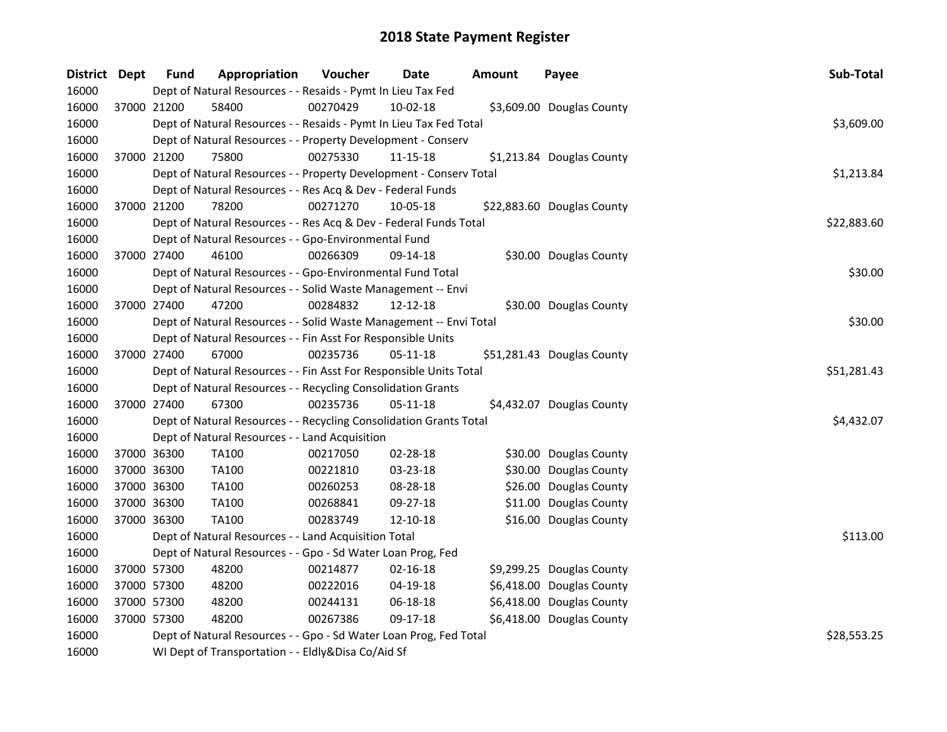| District Dept | <b>Fund</b> | Appropriation                                                      | Voucher  | <b>Date</b>    | <b>Amount</b> | Payee                      | Sub-Total   |
|---------------|-------------|--------------------------------------------------------------------|----------|----------------|---------------|----------------------------|-------------|
| 16000         |             | Dept of Natural Resources - - Resaids - Pymt In Lieu Tax Fed       |          |                |               |                            |             |
| 16000         | 37000 21200 | 58400                                                              | 00270429 | 10-02-18       |               | \$3,609.00 Douglas County  |             |
| 16000         |             | Dept of Natural Resources - - Resaids - Pymt In Lieu Tax Fed Total |          |                |               |                            | \$3,609.00  |
| 16000         |             | Dept of Natural Resources - - Property Development - Conserv       |          |                |               |                            |             |
| 16000         | 37000 21200 | 75800                                                              | 00275330 | $11 - 15 - 18$ |               | \$1,213.84 Douglas County  |             |
| 16000         |             | Dept of Natural Resources - - Property Development - Conserv Total |          |                |               |                            | \$1,213.84  |
| 16000         |             | Dept of Natural Resources - - Res Acq & Dev - Federal Funds        |          |                |               |                            |             |
| 16000         | 37000 21200 | 78200                                                              | 00271270 | 10-05-18       |               | \$22,883.60 Douglas County |             |
| 16000         |             | Dept of Natural Resources - - Res Acq & Dev - Federal Funds Total  |          |                |               |                            | \$22,883.60 |
| 16000         |             | Dept of Natural Resources - - Gpo-Environmental Fund               |          |                |               |                            |             |
| 16000         | 37000 27400 | 46100                                                              | 00266309 | 09-14-18       |               | \$30.00 Douglas County     |             |
| 16000         |             | Dept of Natural Resources - - Gpo-Environmental Fund Total         |          |                |               |                            | \$30.00     |
| 16000         |             | Dept of Natural Resources - - Solid Waste Management -- Envi       |          |                |               |                            |             |
| 16000         | 37000 27400 | 47200                                                              | 00284832 | 12-12-18       |               | \$30.00 Douglas County     |             |
| 16000         |             | Dept of Natural Resources - - Solid Waste Management -- Envi Total |          |                |               |                            | \$30.00     |
| 16000         |             | Dept of Natural Resources - - Fin Asst For Responsible Units       |          |                |               |                            |             |
| 16000         | 37000 27400 | 67000                                                              | 00235736 | 05-11-18       |               | \$51,281.43 Douglas County |             |
| 16000         |             | Dept of Natural Resources - - Fin Asst For Responsible Units Total |          |                |               |                            | \$51,281.43 |
| 16000         |             | Dept of Natural Resources - - Recycling Consolidation Grants       |          |                |               |                            |             |
| 16000         | 37000 27400 | 67300                                                              | 00235736 | 05-11-18       |               | \$4,432.07 Douglas County  |             |
| 16000         |             | Dept of Natural Resources - - Recycling Consolidation Grants Total |          |                |               |                            | \$4,432.07  |
| 16000         |             | Dept of Natural Resources - - Land Acquisition                     |          |                |               |                            |             |
| 16000         | 37000 36300 | TA100                                                              | 00217050 | 02-28-18       |               | \$30.00 Douglas County     |             |
| 16000         | 37000 36300 | <b>TA100</b>                                                       | 00221810 | 03-23-18       |               | \$30.00 Douglas County     |             |
| 16000         | 37000 36300 | TA100                                                              | 00260253 | 08-28-18       |               | \$26.00 Douglas County     |             |
| 16000         | 37000 36300 | TA100                                                              | 00268841 | 09-27-18       |               | \$11.00 Douglas County     |             |
| 16000         | 37000 36300 | <b>TA100</b>                                                       | 00283749 | $12 - 10 - 18$ |               | \$16.00 Douglas County     |             |
| 16000         |             | Dept of Natural Resources - - Land Acquisition Total               |          |                |               |                            | \$113.00    |
| 16000         |             | Dept of Natural Resources - - Gpo - Sd Water Loan Prog, Fed        |          |                |               |                            |             |
| 16000         | 37000 57300 | 48200                                                              | 00214877 | $02 - 16 - 18$ |               | \$9,299.25 Douglas County  |             |
| 16000         | 37000 57300 | 48200                                                              | 00222016 | 04-19-18       |               | \$6,418.00 Douglas County  |             |
| 16000         | 37000 57300 | 48200                                                              | 00244131 | 06-18-18       |               | \$6,418.00 Douglas County  |             |
| 16000         | 37000 57300 | 48200                                                              | 00267386 | 09-17-18       |               | \$6,418.00 Douglas County  |             |
| 16000         |             | Dept of Natural Resources - - Gpo - Sd Water Loan Prog, Fed Total  |          |                |               |                            | \$28,553.25 |
| 16000         |             | WI Dept of Transportation - - Eldly&Disa Co/Aid Sf                 |          |                |               |                            |             |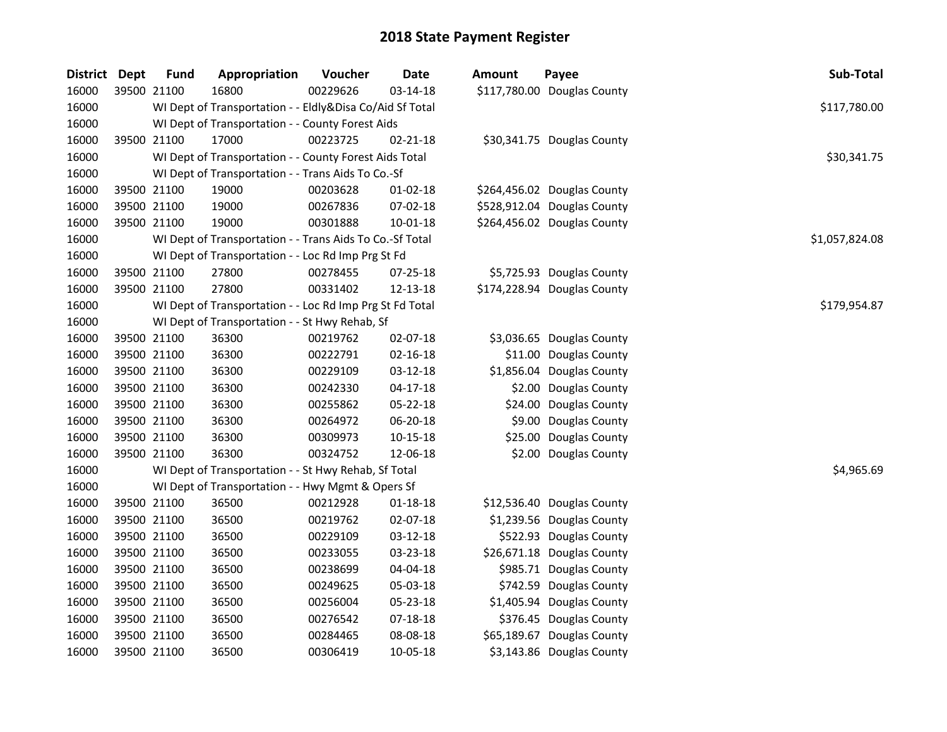| District | <b>Dept</b> | <b>Fund</b> | Appropriation                                            | Voucher  | <b>Date</b>    | Amount  | Payee                       | Sub-Total      |
|----------|-------------|-------------|----------------------------------------------------------|----------|----------------|---------|-----------------------------|----------------|
| 16000    | 39500 21100 |             | 16800                                                    | 00229626 | 03-14-18       |         | \$117,780.00 Douglas County |                |
| 16000    |             |             | WI Dept of Transportation - - Eldly&Disa Co/Aid Sf Total |          |                |         |                             | \$117,780.00   |
| 16000    |             |             | WI Dept of Transportation - - County Forest Aids         |          |                |         |                             |                |
| 16000    | 39500 21100 |             | 17000                                                    | 00223725 | 02-21-18       |         | \$30,341.75 Douglas County  |                |
| 16000    |             |             | WI Dept of Transportation - - County Forest Aids Total   |          |                |         |                             | \$30,341.75    |
| 16000    |             |             | WI Dept of Transportation - - Trans Aids To Co.-Sf       |          |                |         |                             |                |
| 16000    | 39500 21100 |             | 19000                                                    | 00203628 | 01-02-18       |         | \$264,456.02 Douglas County |                |
| 16000    | 39500 21100 |             | 19000                                                    | 00267836 | 07-02-18       |         | \$528,912.04 Douglas County |                |
| 16000    | 39500 21100 |             | 19000                                                    | 00301888 | 10-01-18       |         | \$264,456.02 Douglas County |                |
| 16000    |             |             | WI Dept of Transportation - - Trans Aids To Co.-Sf Total |          |                |         |                             | \$1,057,824.08 |
| 16000    |             |             | WI Dept of Transportation - - Loc Rd Imp Prg St Fd       |          |                |         |                             |                |
| 16000    | 39500 21100 |             | 27800                                                    | 00278455 | 07-25-18       |         | \$5,725.93 Douglas County   |                |
| 16000    | 39500 21100 |             | 27800                                                    | 00331402 | 12-13-18       |         | \$174,228.94 Douglas County |                |
| 16000    |             |             | WI Dept of Transportation - - Loc Rd Imp Prg St Fd Total |          |                |         |                             | \$179,954.87   |
| 16000    |             |             | WI Dept of Transportation - - St Hwy Rehab, Sf           |          |                |         |                             |                |
| 16000    | 39500 21100 |             | 36300                                                    | 00219762 | 02-07-18       |         | \$3,036.65 Douglas County   |                |
| 16000    | 39500 21100 |             | 36300                                                    | 00222791 | $02 - 16 - 18$ |         | \$11.00 Douglas County      |                |
| 16000    | 39500 21100 |             | 36300                                                    | 00229109 | 03-12-18       |         | \$1,856.04 Douglas County   |                |
| 16000    | 39500 21100 |             | 36300                                                    | 00242330 | $04 - 17 - 18$ |         | \$2.00 Douglas County       |                |
| 16000    | 39500 21100 |             | 36300                                                    | 00255862 | 05-22-18       | \$24.00 | Douglas County              |                |
| 16000    | 39500 21100 |             | 36300                                                    | 00264972 | 06-20-18       |         | \$9.00 Douglas County       |                |
| 16000    | 39500 21100 |             | 36300                                                    | 00309973 | $10 - 15 - 18$ |         | \$25.00 Douglas County      |                |
| 16000    | 39500 21100 |             | 36300                                                    | 00324752 | 12-06-18       |         | \$2.00 Douglas County       |                |
| 16000    |             |             | WI Dept of Transportation - - St Hwy Rehab, Sf Total     |          |                |         |                             | \$4,965.69     |
| 16000    |             |             | WI Dept of Transportation - - Hwy Mgmt & Opers Sf        |          |                |         |                             |                |
| 16000    | 39500 21100 |             | 36500                                                    | 00212928 | 01-18-18       |         | \$12,536.40 Douglas County  |                |
| 16000    | 39500 21100 |             | 36500                                                    | 00219762 | 02-07-18       |         | \$1,239.56 Douglas County   |                |
| 16000    | 39500 21100 |             | 36500                                                    | 00229109 | 03-12-18       |         | \$522.93 Douglas County     |                |
| 16000    | 39500 21100 |             | 36500                                                    | 00233055 | 03-23-18       |         | \$26,671.18 Douglas County  |                |
| 16000    | 39500 21100 |             | 36500                                                    | 00238699 | 04-04-18       |         | \$985.71 Douglas County     |                |
| 16000    | 39500 21100 |             | 36500                                                    | 00249625 | 05-03-18       |         | \$742.59 Douglas County     |                |
| 16000    | 39500 21100 |             | 36500                                                    | 00256004 | 05-23-18       |         | \$1,405.94 Douglas County   |                |
| 16000    | 39500 21100 |             | 36500                                                    | 00276542 | $07 - 18 - 18$ |         | \$376.45 Douglas County     |                |
| 16000    | 39500 21100 |             | 36500                                                    | 00284465 | 08-08-18       |         | \$65,189.67 Douglas County  |                |
| 16000    | 39500 21100 |             | 36500                                                    | 00306419 | 10-05-18       |         | \$3,143.86 Douglas County   |                |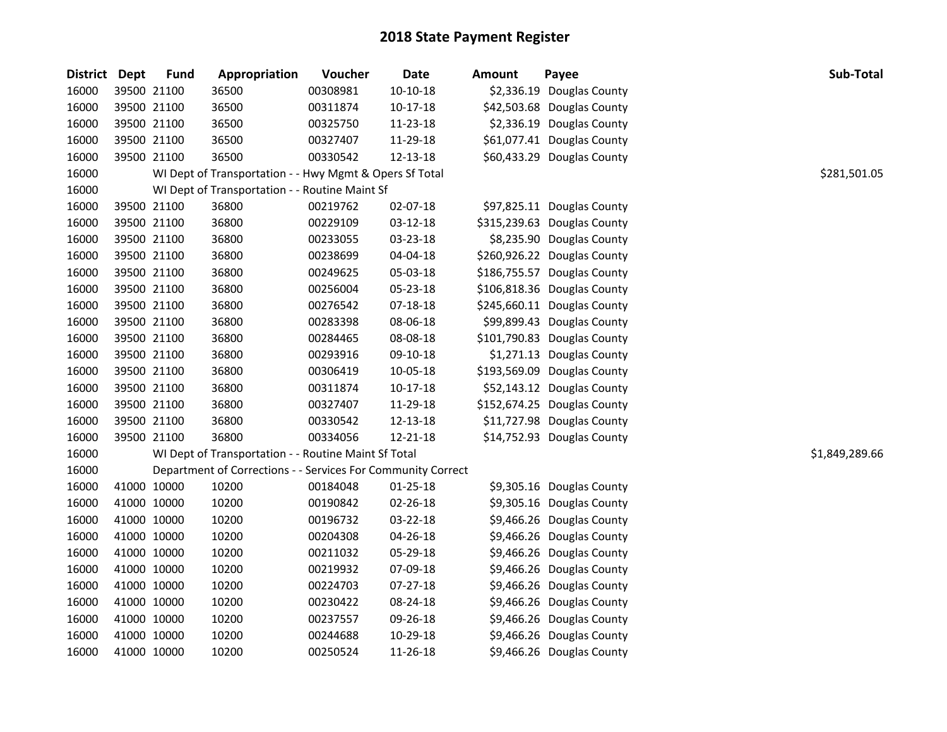| District Dept | <b>Fund</b> | Appropriation                                                | Voucher  | <b>Date</b>    | <b>Amount</b> | Payee                       | Sub-Total      |
|---------------|-------------|--------------------------------------------------------------|----------|----------------|---------------|-----------------------------|----------------|
| 16000         | 39500 21100 | 36500                                                        | 00308981 | $10-10-18$     |               | \$2,336.19 Douglas County   |                |
| 16000         | 39500 21100 | 36500                                                        | 00311874 | $10-17-18$     |               | \$42,503.68 Douglas County  |                |
| 16000         | 39500 21100 | 36500                                                        | 00325750 | 11-23-18       |               | \$2,336.19 Douglas County   |                |
| 16000         | 39500 21100 | 36500                                                        | 00327407 | 11-29-18       |               | \$61,077.41 Douglas County  |                |
| 16000         | 39500 21100 | 36500                                                        | 00330542 | 12-13-18       |               | \$60,433.29 Douglas County  |                |
| 16000         |             | WI Dept of Transportation - - Hwy Mgmt & Opers Sf Total      |          |                |               |                             | \$281,501.05   |
| 16000         |             | WI Dept of Transportation - - Routine Maint Sf               |          |                |               |                             |                |
| 16000         | 39500 21100 | 36800                                                        | 00219762 | 02-07-18       |               | \$97,825.11 Douglas County  |                |
| 16000         | 39500 21100 | 36800                                                        | 00229109 | 03-12-18       |               | \$315,239.63 Douglas County |                |
| 16000         | 39500 21100 | 36800                                                        | 00233055 | 03-23-18       |               | \$8,235.90 Douglas County   |                |
| 16000         | 39500 21100 | 36800                                                        | 00238699 | 04-04-18       |               | \$260,926.22 Douglas County |                |
| 16000         | 39500 21100 | 36800                                                        | 00249625 | 05-03-18       |               | \$186,755.57 Douglas County |                |
| 16000         | 39500 21100 | 36800                                                        | 00256004 | 05-23-18       |               | \$106,818.36 Douglas County |                |
| 16000         | 39500 21100 | 36800                                                        | 00276542 | 07-18-18       |               | \$245,660.11 Douglas County |                |
| 16000         | 39500 21100 | 36800                                                        | 00283398 | 08-06-18       |               | \$99,899.43 Douglas County  |                |
| 16000         | 39500 21100 | 36800                                                        | 00284465 | 08-08-18       |               | \$101,790.83 Douglas County |                |
| 16000         | 39500 21100 | 36800                                                        | 00293916 | 09-10-18       |               | \$1,271.13 Douglas County   |                |
| 16000         | 39500 21100 | 36800                                                        | 00306419 | 10-05-18       |               | \$193,569.09 Douglas County |                |
| 16000         | 39500 21100 | 36800                                                        | 00311874 | $10-17-18$     |               | \$52,143.12 Douglas County  |                |
| 16000         | 39500 21100 | 36800                                                        | 00327407 | 11-29-18       |               | \$152,674.25 Douglas County |                |
| 16000         | 39500 21100 | 36800                                                        | 00330542 | 12-13-18       |               | \$11,727.98 Douglas County  |                |
| 16000         | 39500 21100 | 36800                                                        | 00334056 | 12-21-18       |               | \$14,752.93 Douglas County  |                |
| 16000         |             | WI Dept of Transportation - - Routine Maint Sf Total         |          |                |               |                             | \$1,849,289.66 |
| 16000         |             | Department of Corrections - - Services For Community Correct |          |                |               |                             |                |
| 16000         | 41000 10000 | 10200                                                        | 00184048 | $01 - 25 - 18$ |               | \$9,305.16 Douglas County   |                |
| 16000         | 41000 10000 | 10200                                                        | 00190842 | 02-26-18       |               | \$9,305.16 Douglas County   |                |
| 16000         | 41000 10000 | 10200                                                        | 00196732 | 03-22-18       |               | \$9,466.26 Douglas County   |                |
| 16000         | 41000 10000 | 10200                                                        | 00204308 | 04-26-18       |               | \$9,466.26 Douglas County   |                |
| 16000         | 41000 10000 | 10200                                                        | 00211032 | 05-29-18       |               | \$9,466.26 Douglas County   |                |
| 16000         | 41000 10000 | 10200                                                        | 00219932 | 07-09-18       |               | \$9,466.26 Douglas County   |                |
| 16000         | 41000 10000 | 10200                                                        | 00224703 | 07-27-18       |               | \$9,466.26 Douglas County   |                |
| 16000         | 41000 10000 | 10200                                                        | 00230422 | 08-24-18       |               | \$9,466.26 Douglas County   |                |
| 16000         | 41000 10000 | 10200                                                        | 00237557 | 09-26-18       |               | \$9,466.26 Douglas County   |                |
| 16000         | 41000 10000 | 10200                                                        | 00244688 | 10-29-18       |               | \$9,466.26 Douglas County   |                |
| 16000         | 41000 10000 | 10200                                                        | 00250524 | 11-26-18       |               | \$9,466.26 Douglas County   |                |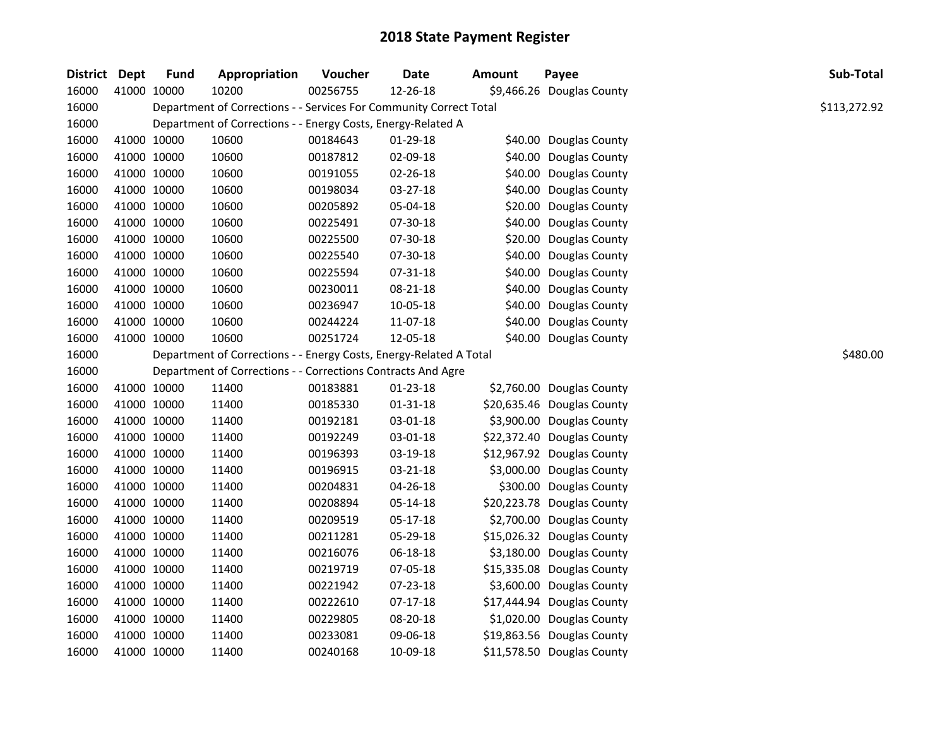| <b>District</b> | <b>Dept</b> | <b>Fund</b> | Appropriation                                                      | Voucher  | <b>Date</b>    | <b>Amount</b> | Payee                      | Sub-Total    |
|-----------------|-------------|-------------|--------------------------------------------------------------------|----------|----------------|---------------|----------------------------|--------------|
| 16000           | 41000 10000 |             | 10200                                                              | 00256755 | 12-26-18       |               | \$9,466.26 Douglas County  |              |
| 16000           |             |             | Department of Corrections - - Services For Community Correct Total |          |                |               |                            | \$113,272.92 |
| 16000           |             |             | Department of Corrections - - Energy Costs, Energy-Related A       |          |                |               |                            |              |
| 16000           | 41000 10000 |             | 10600                                                              | 00184643 | 01-29-18       |               | \$40.00 Douglas County     |              |
| 16000           | 41000 10000 |             | 10600                                                              | 00187812 | 02-09-18       |               | \$40.00 Douglas County     |              |
| 16000           | 41000 10000 |             | 10600                                                              | 00191055 | 02-26-18       |               | \$40.00 Douglas County     |              |
| 16000           | 41000 10000 |             | 10600                                                              | 00198034 | $03 - 27 - 18$ |               | \$40.00 Douglas County     |              |
| 16000           | 41000 10000 |             | 10600                                                              | 00205892 | 05-04-18       |               | \$20.00 Douglas County     |              |
| 16000           | 41000 10000 |             | 10600                                                              | 00225491 | 07-30-18       |               | \$40.00 Douglas County     |              |
| 16000           | 41000 10000 |             | 10600                                                              | 00225500 | 07-30-18       |               | \$20.00 Douglas County     |              |
| 16000           | 41000 10000 |             | 10600                                                              | 00225540 | 07-30-18       |               | \$40.00 Douglas County     |              |
| 16000           | 41000 10000 |             | 10600                                                              | 00225594 | 07-31-18       |               | \$40.00 Douglas County     |              |
| 16000           | 41000 10000 |             | 10600                                                              | 00230011 | 08-21-18       |               | \$40.00 Douglas County     |              |
| 16000           | 41000 10000 |             | 10600                                                              | 00236947 | 10-05-18       |               | \$40.00 Douglas County     |              |
| 16000           | 41000 10000 |             | 10600                                                              | 00244224 | 11-07-18       |               | \$40.00 Douglas County     |              |
| 16000           | 41000 10000 |             | 10600                                                              | 00251724 | 12-05-18       |               | \$40.00 Douglas County     |              |
| 16000           |             |             | Department of Corrections - - Energy Costs, Energy-Related A Total | \$480.00 |                |               |                            |              |
| 16000           |             |             | Department of Corrections - - Corrections Contracts And Agre       |          |                |               |                            |              |
| 16000           | 41000 10000 |             | 11400                                                              | 00183881 | 01-23-18       |               | \$2,760.00 Douglas County  |              |
| 16000           | 41000 10000 |             | 11400                                                              | 00185330 | $01 - 31 - 18$ |               | \$20,635.46 Douglas County |              |
| 16000           | 41000 10000 |             | 11400                                                              | 00192181 | 03-01-18       |               | \$3,900.00 Douglas County  |              |
| 16000           | 41000 10000 |             | 11400                                                              | 00192249 | 03-01-18       |               | \$22,372.40 Douglas County |              |
| 16000           | 41000 10000 |             | 11400                                                              | 00196393 | 03-19-18       |               | \$12,967.92 Douglas County |              |
| 16000           | 41000 10000 |             | 11400                                                              | 00196915 | 03-21-18       |               | \$3,000.00 Douglas County  |              |
| 16000           | 41000 10000 |             | 11400                                                              | 00204831 | 04-26-18       |               | \$300.00 Douglas County    |              |
| 16000           | 41000 10000 |             | 11400                                                              | 00208894 | 05-14-18       |               | \$20,223.78 Douglas County |              |
| 16000           | 41000 10000 |             | 11400                                                              | 00209519 | 05-17-18       |               | \$2,700.00 Douglas County  |              |
| 16000           | 41000 10000 |             | 11400                                                              | 00211281 | 05-29-18       |               | \$15,026.32 Douglas County |              |
| 16000           | 41000 10000 |             | 11400                                                              | 00216076 | 06-18-18       |               | \$3,180.00 Douglas County  |              |
| 16000           | 41000 10000 |             | 11400                                                              | 00219719 | 07-05-18       |               | \$15,335.08 Douglas County |              |
| 16000           | 41000 10000 |             | 11400                                                              | 00221942 | 07-23-18       |               | \$3,600.00 Douglas County  |              |
| 16000           | 41000 10000 |             | 11400                                                              | 00222610 | $07-17-18$     |               | \$17,444.94 Douglas County |              |
| 16000           | 41000 10000 |             | 11400                                                              | 00229805 | 08-20-18       |               | \$1,020.00 Douglas County  |              |
| 16000           | 41000 10000 |             | 11400                                                              | 00233081 | 09-06-18       |               | \$19,863.56 Douglas County |              |
| 16000           | 41000 10000 |             | 11400                                                              | 00240168 | 10-09-18       |               | \$11,578.50 Douglas County |              |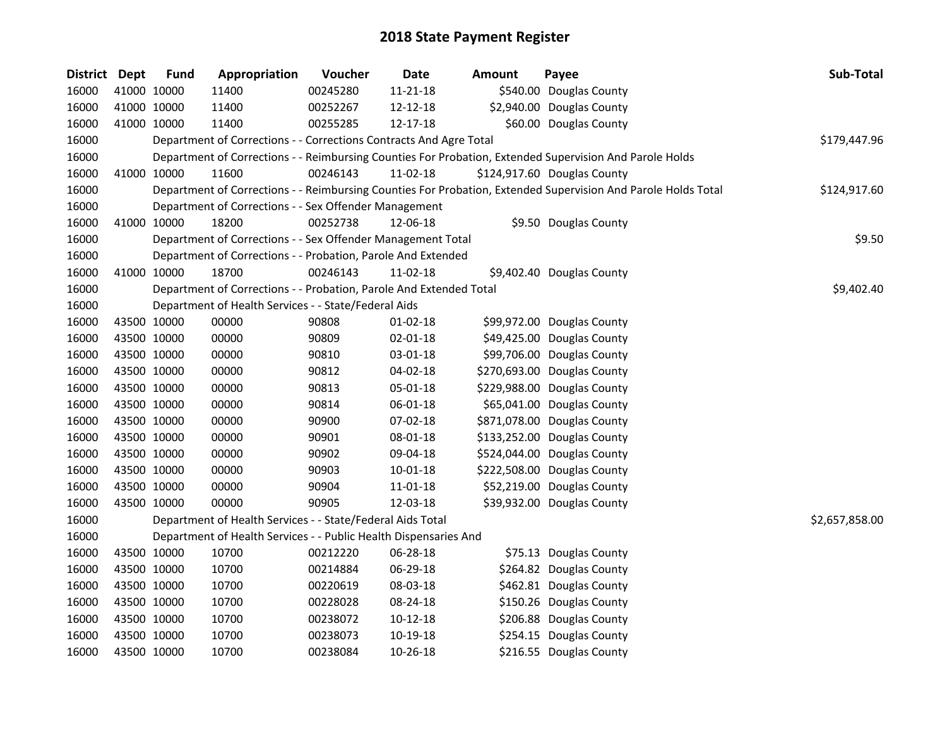| District Dept |             | <b>Fund</b> | Appropriation                                                      | Voucher  | <b>Date</b> | <b>Amount</b> | Payee                                                                                                         | Sub-Total      |
|---------------|-------------|-------------|--------------------------------------------------------------------|----------|-------------|---------------|---------------------------------------------------------------------------------------------------------------|----------------|
| 16000         |             | 41000 10000 | 11400                                                              | 00245280 | 11-21-18    |               | \$540.00 Douglas County                                                                                       |                |
| 16000         |             | 41000 10000 | 11400                                                              | 00252267 | 12-12-18    |               | \$2,940.00 Douglas County                                                                                     |                |
| 16000         |             | 41000 10000 | 11400                                                              | 00255285 | 12-17-18    |               | \$60.00 Douglas County                                                                                        |                |
| 16000         |             |             | Department of Corrections - - Corrections Contracts And Agre Total |          |             |               |                                                                                                               | \$179,447.96   |
| 16000         |             |             |                                                                    |          |             |               | Department of Corrections - - Reimbursing Counties For Probation, Extended Supervision And Parole Holds       |                |
| 16000         |             | 41000 10000 | 11600                                                              | 00246143 | $11-02-18$  |               | \$124,917.60 Douglas County                                                                                   |                |
| 16000         |             |             |                                                                    |          |             |               | Department of Corrections - - Reimbursing Counties For Probation, Extended Supervision And Parole Holds Total | \$124,917.60   |
| 16000         |             |             | Department of Corrections - - Sex Offender Management              |          |             |               |                                                                                                               |                |
| 16000         |             | 41000 10000 | 18200                                                              | 00252738 | 12-06-18    |               | \$9.50 Douglas County                                                                                         |                |
| 16000         |             |             | Department of Corrections - - Sex Offender Management Total        |          |             |               |                                                                                                               | \$9.50         |
| 16000         |             |             | Department of Corrections - - Probation, Parole And Extended       |          |             |               |                                                                                                               |                |
| 16000         |             | 41000 10000 | 18700                                                              | 00246143 | 11-02-18    |               | \$9,402.40 Douglas County                                                                                     |                |
| 16000         |             |             | Department of Corrections - - Probation, Parole And Extended Total |          |             |               |                                                                                                               | \$9,402.40     |
| 16000         |             |             | Department of Health Services - - State/Federal Aids               |          |             |               |                                                                                                               |                |
| 16000         |             | 43500 10000 | 00000                                                              | 90808    | $01-02-18$  |               | \$99,972.00 Douglas County                                                                                    |                |
| 16000         |             | 43500 10000 | 00000                                                              | 90809    | 02-01-18    |               | \$49,425.00 Douglas County                                                                                    |                |
| 16000         |             | 43500 10000 | 00000                                                              | 90810    | 03-01-18    |               | \$99,706.00 Douglas County                                                                                    |                |
| 16000         |             | 43500 10000 | 00000                                                              | 90812    | 04-02-18    |               | \$270,693.00 Douglas County                                                                                   |                |
| 16000         |             | 43500 10000 | 00000                                                              | 90813    | 05-01-18    |               | \$229,988.00 Douglas County                                                                                   |                |
| 16000         |             | 43500 10000 | 00000                                                              | 90814    | 06-01-18    |               | \$65,041.00 Douglas County                                                                                    |                |
| 16000         |             | 43500 10000 | 00000                                                              | 90900    | 07-02-18    |               | \$871,078.00 Douglas County                                                                                   |                |
| 16000         |             | 43500 10000 | 00000                                                              | 90901    | 08-01-18    |               | \$133,252.00 Douglas County                                                                                   |                |
| 16000         | 43500 10000 |             | 00000                                                              | 90902    | 09-04-18    |               | \$524,044.00 Douglas County                                                                                   |                |
| 16000         | 43500 10000 |             | 00000                                                              | 90903    | 10-01-18    |               | \$222,508.00 Douglas County                                                                                   |                |
| 16000         |             | 43500 10000 | 00000                                                              | 90904    | 11-01-18    |               | \$52,219.00 Douglas County                                                                                    |                |
| 16000         |             | 43500 10000 | 00000                                                              | 90905    | 12-03-18    |               | \$39,932.00 Douglas County                                                                                    |                |
| 16000         |             |             | Department of Health Services - - State/Federal Aids Total         |          |             |               |                                                                                                               | \$2,657,858.00 |
| 16000         |             |             | Department of Health Services - - Public Health Dispensaries And   |          |             |               |                                                                                                               |                |
| 16000         |             | 43500 10000 | 10700                                                              | 00212220 | 06-28-18    |               | \$75.13 Douglas County                                                                                        |                |
| 16000         |             | 43500 10000 | 10700                                                              | 00214884 | 06-29-18    |               | \$264.82 Douglas County                                                                                       |                |
| 16000         |             | 43500 10000 | 10700                                                              | 00220619 | 08-03-18    |               | \$462.81 Douglas County                                                                                       |                |
| 16000         |             | 43500 10000 | 10700                                                              | 00228028 | 08-24-18    |               | \$150.26 Douglas County                                                                                       |                |
| 16000         |             | 43500 10000 | 10700                                                              | 00238072 | 10-12-18    |               | \$206.88 Douglas County                                                                                       |                |
| 16000         |             | 43500 10000 | 10700                                                              | 00238073 | 10-19-18    |               | \$254.15 Douglas County                                                                                       |                |
| 16000         |             | 43500 10000 | 10700                                                              | 00238084 | 10-26-18    |               | \$216.55 Douglas County                                                                                       |                |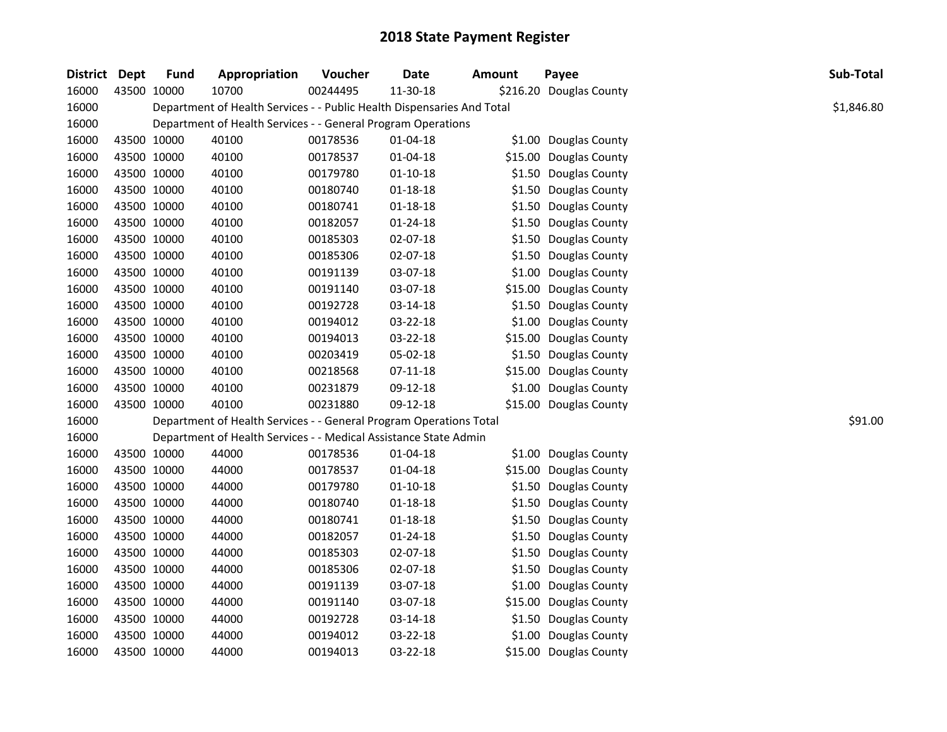| District Dept |             | <b>Fund</b> | Appropriation                                                          | Voucher  | <b>Date</b>    | Amount | Payee                   | Sub-Total  |
|---------------|-------------|-------------|------------------------------------------------------------------------|----------|----------------|--------|-------------------------|------------|
| 16000         |             | 43500 10000 | 10700                                                                  | 00244495 | 11-30-18       |        | \$216.20 Douglas County |            |
| 16000         |             |             | Department of Health Services - - Public Health Dispensaries And Total |          |                |        |                         | \$1,846.80 |
| 16000         |             |             | Department of Health Services - - General Program Operations           |          |                |        |                         |            |
| 16000         |             | 43500 10000 | 40100                                                                  | 00178536 | $01 - 04 - 18$ |        | \$1.00 Douglas County   |            |
| 16000         |             | 43500 10000 | 40100                                                                  | 00178537 | 01-04-18       |        | \$15.00 Douglas County  |            |
| 16000         |             | 43500 10000 | 40100                                                                  | 00179780 | $01 - 10 - 18$ |        | \$1.50 Douglas County   |            |
| 16000         |             | 43500 10000 | 40100                                                                  | 00180740 | $01 - 18 - 18$ |        | \$1.50 Douglas County   |            |
| 16000         |             | 43500 10000 | 40100                                                                  | 00180741 | $01 - 18 - 18$ |        | \$1.50 Douglas County   |            |
| 16000         |             | 43500 10000 | 40100                                                                  | 00182057 | $01 - 24 - 18$ |        | \$1.50 Douglas County   |            |
| 16000         | 43500 10000 |             | 40100                                                                  | 00185303 | 02-07-18       |        | \$1.50 Douglas County   |            |
| 16000         | 43500 10000 |             | 40100                                                                  | 00185306 | 02-07-18       |        | \$1.50 Douglas County   |            |
| 16000         |             | 43500 10000 | 40100                                                                  | 00191139 | 03-07-18       |        | \$1.00 Douglas County   |            |
| 16000         | 43500 10000 |             | 40100                                                                  | 00191140 | 03-07-18       |        | \$15.00 Douglas County  |            |
| 16000         | 43500 10000 |             | 40100                                                                  | 00192728 | 03-14-18       |        | \$1.50 Douglas County   |            |
| 16000         |             | 43500 10000 | 40100                                                                  | 00194012 | 03-22-18       |        | \$1.00 Douglas County   |            |
| 16000         | 43500 10000 |             | 40100                                                                  | 00194013 | 03-22-18       |        | \$15.00 Douglas County  |            |
| 16000         | 43500 10000 |             | 40100                                                                  | 00203419 | 05-02-18       |        | \$1.50 Douglas County   |            |
| 16000         |             | 43500 10000 | 40100                                                                  | 00218568 | $07 - 11 - 18$ |        | \$15.00 Douglas County  |            |
| 16000         |             | 43500 10000 | 40100                                                                  | 00231879 | 09-12-18       |        | \$1.00 Douglas County   |            |
| 16000         |             | 43500 10000 | 40100                                                                  | 00231880 | 09-12-18       |        | \$15.00 Douglas County  |            |
| 16000         |             |             | Department of Health Services - - General Program Operations Total     |          |                |        |                         | \$91.00    |
| 16000         |             |             | Department of Health Services - - Medical Assistance State Admin       |          |                |        |                         |            |
| 16000         |             | 43500 10000 | 44000                                                                  | 00178536 | $01 - 04 - 18$ |        | \$1.00 Douglas County   |            |
| 16000         | 43500 10000 |             | 44000                                                                  | 00178537 | 01-04-18       |        | \$15.00 Douglas County  |            |
| 16000         | 43500 10000 |             | 44000                                                                  | 00179780 | $01 - 10 - 18$ |        | \$1.50 Douglas County   |            |
| 16000         | 43500 10000 |             | 44000                                                                  | 00180740 | $01 - 18 - 18$ |        | \$1.50 Douglas County   |            |
| 16000         | 43500 10000 |             | 44000                                                                  | 00180741 | $01 - 18 - 18$ |        | \$1.50 Douglas County   |            |
| 16000         |             | 43500 10000 | 44000                                                                  | 00182057 | $01 - 24 - 18$ |        | \$1.50 Douglas County   |            |
| 16000         |             | 43500 10000 | 44000                                                                  | 00185303 | 02-07-18       |        | \$1.50 Douglas County   |            |
| 16000         | 43500 10000 |             | 44000                                                                  | 00185306 | 02-07-18       |        | \$1.50 Douglas County   |            |
| 16000         | 43500 10000 |             | 44000                                                                  | 00191139 | 03-07-18       |        | \$1.00 Douglas County   |            |
| 16000         |             | 43500 10000 | 44000                                                                  | 00191140 | 03-07-18       |        | \$15.00 Douglas County  |            |
| 16000         |             | 43500 10000 | 44000                                                                  | 00192728 | 03-14-18       |        | \$1.50 Douglas County   |            |
| 16000         |             | 43500 10000 | 44000                                                                  | 00194012 | 03-22-18       |        | \$1.00 Douglas County   |            |
| 16000         | 43500 10000 |             | 44000                                                                  | 00194013 | 03-22-18       |        | \$15.00 Douglas County  |            |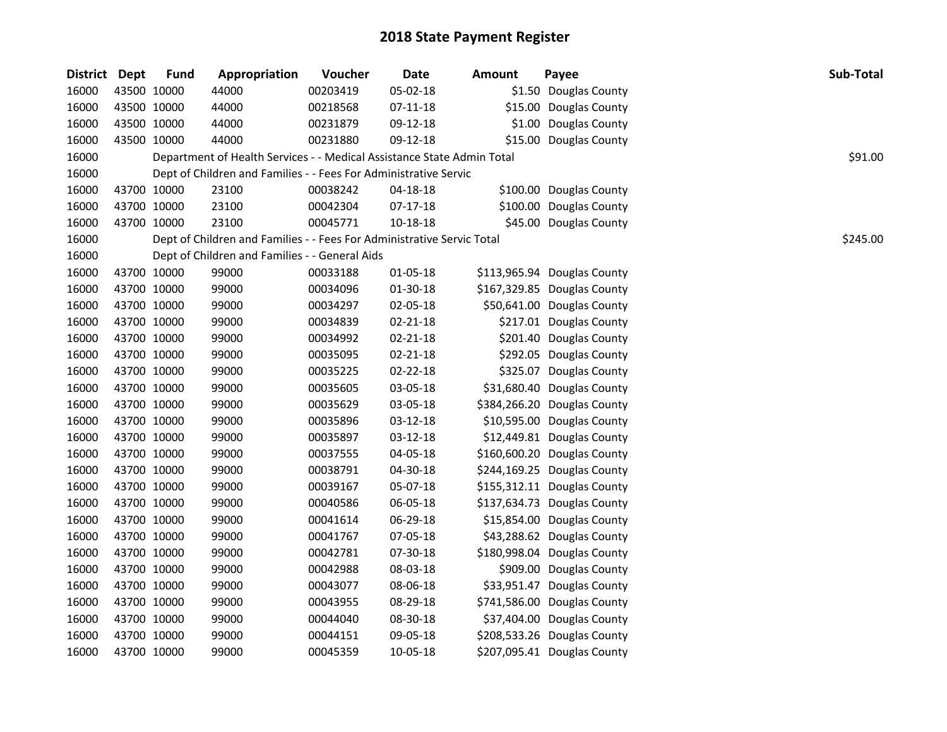| District Dept | <b>Fund</b> | Appropriation                                                          | Voucher  | <b>Date</b>    | Amount | Payee                       | Sub-Total |
|---------------|-------------|------------------------------------------------------------------------|----------|----------------|--------|-----------------------------|-----------|
| 16000         | 43500 10000 | 44000                                                                  | 00203419 | 05-02-18       |        | \$1.50 Douglas County       |           |
| 16000         | 43500 10000 | 44000                                                                  | 00218568 | $07 - 11 - 18$ |        | \$15.00 Douglas County      |           |
| 16000         | 43500 10000 | 44000                                                                  | 00231879 | 09-12-18       |        | \$1.00 Douglas County       |           |
| 16000         | 43500 10000 | 44000                                                                  | 00231880 | 09-12-18       |        | \$15.00 Douglas County      |           |
| 16000         |             | Department of Health Services - - Medical Assistance State Admin Total |          |                |        |                             | \$91.00   |
| 16000         |             | Dept of Children and Families - - Fees For Administrative Servic       |          |                |        |                             |           |
| 16000         | 43700 10000 | 23100                                                                  | 00038242 | $04 - 18 - 18$ |        | \$100.00 Douglas County     |           |
| 16000         | 43700 10000 | 23100                                                                  | 00042304 | 07-17-18       |        | \$100.00 Douglas County     |           |
| 16000         | 43700 10000 | 23100                                                                  | 00045771 | 10-18-18       |        | \$45.00 Douglas County      |           |
| 16000         |             | Dept of Children and Families - - Fees For Administrative Servic Total |          |                |        |                             | \$245.00  |
| 16000         |             | Dept of Children and Families - - General Aids                         |          |                |        |                             |           |
| 16000         | 43700 10000 | 99000                                                                  | 00033188 | 01-05-18       |        | \$113,965.94 Douglas County |           |
| 16000         | 43700 10000 | 99000                                                                  | 00034096 | 01-30-18       |        | \$167,329.85 Douglas County |           |
| 16000         | 43700 10000 | 99000                                                                  | 00034297 | 02-05-18       |        | \$50,641.00 Douglas County  |           |
| 16000         | 43700 10000 | 99000                                                                  | 00034839 | 02-21-18       |        | \$217.01 Douglas County     |           |
| 16000         | 43700 10000 | 99000                                                                  | 00034992 | 02-21-18       |        | \$201.40 Douglas County     |           |
| 16000         | 43700 10000 | 99000                                                                  | 00035095 | 02-21-18       |        | \$292.05 Douglas County     |           |
| 16000         | 43700 10000 | 99000                                                                  | 00035225 | 02-22-18       |        | \$325.07 Douglas County     |           |
| 16000         | 43700 10000 | 99000                                                                  | 00035605 | 03-05-18       |        | \$31,680.40 Douglas County  |           |
| 16000         | 43700 10000 | 99000                                                                  | 00035629 | 03-05-18       |        | \$384,266.20 Douglas County |           |
| 16000         | 43700 10000 | 99000                                                                  | 00035896 | 03-12-18       |        | \$10,595.00 Douglas County  |           |
| 16000         | 43700 10000 | 99000                                                                  | 00035897 | $03 - 12 - 18$ |        | \$12,449.81 Douglas County  |           |
| 16000         | 43700 10000 | 99000                                                                  | 00037555 | 04-05-18       |        | \$160,600.20 Douglas County |           |
| 16000         | 43700 10000 | 99000                                                                  | 00038791 | 04-30-18       |        | \$244,169.25 Douglas County |           |
| 16000         | 43700 10000 | 99000                                                                  | 00039167 | 05-07-18       |        | \$155,312.11 Douglas County |           |
| 16000         | 43700 10000 | 99000                                                                  | 00040586 | 06-05-18       |        | \$137,634.73 Douglas County |           |
| 16000         | 43700 10000 | 99000                                                                  | 00041614 | 06-29-18       |        | \$15,854.00 Douglas County  |           |
| 16000         | 43700 10000 | 99000                                                                  | 00041767 | 07-05-18       |        | \$43,288.62 Douglas County  |           |
| 16000         | 43700 10000 | 99000                                                                  | 00042781 | 07-30-18       |        | \$180,998.04 Douglas County |           |
| 16000         | 43700 10000 | 99000                                                                  | 00042988 | 08-03-18       |        | \$909.00 Douglas County     |           |
| 16000         | 43700 10000 | 99000                                                                  | 00043077 | 08-06-18       |        | \$33,951.47 Douglas County  |           |
| 16000         | 43700 10000 | 99000                                                                  | 00043955 | 08-29-18       |        | \$741,586.00 Douglas County |           |
| 16000         | 43700 10000 | 99000                                                                  | 00044040 | 08-30-18       |        | \$37,404.00 Douglas County  |           |
| 16000         | 43700 10000 | 99000                                                                  | 00044151 | 09-05-18       |        | \$208,533.26 Douglas County |           |
| 16000         | 43700 10000 | 99000                                                                  | 00045359 | 10-05-18       |        | \$207,095.41 Douglas County |           |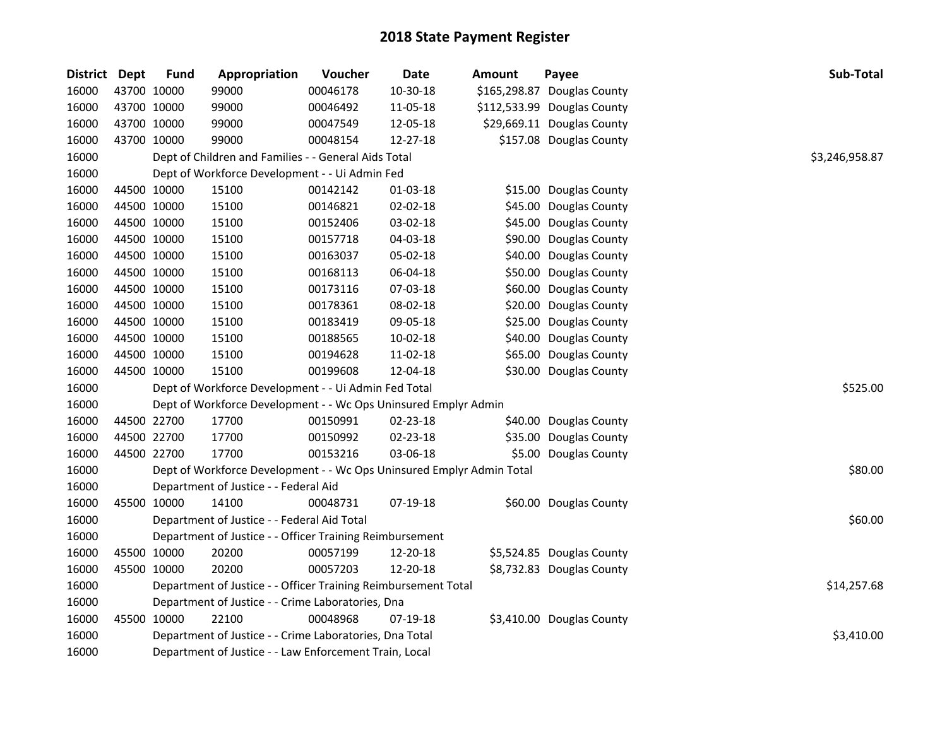| District Dept |             | <b>Fund</b> | Appropriation                                                         | Voucher  | <b>Date</b> | Amount | Payee                       | Sub-Total      |
|---------------|-------------|-------------|-----------------------------------------------------------------------|----------|-------------|--------|-----------------------------|----------------|
| 16000         | 43700 10000 |             | 99000                                                                 | 00046178 | 10-30-18    |        | \$165,298.87 Douglas County |                |
| 16000         |             | 43700 10000 | 99000                                                                 | 00046492 | 11-05-18    |        | \$112,533.99 Douglas County |                |
| 16000         |             | 43700 10000 | 99000                                                                 | 00047549 | 12-05-18    |        | \$29,669.11 Douglas County  |                |
| 16000         |             | 43700 10000 | 99000                                                                 | 00048154 | 12-27-18    |        | \$157.08 Douglas County     |                |
| 16000         |             |             | Dept of Children and Families - - General Aids Total                  |          |             |        |                             | \$3,246,958.87 |
| 16000         |             |             | Dept of Workforce Development - - Ui Admin Fed                        |          |             |        |                             |                |
| 16000         |             | 44500 10000 | 15100                                                                 | 00142142 | 01-03-18    |        | \$15.00 Douglas County      |                |
| 16000         |             | 44500 10000 | 15100                                                                 | 00146821 | 02-02-18    |        | \$45.00 Douglas County      |                |
| 16000         |             | 44500 10000 | 15100                                                                 | 00152406 | 03-02-18    |        | \$45.00 Douglas County      |                |
| 16000         |             | 44500 10000 | 15100                                                                 | 00157718 | 04-03-18    |        | \$90.00 Douglas County      |                |
| 16000         |             | 44500 10000 | 15100                                                                 | 00163037 | 05-02-18    |        | \$40.00 Douglas County      |                |
| 16000         |             | 44500 10000 | 15100                                                                 | 00168113 | 06-04-18    |        | \$50.00 Douglas County      |                |
| 16000         |             | 44500 10000 | 15100                                                                 | 00173116 | 07-03-18    |        | \$60.00 Douglas County      |                |
| 16000         |             | 44500 10000 | 15100                                                                 | 00178361 | 08-02-18    |        | \$20.00 Douglas County      |                |
| 16000         |             | 44500 10000 | 15100                                                                 | 00183419 | 09-05-18    |        | \$25.00 Douglas County      |                |
| 16000         |             | 44500 10000 | 15100                                                                 | 00188565 | 10-02-18    |        | \$40.00 Douglas County      |                |
| 16000         |             | 44500 10000 | 15100                                                                 | 00194628 | 11-02-18    |        | \$65.00 Douglas County      |                |
| 16000         |             | 44500 10000 | 15100                                                                 | 00199608 | 12-04-18    |        | \$30.00 Douglas County      |                |
| 16000         |             |             | Dept of Workforce Development - - Ui Admin Fed Total                  |          |             |        |                             | \$525.00       |
| 16000         |             |             | Dept of Workforce Development - - Wc Ops Uninsured Emplyr Admin       |          |             |        |                             |                |
| 16000         |             | 44500 22700 | 17700                                                                 | 00150991 | 02-23-18    |        | \$40.00 Douglas County      |                |
| 16000         |             | 44500 22700 | 17700                                                                 | 00150992 | 02-23-18    |        | \$35.00 Douglas County      |                |
| 16000         |             | 44500 22700 | 17700                                                                 | 00153216 | 03-06-18    |        | \$5.00 Douglas County       |                |
| 16000         |             |             | Dept of Workforce Development - - Wc Ops Uninsured Emplyr Admin Total |          |             |        |                             | \$80.00        |
| 16000         |             |             | Department of Justice - - Federal Aid                                 |          |             |        |                             |                |
| 16000         | 45500 10000 |             | 14100                                                                 | 00048731 | 07-19-18    |        | \$60.00 Douglas County      |                |
| 16000         |             |             | Department of Justice - - Federal Aid Total                           |          |             |        |                             | \$60.00        |
| 16000         |             |             | Department of Justice - - Officer Training Reimbursement              |          |             |        |                             |                |
| 16000         |             | 45500 10000 | 20200                                                                 | 00057199 | 12-20-18    |        | \$5,524.85 Douglas County   |                |
| 16000         |             | 45500 10000 | 20200                                                                 | 00057203 | 12-20-18    |        | \$8,732.83 Douglas County   |                |
| 16000         |             |             | Department of Justice - - Officer Training Reimbursement Total        |          |             |        |                             | \$14,257.68    |
| 16000         |             |             | Department of Justice - - Crime Laboratories, Dna                     |          |             |        |                             |                |
| 16000         |             | 45500 10000 | 22100                                                                 | 00048968 | 07-19-18    |        | \$3,410.00 Douglas County   |                |
| 16000         |             |             | Department of Justice - - Crime Laboratories, Dna Total               |          |             |        |                             | \$3,410.00     |
| 16000         |             |             | Department of Justice - - Law Enforcement Train, Local                |          |             |        |                             |                |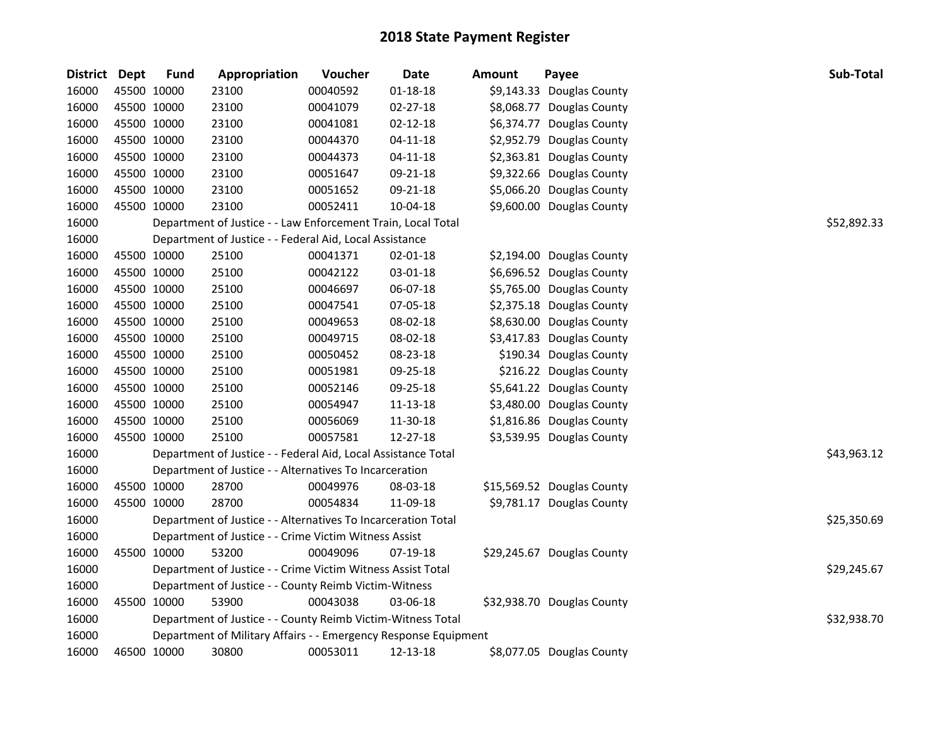| <b>District</b> | <b>Dept</b> | <b>Fund</b> | Appropriation                                                   | Voucher  | <b>Date</b>    | Amount | Payee                      | Sub-Total   |
|-----------------|-------------|-------------|-----------------------------------------------------------------|----------|----------------|--------|----------------------------|-------------|
| 16000           | 45500 10000 |             | 23100                                                           | 00040592 | $01 - 18 - 18$ |        | \$9,143.33 Douglas County  |             |
| 16000           | 45500 10000 |             | 23100                                                           | 00041079 | $02 - 27 - 18$ |        | \$8,068.77 Douglas County  |             |
| 16000           | 45500 10000 |             | 23100                                                           | 00041081 | $02 - 12 - 18$ |        | \$6,374.77 Douglas County  |             |
| 16000           | 45500 10000 |             | 23100                                                           | 00044370 | $04 - 11 - 18$ |        | \$2,952.79 Douglas County  |             |
| 16000           | 45500 10000 |             | 23100                                                           | 00044373 | $04 - 11 - 18$ |        | \$2,363.81 Douglas County  |             |
| 16000           | 45500 10000 |             | 23100                                                           | 00051647 | 09-21-18       |        | \$9,322.66 Douglas County  |             |
| 16000           | 45500 10000 |             | 23100                                                           | 00051652 | 09-21-18       |        | \$5,066.20 Douglas County  |             |
| 16000           | 45500 10000 |             | 23100                                                           | 00052411 | 10-04-18       |        | \$9,600.00 Douglas County  |             |
| 16000           |             |             | Department of Justice - - Law Enforcement Train, Local Total    |          |                |        |                            | \$52,892.33 |
| 16000           |             |             | Department of Justice - - Federal Aid, Local Assistance         |          |                |        |                            |             |
| 16000           |             | 45500 10000 | 25100                                                           | 00041371 | 02-01-18       |        | \$2,194.00 Douglas County  |             |
| 16000           | 45500 10000 |             | 25100                                                           | 00042122 | 03-01-18       |        | \$6,696.52 Douglas County  |             |
| 16000           | 45500 10000 |             | 25100                                                           | 00046697 | 06-07-18       |        | \$5,765.00 Douglas County  |             |
| 16000           | 45500 10000 |             | 25100                                                           | 00047541 | 07-05-18       |        | \$2,375.18 Douglas County  |             |
| 16000           | 45500 10000 |             | 25100                                                           | 00049653 | 08-02-18       |        | \$8,630.00 Douglas County  |             |
| 16000           | 45500 10000 |             | 25100                                                           | 00049715 | 08-02-18       |        | \$3,417.83 Douglas County  |             |
| 16000           | 45500 10000 |             | 25100                                                           | 00050452 | 08-23-18       |        | \$190.34 Douglas County    |             |
| 16000           | 45500 10000 |             | 25100                                                           | 00051981 | 09-25-18       |        | \$216.22 Douglas County    |             |
| 16000           | 45500 10000 |             | 25100                                                           | 00052146 | 09-25-18       |        | \$5,641.22 Douglas County  |             |
| 16000           | 45500 10000 |             | 25100                                                           | 00054947 | $11 - 13 - 18$ |        | \$3,480.00 Douglas County  |             |
| 16000           | 45500 10000 |             | 25100                                                           | 00056069 | 11-30-18       |        | \$1,816.86 Douglas County  |             |
| 16000           | 45500 10000 |             | 25100                                                           | 00057581 | 12-27-18       |        | \$3,539.95 Douglas County  |             |
| 16000           |             |             | Department of Justice - - Federal Aid, Local Assistance Total   |          |                |        |                            | \$43,963.12 |
| 16000           |             |             | Department of Justice - - Alternatives To Incarceration         |          |                |        |                            |             |
| 16000           | 45500 10000 |             | 28700                                                           | 00049976 | 08-03-18       |        | \$15,569.52 Douglas County |             |
| 16000           | 45500 10000 |             | 28700                                                           | 00054834 | 11-09-18       |        | \$9,781.17 Douglas County  |             |
| 16000           |             |             | Department of Justice - - Alternatives To Incarceration Total   |          |                |        |                            | \$25,350.69 |
| 16000           |             |             | Department of Justice - - Crime Victim Witness Assist           |          |                |        |                            |             |
| 16000           | 45500 10000 |             | 53200                                                           | 00049096 | 07-19-18       |        | \$29,245.67 Douglas County |             |
| 16000           |             |             | Department of Justice - - Crime Victim Witness Assist Total     |          |                |        |                            | \$29,245.67 |
| 16000           |             |             | Department of Justice - - County Reimb Victim-Witness           |          |                |        |                            |             |
| 16000           | 45500 10000 |             | 53900                                                           | 00043038 | 03-06-18       |        | \$32,938.70 Douglas County |             |
| 16000           |             |             | Department of Justice - - County Reimb Victim-Witness Total     |          |                |        |                            | \$32,938.70 |
| 16000           |             |             | Department of Military Affairs - - Emergency Response Equipment |          |                |        |                            |             |
| 16000           | 46500 10000 |             | 30800                                                           | 00053011 | 12-13-18       |        | \$8,077.05 Douglas County  |             |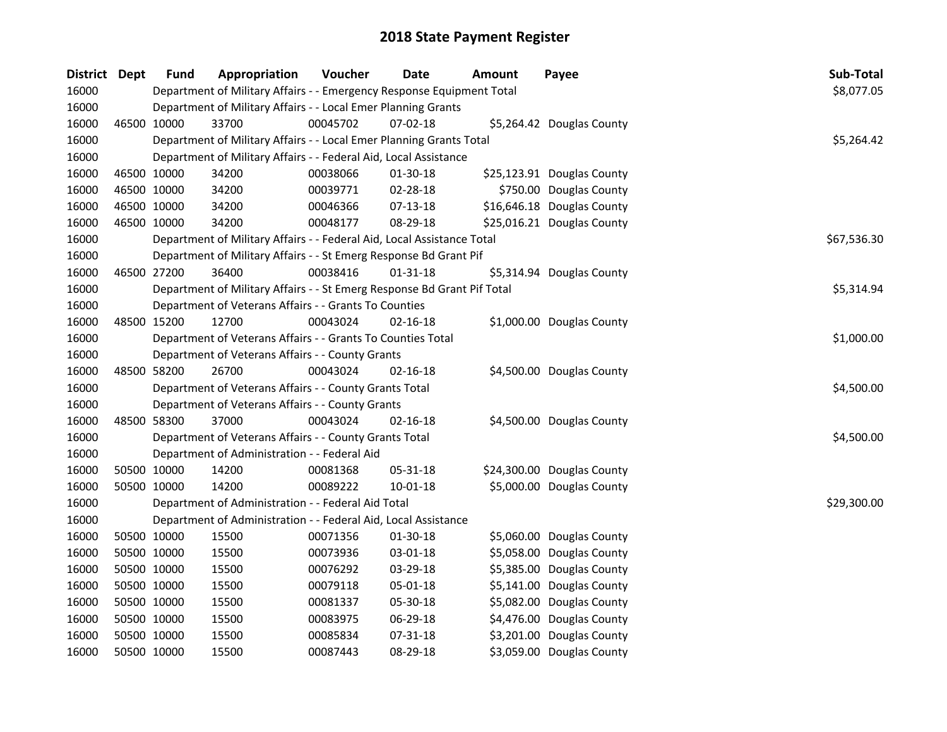| District Dept |             | <b>Fund</b> | Appropriation                                                           | Voucher  | <b>Date</b>    | Amount | Payee                      | Sub-Total   |
|---------------|-------------|-------------|-------------------------------------------------------------------------|----------|----------------|--------|----------------------------|-------------|
| 16000         |             |             | Department of Military Affairs - - Emergency Response Equipment Total   |          |                |        |                            | \$8,077.05  |
| 16000         |             |             | Department of Military Affairs - - Local Emer Planning Grants           |          |                |        |                            |             |
| 16000         |             | 46500 10000 | 33700                                                                   | 00045702 | 07-02-18       |        | \$5,264.42 Douglas County  |             |
| 16000         |             |             | Department of Military Affairs - - Local Emer Planning Grants Total     |          |                |        |                            | \$5,264.42  |
| 16000         |             |             | Department of Military Affairs - - Federal Aid, Local Assistance        |          |                |        |                            |             |
| 16000         |             | 46500 10000 | 34200                                                                   | 00038066 | 01-30-18       |        | \$25,123.91 Douglas County |             |
| 16000         | 46500 10000 |             | 34200                                                                   | 00039771 | 02-28-18       |        | \$750.00 Douglas County    |             |
| 16000         | 46500 10000 |             | 34200                                                                   | 00046366 | $07-13-18$     |        | \$16,646.18 Douglas County |             |
| 16000         | 46500 10000 |             | 34200                                                                   | 00048177 | 08-29-18       |        | \$25,016.21 Douglas County |             |
| 16000         |             |             | Department of Military Affairs - - Federal Aid, Local Assistance Total  |          |                |        |                            | \$67,536.30 |
| 16000         |             |             | Department of Military Affairs - - St Emerg Response Bd Grant Pif       |          |                |        |                            |             |
| 16000         |             | 46500 27200 | 36400                                                                   | 00038416 | $01 - 31 - 18$ |        | \$5,314.94 Douglas County  |             |
| 16000         |             |             | Department of Military Affairs - - St Emerg Response Bd Grant Pif Total |          |                |        |                            | \$5,314.94  |
| 16000         |             |             | Department of Veterans Affairs - - Grants To Counties                   |          |                |        |                            |             |
| 16000         | 48500 15200 |             | 12700                                                                   | 00043024 | $02 - 16 - 18$ |        | \$1,000.00 Douglas County  |             |
| 16000         |             |             | Department of Veterans Affairs - - Grants To Counties Total             |          |                |        |                            | \$1,000.00  |
| 16000         |             |             | Department of Veterans Affairs - - County Grants                        |          |                |        |                            |             |
| 16000         | 48500 58200 |             | 26700                                                                   | 00043024 | $02 - 16 - 18$ |        | \$4,500.00 Douglas County  |             |
| 16000         |             |             | Department of Veterans Affairs - - County Grants Total                  |          |                |        |                            | \$4,500.00  |
| 16000         |             |             | Department of Veterans Affairs - - County Grants                        |          |                |        |                            |             |
| 16000         | 48500 58300 |             | 37000                                                                   | 00043024 | $02 - 16 - 18$ |        | \$4,500.00 Douglas County  |             |
| 16000         |             |             | Department of Veterans Affairs - - County Grants Total                  |          |                |        |                            | \$4,500.00  |
| 16000         |             |             | Department of Administration - - Federal Aid                            |          |                |        |                            |             |
| 16000         | 50500 10000 |             | 14200                                                                   | 00081368 | 05-31-18       |        | \$24,300.00 Douglas County |             |
| 16000         |             | 50500 10000 | 14200                                                                   | 00089222 | 10-01-18       |        | \$5,000.00 Douglas County  |             |
| 16000         |             |             | Department of Administration - - Federal Aid Total                      |          |                |        |                            | \$29,300.00 |
| 16000         |             |             | Department of Administration - - Federal Aid, Local Assistance          |          |                |        |                            |             |
| 16000         |             | 50500 10000 | 15500                                                                   | 00071356 | 01-30-18       |        | \$5,060.00 Douglas County  |             |
| 16000         | 50500 10000 |             | 15500                                                                   | 00073936 | 03-01-18       |        | \$5,058.00 Douglas County  |             |
| 16000         | 50500 10000 |             | 15500                                                                   | 00076292 | 03-29-18       |        | \$5,385.00 Douglas County  |             |
| 16000         | 50500 10000 |             | 15500                                                                   | 00079118 | 05-01-18       |        | \$5,141.00 Douglas County  |             |
| 16000         | 50500 10000 |             | 15500                                                                   | 00081337 | 05-30-18       |        | \$5,082.00 Douglas County  |             |
| 16000         | 50500 10000 |             | 15500                                                                   | 00083975 | 06-29-18       |        | \$4,476.00 Douglas County  |             |
| 16000         | 50500 10000 |             | 15500                                                                   | 00085834 | 07-31-18       |        | \$3,201.00 Douglas County  |             |
| 16000         |             | 50500 10000 | 15500                                                                   | 00087443 | 08-29-18       |        | \$3,059.00 Douglas County  |             |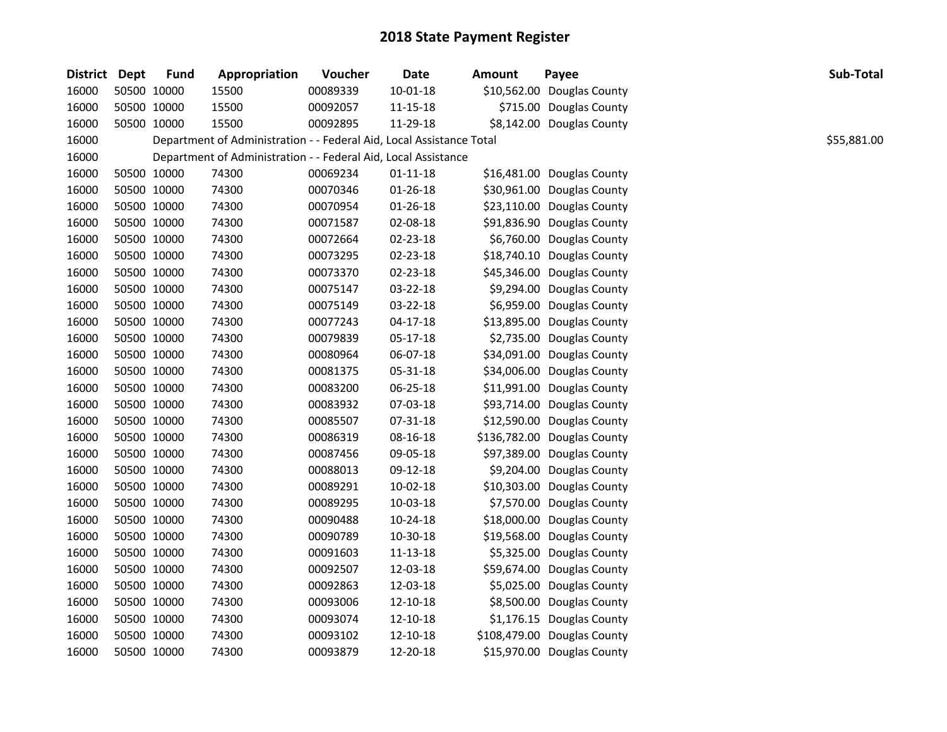| District Dept | <b>Fund</b> | Appropriation                                                        | Voucher  | Date           | <b>Amount</b> | Payee                       | Sub-Total   |
|---------------|-------------|----------------------------------------------------------------------|----------|----------------|---------------|-----------------------------|-------------|
| 16000         | 50500 10000 | 15500                                                                | 00089339 | $10 - 01 - 18$ |               | \$10,562.00 Douglas County  |             |
| 16000         | 50500 10000 | 15500                                                                | 00092057 | 11-15-18       |               | \$715.00 Douglas County     |             |
| 16000         | 50500 10000 | 15500                                                                | 00092895 | 11-29-18       |               | \$8,142.00 Douglas County   |             |
| 16000         |             | Department of Administration - - Federal Aid, Local Assistance Total |          |                |               |                             | \$55,881.00 |
| 16000         |             | Department of Administration - - Federal Aid, Local Assistance       |          |                |               |                             |             |
| 16000         | 50500 10000 | 74300                                                                | 00069234 | $01 - 11 - 18$ |               | \$16,481.00 Douglas County  |             |
| 16000         | 50500 10000 | 74300                                                                | 00070346 | 01-26-18       |               | \$30,961.00 Douglas County  |             |
| 16000         | 50500 10000 | 74300                                                                | 00070954 | $01 - 26 - 18$ |               | \$23,110.00 Douglas County  |             |
| 16000         | 50500 10000 | 74300                                                                | 00071587 | 02-08-18       |               | \$91,836.90 Douglas County  |             |
| 16000         | 50500 10000 | 74300                                                                | 00072664 | 02-23-18       |               | \$6,760.00 Douglas County   |             |
| 16000         | 50500 10000 | 74300                                                                | 00073295 | 02-23-18       |               | \$18,740.10 Douglas County  |             |
| 16000         | 50500 10000 | 74300                                                                | 00073370 | 02-23-18       |               | \$45,346.00 Douglas County  |             |
| 16000         | 50500 10000 | 74300                                                                | 00075147 | 03-22-18       |               | \$9,294.00 Douglas County   |             |
| 16000         | 50500 10000 | 74300                                                                | 00075149 | 03-22-18       |               | \$6,959.00 Douglas County   |             |
| 16000         | 50500 10000 | 74300                                                                | 00077243 | 04-17-18       |               | \$13,895.00 Douglas County  |             |
| 16000         | 50500 10000 | 74300                                                                | 00079839 | 05-17-18       |               | \$2,735.00 Douglas County   |             |
| 16000         | 50500 10000 | 74300                                                                | 00080964 | 06-07-18       |               | \$34,091.00 Douglas County  |             |
| 16000         | 50500 10000 | 74300                                                                | 00081375 | 05-31-18       |               | \$34,006.00 Douglas County  |             |
| 16000         | 50500 10000 | 74300                                                                | 00083200 | 06-25-18       |               | \$11,991.00 Douglas County  |             |
| 16000         | 50500 10000 | 74300                                                                | 00083932 | 07-03-18       |               | \$93,714.00 Douglas County  |             |
| 16000         | 50500 10000 | 74300                                                                | 00085507 | 07-31-18       |               | \$12,590.00 Douglas County  |             |
| 16000         | 50500 10000 | 74300                                                                | 00086319 | 08-16-18       |               | \$136,782.00 Douglas County |             |
| 16000         | 50500 10000 | 74300                                                                | 00087456 | 09-05-18       |               | \$97,389.00 Douglas County  |             |
| 16000         | 50500 10000 | 74300                                                                | 00088013 | 09-12-18       |               | \$9,204.00 Douglas County   |             |
| 16000         | 50500 10000 | 74300                                                                | 00089291 | 10-02-18       |               | \$10,303.00 Douglas County  |             |
| 16000         | 50500 10000 | 74300                                                                | 00089295 | 10-03-18       |               | \$7,570.00 Douglas County   |             |
| 16000         | 50500 10000 | 74300                                                                | 00090488 | 10-24-18       |               | \$18,000.00 Douglas County  |             |
| 16000         | 50500 10000 | 74300                                                                | 00090789 | 10-30-18       |               | \$19,568.00 Douglas County  |             |
| 16000         | 50500 10000 | 74300                                                                | 00091603 | 11-13-18       |               | \$5,325.00 Douglas County   |             |
| 16000         | 50500 10000 | 74300                                                                | 00092507 | 12-03-18       |               | \$59,674.00 Douglas County  |             |
| 16000         | 50500 10000 | 74300                                                                | 00092863 | 12-03-18       |               | \$5,025.00 Douglas County   |             |
| 16000         | 50500 10000 | 74300                                                                | 00093006 | 12-10-18       |               | \$8,500.00 Douglas County   |             |
| 16000         | 50500 10000 | 74300                                                                | 00093074 | 12-10-18       |               | \$1,176.15 Douglas County   |             |
| 16000         | 50500 10000 | 74300                                                                | 00093102 | 12-10-18       |               | \$108,479.00 Douglas County |             |
| 16000         | 50500 10000 | 74300                                                                | 00093879 | 12-20-18       |               | \$15,970.00 Douglas County  |             |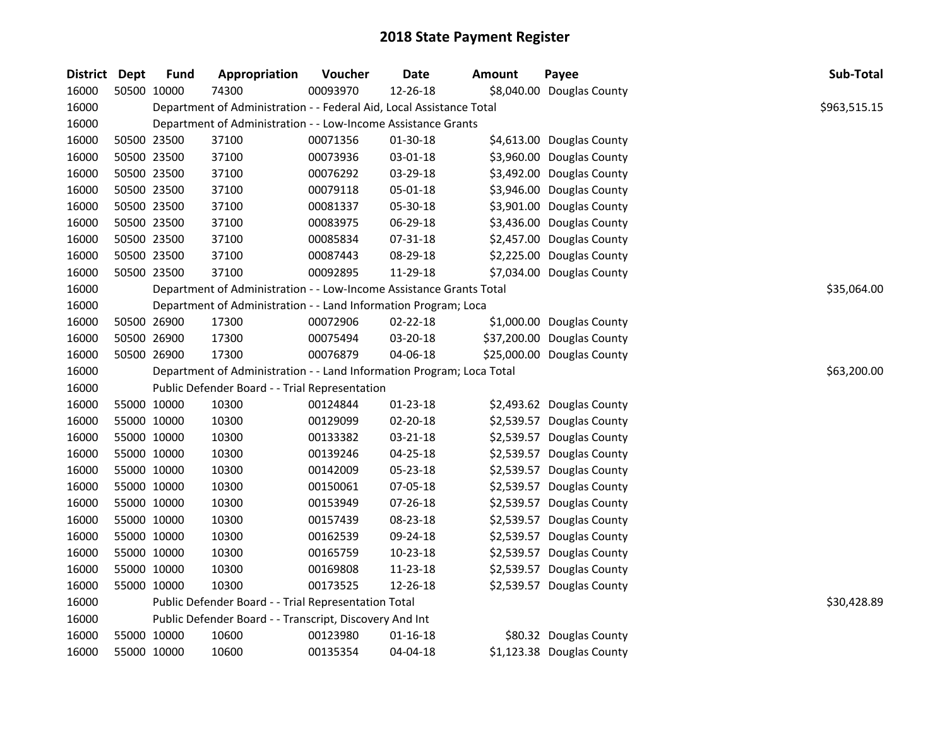| District Dept |             | <b>Fund</b> | Appropriation                                                         | Voucher  | <b>Date</b>    | Amount | Payee                      | Sub-Total    |
|---------------|-------------|-------------|-----------------------------------------------------------------------|----------|----------------|--------|----------------------------|--------------|
| 16000         |             | 50500 10000 | 74300                                                                 | 00093970 | 12-26-18       |        | \$8,040.00 Douglas County  |              |
| 16000         |             |             | Department of Administration - - Federal Aid, Local Assistance Total  |          |                |        |                            | \$963,515.15 |
| 16000         |             |             | Department of Administration - - Low-Income Assistance Grants         |          |                |        |                            |              |
| 16000         | 50500 23500 |             | 37100                                                                 | 00071356 | 01-30-18       |        | \$4,613.00 Douglas County  |              |
| 16000         |             | 50500 23500 | 37100                                                                 | 00073936 | 03-01-18       |        | \$3,960.00 Douglas County  |              |
| 16000         |             | 50500 23500 | 37100                                                                 | 00076292 | 03-29-18       |        | \$3,492.00 Douglas County  |              |
| 16000         |             | 50500 23500 | 37100                                                                 | 00079118 | 05-01-18       |        | \$3,946.00 Douglas County  |              |
| 16000         |             | 50500 23500 | 37100                                                                 | 00081337 | 05-30-18       |        | \$3,901.00 Douglas County  |              |
| 16000         | 50500 23500 |             | 37100                                                                 | 00083975 | 06-29-18       |        | \$3,436.00 Douglas County  |              |
| 16000         | 50500 23500 |             | 37100                                                                 | 00085834 | 07-31-18       |        | \$2,457.00 Douglas County  |              |
| 16000         | 50500 23500 |             | 37100                                                                 | 00087443 | 08-29-18       |        | \$2,225.00 Douglas County  |              |
| 16000         |             | 50500 23500 | 37100                                                                 | 00092895 | 11-29-18       |        | \$7,034.00 Douglas County  |              |
| 16000         |             |             | Department of Administration - - Low-Income Assistance Grants Total   |          |                |        |                            | \$35,064.00  |
| 16000         |             |             | Department of Administration - - Land Information Program; Loca       |          |                |        |                            |              |
| 16000         |             | 50500 26900 | 17300                                                                 | 00072906 | 02-22-18       |        | \$1,000.00 Douglas County  |              |
| 16000         |             | 50500 26900 | 17300                                                                 | 00075494 | 03-20-18       |        | \$37,200.00 Douglas County |              |
| 16000         |             | 50500 26900 | 17300                                                                 | 00076879 | 04-06-18       |        | \$25,000.00 Douglas County |              |
| 16000         |             |             | Department of Administration - - Land Information Program; Loca Total |          |                |        |                            | \$63,200.00  |
| 16000         |             |             | Public Defender Board - - Trial Representation                        |          |                |        |                            |              |
| 16000         |             | 55000 10000 | 10300                                                                 | 00124844 | 01-23-18       |        | \$2,493.62 Douglas County  |              |
| 16000         | 55000 10000 |             | 10300                                                                 | 00129099 | $02 - 20 - 18$ |        | \$2,539.57 Douglas County  |              |
| 16000         | 55000 10000 |             | 10300                                                                 | 00133382 | 03-21-18       |        | \$2,539.57 Douglas County  |              |
| 16000         | 55000 10000 |             | 10300                                                                 | 00139246 | $04 - 25 - 18$ |        | \$2,539.57 Douglas County  |              |
| 16000         | 55000 10000 |             | 10300                                                                 | 00142009 | 05-23-18       |        | \$2,539.57 Douglas County  |              |
| 16000         | 55000 10000 |             | 10300                                                                 | 00150061 | 07-05-18       |        | \$2,539.57 Douglas County  |              |
| 16000         | 55000 10000 |             | 10300                                                                 | 00153949 | 07-26-18       |        | \$2,539.57 Douglas County  |              |
| 16000         | 55000 10000 |             | 10300                                                                 | 00157439 | 08-23-18       |        | \$2,539.57 Douglas County  |              |
| 16000         |             | 55000 10000 | 10300                                                                 | 00162539 | 09-24-18       |        | \$2,539.57 Douglas County  |              |
| 16000         | 55000 10000 |             | 10300                                                                 | 00165759 | $10-23-18$     |        | \$2,539.57 Douglas County  |              |
| 16000         |             | 55000 10000 | 10300                                                                 | 00169808 | 11-23-18       |        | \$2,539.57 Douglas County  |              |
| 16000         |             | 55000 10000 | 10300                                                                 | 00173525 | 12-26-18       |        | \$2,539.57 Douglas County  |              |
| 16000         |             |             | Public Defender Board - - Trial Representation Total                  |          |                |        |                            | \$30,428.89  |
| 16000         |             |             | Public Defender Board - - Transcript, Discovery And Int               |          |                |        |                            |              |
| 16000         |             | 55000 10000 | 10600                                                                 | 00123980 | $01 - 16 - 18$ |        | \$80.32 Douglas County     |              |
| 16000         |             | 55000 10000 | 10600                                                                 | 00135354 | 04-04-18       |        | \$1,123.38 Douglas County  |              |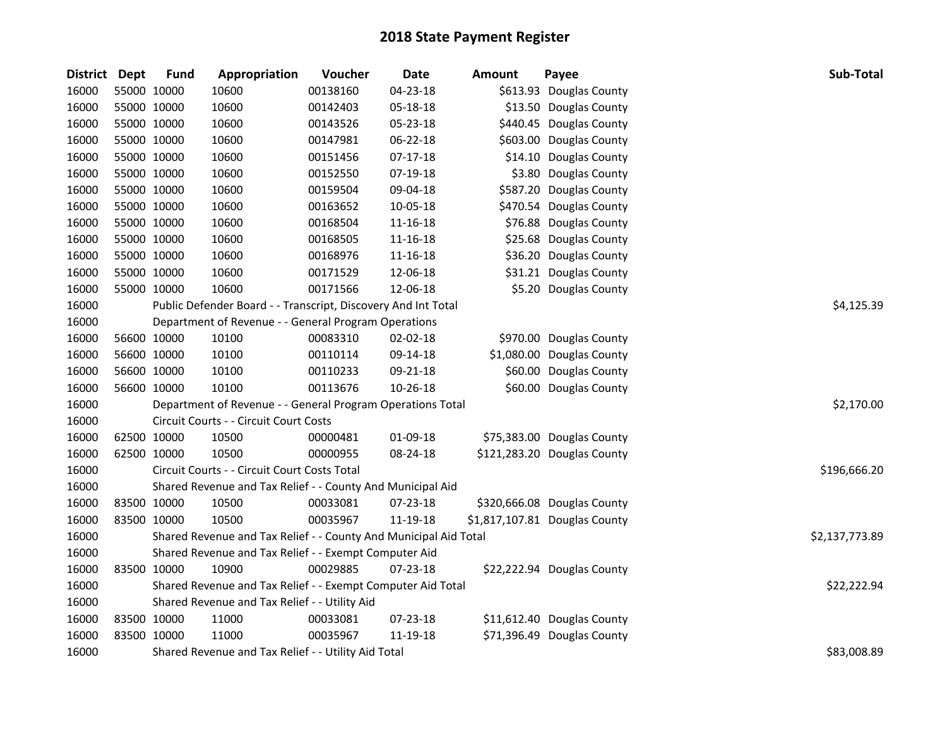| <b>District</b> | Dept        | <b>Fund</b> | Appropriation                                                    | Voucher  | <b>Date</b>    | <b>Amount</b> | Payee                         | Sub-Total      |  |  |  |
|-----------------|-------------|-------------|------------------------------------------------------------------|----------|----------------|---------------|-------------------------------|----------------|--|--|--|
| 16000           |             | 55000 10000 | 10600                                                            | 00138160 | 04-23-18       |               | \$613.93 Douglas County       |                |  |  |  |
| 16000           |             | 55000 10000 | 10600                                                            | 00142403 | 05-18-18       |               | \$13.50 Douglas County        |                |  |  |  |
| 16000           | 55000 10000 |             | 10600                                                            | 00143526 | 05-23-18       |               | \$440.45 Douglas County       |                |  |  |  |
| 16000           | 55000 10000 |             | 10600                                                            | 00147981 | 06-22-18       |               | \$603.00 Douglas County       |                |  |  |  |
| 16000           |             | 55000 10000 | 10600                                                            | 00151456 | 07-17-18       |               | \$14.10 Douglas County        |                |  |  |  |
| 16000           | 55000 10000 |             | 10600                                                            | 00152550 | 07-19-18       |               | \$3.80 Douglas County         |                |  |  |  |
| 16000           |             | 55000 10000 | 10600                                                            | 00159504 | 09-04-18       |               | \$587.20 Douglas County       |                |  |  |  |
| 16000           |             | 55000 10000 | 10600                                                            | 00163652 | 10-05-18       |               | \$470.54 Douglas County       |                |  |  |  |
| 16000           | 55000 10000 |             | 10600                                                            | 00168504 | 11-16-18       |               | \$76.88 Douglas County        |                |  |  |  |
| 16000           |             | 55000 10000 | 10600                                                            | 00168505 | 11-16-18       |               | \$25.68 Douglas County        |                |  |  |  |
| 16000           | 55000 10000 |             | 10600                                                            | 00168976 | 11-16-18       |               | \$36.20 Douglas County        |                |  |  |  |
| 16000           | 55000 10000 |             | 10600                                                            | 00171529 | 12-06-18       |               | \$31.21 Douglas County        |                |  |  |  |
| 16000           | 55000 10000 |             | 10600                                                            | 00171566 | 12-06-18       |               | \$5.20 Douglas County         |                |  |  |  |
| 16000           |             |             | Public Defender Board - - Transcript, Discovery And Int Total    |          |                |               |                               | \$4,125.39     |  |  |  |
| 16000           |             |             | Department of Revenue - - General Program Operations             |          |                |               |                               |                |  |  |  |
| 16000           | 56600 10000 |             | 10100                                                            | 00083310 | 02-02-18       |               | \$970.00 Douglas County       |                |  |  |  |
| 16000           |             | 56600 10000 | 10100                                                            | 00110114 | 09-14-18       |               | \$1,080.00 Douglas County     |                |  |  |  |
| 16000           | 56600 10000 |             | 10100                                                            | 00110233 | 09-21-18       |               | \$60.00 Douglas County        |                |  |  |  |
| 16000           | 56600 10000 |             | 10100                                                            | 00113676 | 10-26-18       |               | \$60.00 Douglas County        |                |  |  |  |
| 16000           |             |             | Department of Revenue - - General Program Operations Total       |          |                |               |                               | \$2,170.00     |  |  |  |
| 16000           |             |             | Circuit Courts - - Circuit Court Costs                           |          |                |               |                               |                |  |  |  |
| 16000           | 62500 10000 |             | 10500                                                            | 00000481 | 01-09-18       |               | \$75,383.00 Douglas County    |                |  |  |  |
| 16000           |             | 62500 10000 | 10500                                                            | 00000955 | 08-24-18       |               | \$121,283.20 Douglas County   |                |  |  |  |
| 16000           |             |             | Circuit Courts - - Circuit Court Costs Total                     |          |                |               |                               | \$196,666.20   |  |  |  |
| 16000           |             |             | Shared Revenue and Tax Relief - - County And Municipal Aid       |          |                |               |                               |                |  |  |  |
| 16000           |             | 83500 10000 | 10500                                                            | 00033081 | 07-23-18       |               | \$320,666.08 Douglas County   |                |  |  |  |
| 16000           | 83500 10000 |             | 10500                                                            | 00035967 | 11-19-18       |               | \$1,817,107.81 Douglas County |                |  |  |  |
| 16000           |             |             | Shared Revenue and Tax Relief - - County And Municipal Aid Total |          |                |               |                               | \$2,137,773.89 |  |  |  |
| 16000           |             |             | Shared Revenue and Tax Relief - - Exempt Computer Aid            |          |                |               |                               |                |  |  |  |
| 16000           | 83500 10000 |             | 10900                                                            | 00029885 | $07 - 23 - 18$ |               | \$22,222.94 Douglas County    |                |  |  |  |
| 16000           |             |             | Shared Revenue and Tax Relief - - Exempt Computer Aid Total      |          |                |               |                               | \$22,222.94    |  |  |  |
| 16000           |             |             | Shared Revenue and Tax Relief - - Utility Aid                    |          |                |               |                               |                |  |  |  |
| 16000           |             | 83500 10000 | 11000                                                            | 00033081 | 07-23-18       |               | \$11,612.40 Douglas County    |                |  |  |  |
| 16000           | 83500 10000 |             | 11000                                                            | 00035967 | 11-19-18       |               | \$71,396.49 Douglas County    |                |  |  |  |
| 16000           |             |             | Shared Revenue and Tax Relief - - Utility Aid Total              |          |                |               |                               | \$83,008.89    |  |  |  |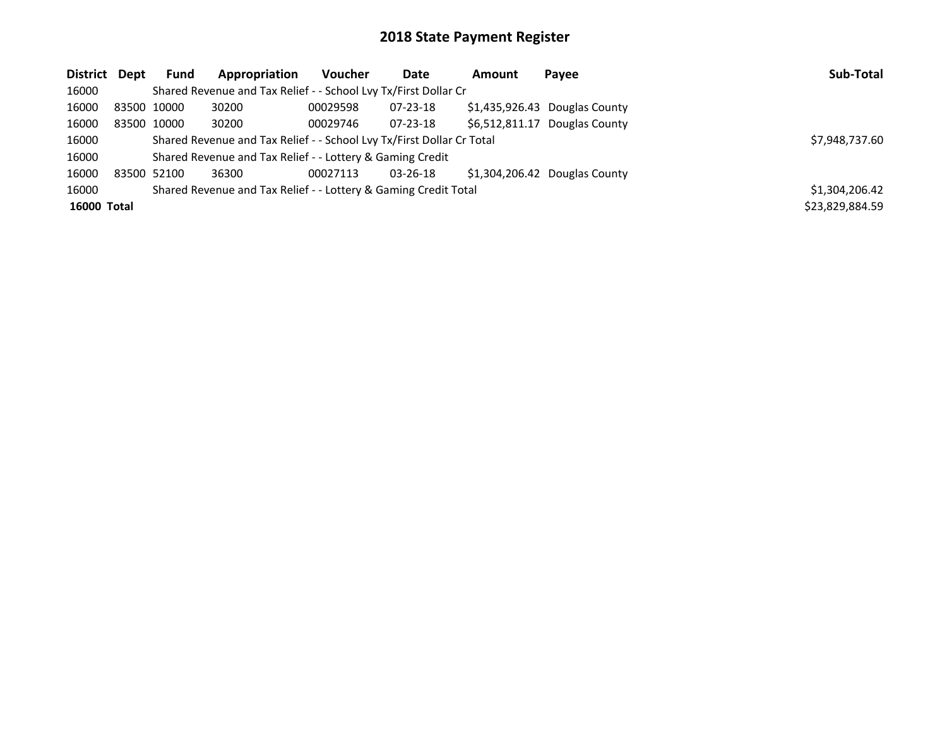| District Dept      |             | <b>Fund</b> | Appropriation                                                         | <b>Voucher</b> | Date           | <b>Amount</b>  | Payee                         | Sub-Total       |
|--------------------|-------------|-------------|-----------------------------------------------------------------------|----------------|----------------|----------------|-------------------------------|-----------------|
| 16000              |             |             | Shared Revenue and Tax Relief - - School Lvy Tx/First Dollar Cr       |                |                |                |                               |                 |
| 16000              | 83500 10000 |             | 30200                                                                 | 00029598       | 07-23-18       |                | \$1,435,926.43 Douglas County |                 |
| 16000              |             | 83500 10000 | 30200                                                                 | 00029746       | $07 - 23 - 18$ | \$6.512.811.17 | Douglas County                |                 |
| 16000              |             |             | Shared Revenue and Tax Relief - - School Lvy Tx/First Dollar Cr Total |                |                |                |                               | \$7,948,737.60  |
| 16000              |             |             | Shared Revenue and Tax Relief - - Lottery & Gaming Credit             |                |                |                |                               |                 |
| 16000              | 83500 52100 |             | 36300                                                                 | 00027113       | 03-26-18       |                | \$1.304.206.42 Douglas County |                 |
| 16000              |             |             | Shared Revenue and Tax Relief - - Lottery & Gaming Credit Total       |                |                |                |                               | \$1,304,206.42  |
| <b>16000 Total</b> |             |             |                                                                       |                |                |                |                               | \$23,829,884.59 |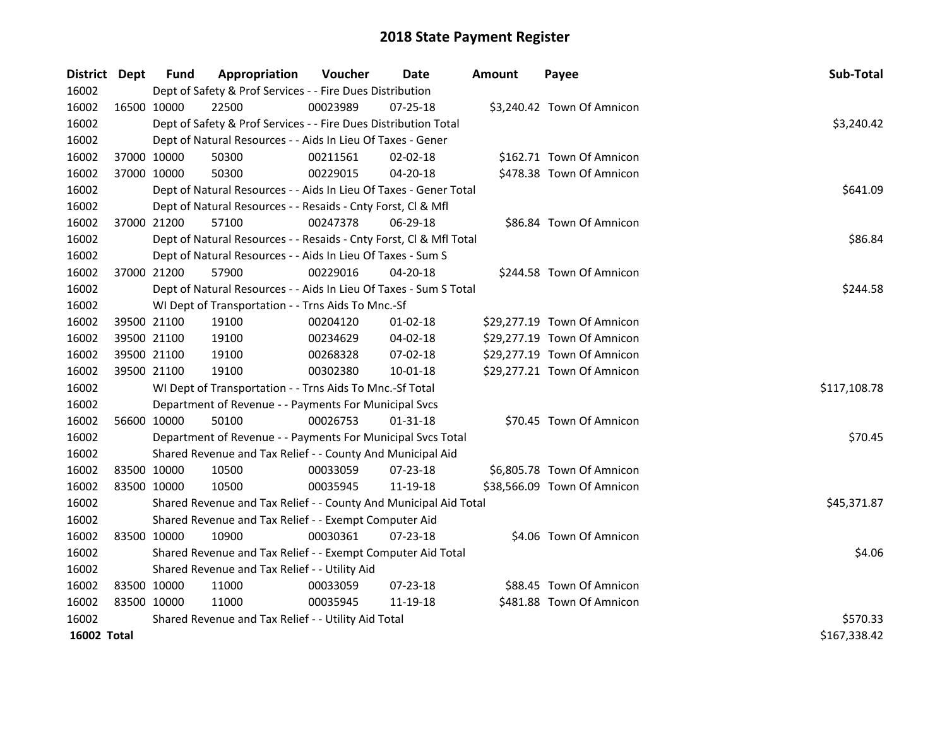| District Dept      | Fund                                          | Appropriation                                                      | <b>Voucher</b> | Date           | <b>Amount</b> | Payee                       | Sub-Total    |  |  |
|--------------------|-----------------------------------------------|--------------------------------------------------------------------|----------------|----------------|---------------|-----------------------------|--------------|--|--|
| 16002              |                                               | Dept of Safety & Prof Services - - Fire Dues Distribution          |                |                |               |                             |              |  |  |
| 16002              | 16500 10000                                   | 22500                                                              | 00023989       | 07-25-18       |               | \$3,240.42 Town Of Amnicon  |              |  |  |
| 16002              |                                               | Dept of Safety & Prof Services - - Fire Dues Distribution Total    |                |                |               |                             | \$3,240.42   |  |  |
| 16002              |                                               | Dept of Natural Resources - - Aids In Lieu Of Taxes - Gener        |                |                |               |                             |              |  |  |
| 16002              | 37000 10000                                   | 50300                                                              | 00211561       | 02-02-18       |               | \$162.71 Town Of Amnicon    |              |  |  |
| 16002              | 37000 10000                                   | 50300                                                              | 00229015       | 04-20-18       |               | \$478.38 Town Of Amnicon    |              |  |  |
| 16002              |                                               | Dept of Natural Resources - - Aids In Lieu Of Taxes - Gener Total  |                |                |               |                             | \$641.09     |  |  |
| 16002              |                                               | Dept of Natural Resources - - Resaids - Cnty Forst, Cl & Mfl       |                |                |               |                             |              |  |  |
| 16002              | 37000 21200                                   | 57100                                                              | 00247378       | 06-29-18       |               | \$86.84 Town Of Amnicon     |              |  |  |
| 16002              |                                               | Dept of Natural Resources - - Resaids - Cnty Forst, Cl & Mfl Total |                |                |               |                             | \$86.84      |  |  |
| 16002              |                                               | Dept of Natural Resources - - Aids In Lieu Of Taxes - Sum S        |                |                |               |                             |              |  |  |
| 16002              | 37000 21200                                   | 57900                                                              | 00229016       | 04-20-18       |               | \$244.58 Town Of Amnicon    |              |  |  |
| 16002              |                                               | Dept of Natural Resources - - Aids In Lieu Of Taxes - Sum S Total  |                |                |               |                             | \$244.58     |  |  |
| 16002              |                                               | WI Dept of Transportation - - Trns Aids To Mnc.-Sf                 |                |                |               |                             |              |  |  |
| 16002              | 39500 21100                                   | 19100                                                              | 00204120       | $01-02-18$     |               | \$29,277.19 Town Of Amnicon |              |  |  |
| 16002              | 39500 21100                                   | 19100                                                              | 00234629       | 04-02-18       |               | \$29,277.19 Town Of Amnicon |              |  |  |
| 16002              | 39500 21100                                   | 19100                                                              | 00268328       | 07-02-18       |               | \$29,277.19 Town Of Amnicon |              |  |  |
| 16002              | 39500 21100                                   | 19100                                                              | 00302380       | 10-01-18       |               | \$29,277.21 Town Of Amnicon |              |  |  |
| 16002              |                                               | WI Dept of Transportation - - Trns Aids To Mnc.-Sf Total           |                |                |               |                             | \$117,108.78 |  |  |
| 16002              |                                               | Department of Revenue - - Payments For Municipal Svcs              |                |                |               |                             |              |  |  |
| 16002              | 56600 10000                                   | 50100                                                              | 00026753       | $01 - 31 - 18$ |               | \$70.45 Town Of Amnicon     |              |  |  |
| 16002              |                                               | Department of Revenue - - Payments For Municipal Svcs Total        |                |                |               |                             | \$70.45      |  |  |
| 16002              |                                               | Shared Revenue and Tax Relief - - County And Municipal Aid         |                |                |               |                             |              |  |  |
| 16002              | 83500 10000                                   | 10500                                                              | 00033059       | 07-23-18       |               | \$6,805.78 Town Of Amnicon  |              |  |  |
| 16002              | 83500 10000                                   | 10500                                                              | 00035945       | 11-19-18       |               | \$38,566.09 Town Of Amnicon |              |  |  |
| 16002              |                                               | Shared Revenue and Tax Relief - - County And Municipal Aid Total   |                |                |               |                             | \$45,371.87  |  |  |
| 16002              |                                               | Shared Revenue and Tax Relief - - Exempt Computer Aid              |                |                |               |                             |              |  |  |
| 16002              | 83500 10000                                   | 10900                                                              | 00030361       | 07-23-18       |               | \$4.06 Town Of Amnicon      |              |  |  |
| 16002              |                                               | Shared Revenue and Tax Relief - - Exempt Computer Aid Total        |                |                |               |                             | \$4.06       |  |  |
| 16002              | Shared Revenue and Tax Relief - - Utility Aid |                                                                    |                |                |               |                             |              |  |  |
| 16002              | 83500 10000                                   | 11000                                                              | 00033059       | 07-23-18       |               | \$88.45 Town Of Amnicon     |              |  |  |
| 16002              | 83500 10000                                   | 11000                                                              | 00035945       | 11-19-18       |               | \$481.88 Town Of Amnicon    |              |  |  |
| 16002              |                                               | Shared Revenue and Tax Relief - - Utility Aid Total                |                |                |               |                             | \$570.33     |  |  |
| <b>16002 Total</b> |                                               |                                                                    |                |                |               |                             | \$167,338.42 |  |  |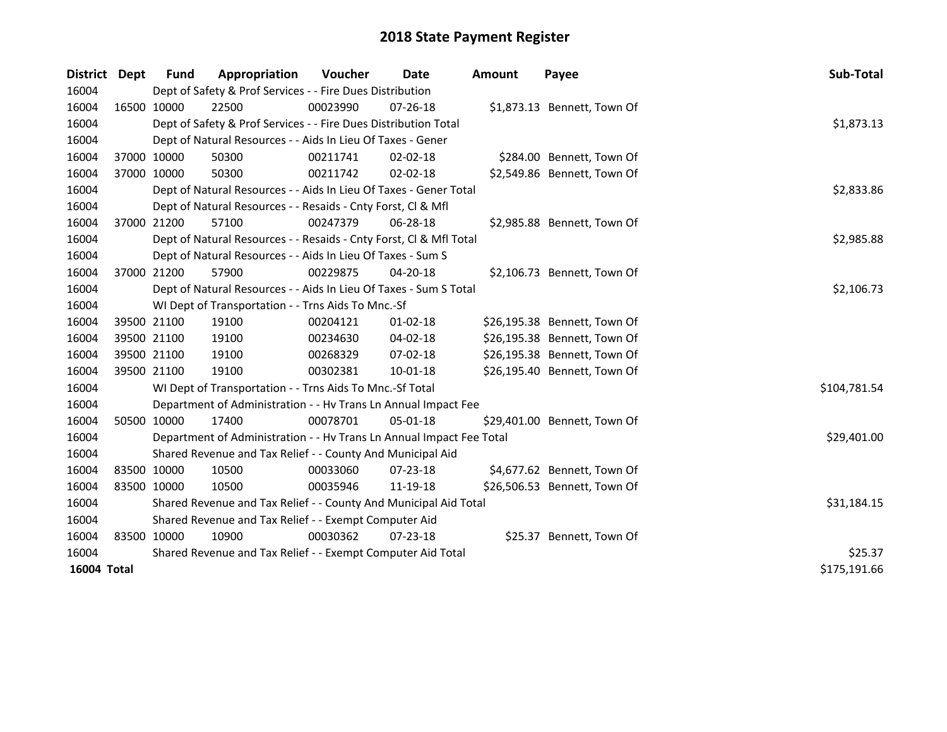| <b>District</b> | <b>Dept</b> | <b>Fund</b>                                           | Appropriation                                                        | <b>Voucher</b> | Date           | <b>Amount</b> | Payee                        | Sub-Total    |  |  |  |
|-----------------|-------------|-------------------------------------------------------|----------------------------------------------------------------------|----------------|----------------|---------------|------------------------------|--------------|--|--|--|
| 16004           |             |                                                       | Dept of Safety & Prof Services - - Fire Dues Distribution            |                |                |               |                              |              |  |  |  |
| 16004           | 16500 10000 |                                                       | 22500                                                                | 00023990       | 07-26-18       |               | \$1,873.13 Bennett, Town Of  |              |  |  |  |
| 16004           |             |                                                       | Dept of Safety & Prof Services - - Fire Dues Distribution Total      |                |                |               |                              | \$1,873.13   |  |  |  |
| 16004           |             |                                                       | Dept of Natural Resources - - Aids In Lieu Of Taxes - Gener          |                |                |               |                              |              |  |  |  |
| 16004           | 37000 10000 |                                                       | 50300                                                                | 00211741       | $02 - 02 - 18$ |               | \$284.00 Bennett, Town Of    |              |  |  |  |
| 16004           | 37000 10000 |                                                       | 50300                                                                | 00211742       | $02 - 02 - 18$ |               | \$2,549.86 Bennett, Town Of  |              |  |  |  |
| 16004           |             |                                                       | Dept of Natural Resources - - Aids In Lieu Of Taxes - Gener Total    |                |                |               |                              |              |  |  |  |
| 16004           |             |                                                       | Dept of Natural Resources - - Resaids - Cnty Forst, Cl & Mfl         |                |                |               |                              |              |  |  |  |
| 16004           | 37000 21200 |                                                       | 57100                                                                | 00247379       | 06-28-18       |               | \$2,985.88 Bennett, Town Of  |              |  |  |  |
| 16004           |             |                                                       | Dept of Natural Resources - - Resaids - Cnty Forst, CI & Mfl Total   |                |                |               |                              | \$2,985.88   |  |  |  |
| 16004           |             |                                                       | Dept of Natural Resources - - Aids In Lieu Of Taxes - Sum S          |                |                |               |                              |              |  |  |  |
| 16004           |             | 37000 21200                                           | 57900                                                                | 00229875       | 04-20-18       |               | \$2,106.73 Bennett, Town Of  |              |  |  |  |
| 16004           |             |                                                       | Dept of Natural Resources - - Aids In Lieu Of Taxes - Sum S Total    |                |                |               |                              | \$2,106.73   |  |  |  |
| 16004           |             |                                                       | WI Dept of Transportation - - Trns Aids To Mnc.-Sf                   |                |                |               |                              |              |  |  |  |
| 16004           |             | 39500 21100                                           | 19100                                                                | 00204121       | 01-02-18       |               | \$26,195.38 Bennett, Town Of |              |  |  |  |
| 16004           | 39500 21100 |                                                       | 19100                                                                | 00234630       | 04-02-18       |               | \$26,195.38 Bennett, Town Of |              |  |  |  |
| 16004           |             | 39500 21100                                           | 19100                                                                | 00268329       | 07-02-18       |               | \$26,195.38 Bennett, Town Of |              |  |  |  |
| 16004           | 39500 21100 |                                                       | 19100                                                                | 00302381       | $10 - 01 - 18$ |               | \$26,195.40 Bennett, Town Of |              |  |  |  |
| 16004           |             |                                                       | WI Dept of Transportation - - Trns Aids To Mnc.-Sf Total             |                |                |               |                              | \$104,781.54 |  |  |  |
| 16004           |             |                                                       | Department of Administration - - Hv Trans Ln Annual Impact Fee       |                |                |               |                              |              |  |  |  |
| 16004           | 50500 10000 |                                                       | 17400                                                                | 00078701       | 05-01-18       |               | \$29,401.00 Bennett, Town Of |              |  |  |  |
| 16004           |             |                                                       | Department of Administration - - Hv Trans Ln Annual Impact Fee Total |                |                |               |                              | \$29,401.00  |  |  |  |
| 16004           |             |                                                       | Shared Revenue and Tax Relief - - County And Municipal Aid           |                |                |               |                              |              |  |  |  |
| 16004           | 83500 10000 |                                                       | 10500                                                                | 00033060       | 07-23-18       |               | \$4,677.62 Bennett, Town Of  |              |  |  |  |
| 16004           | 83500 10000 |                                                       | 10500                                                                | 00035946       | 11-19-18       |               | \$26,506.53 Bennett, Town Of |              |  |  |  |
| 16004           |             |                                                       | Shared Revenue and Tax Relief - - County And Municipal Aid Total     |                |                |               |                              | \$31,184.15  |  |  |  |
| 16004           |             | Shared Revenue and Tax Relief - - Exempt Computer Aid |                                                                      |                |                |               |                              |              |  |  |  |
| 16004           | 83500 10000 |                                                       | 10900                                                                | 00030362       | $07 - 23 - 18$ |               | \$25.37 Bennett, Town Of     |              |  |  |  |
| 16004           |             |                                                       | Shared Revenue and Tax Relief - - Exempt Computer Aid Total          |                |                |               |                              | \$25.37      |  |  |  |
| 16004 Total     |             |                                                       |                                                                      |                |                |               |                              | \$175,191.66 |  |  |  |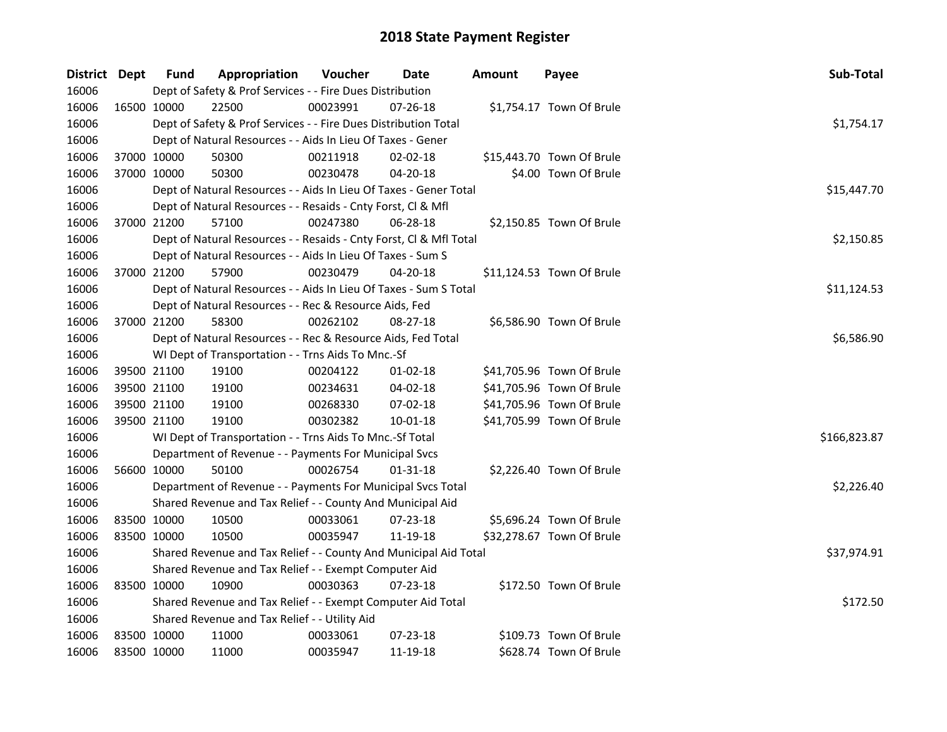| District Dept |             | <b>Fund</b> | Appropriation                                                              | Voucher     | <b>Date</b>    | Amount | Payee                     | Sub-Total    |  |  |  |
|---------------|-------------|-------------|----------------------------------------------------------------------------|-------------|----------------|--------|---------------------------|--------------|--|--|--|
| 16006         |             |             | Dept of Safety & Prof Services - - Fire Dues Distribution                  |             |                |        |                           |              |  |  |  |
| 16006         | 16500 10000 |             | 22500                                                                      | 00023991    | 07-26-18       |        | \$1,754.17 Town Of Brule  |              |  |  |  |
| 16006         |             |             | Dept of Safety & Prof Services - - Fire Dues Distribution Total            |             |                |        |                           | \$1,754.17   |  |  |  |
| 16006         |             |             | Dept of Natural Resources - - Aids In Lieu Of Taxes - Gener                |             |                |        |                           |              |  |  |  |
| 16006         | 37000 10000 |             | 50300                                                                      | 00211918    | 02-02-18       |        | \$15,443.70 Town Of Brule |              |  |  |  |
| 16006         | 37000 10000 |             | 50300                                                                      | 00230478    | $04 - 20 - 18$ |        | \$4.00 Town Of Brule      |              |  |  |  |
| 16006         |             |             | Dept of Natural Resources - - Aids In Lieu Of Taxes - Gener Total          | \$15,447.70 |                |        |                           |              |  |  |  |
| 16006         |             |             | Dept of Natural Resources - - Resaids - Cnty Forst, Cl & Mfl               |             |                |        |                           |              |  |  |  |
| 16006         |             | 37000 21200 | 57100                                                                      | 00247380    | $06 - 28 - 18$ |        | \$2,150.85 Town Of Brule  |              |  |  |  |
| 16006         |             |             | Dept of Natural Resources - - Resaids - Cnty Forst, Cl & Mfl Total         |             |                |        |                           | \$2,150.85   |  |  |  |
| 16006         |             |             | Dept of Natural Resources - - Aids In Lieu Of Taxes - Sum S                |             |                |        |                           |              |  |  |  |
| 16006         |             | 37000 21200 | 57900                                                                      | 00230479    | 04-20-18       |        | \$11,124.53 Town Of Brule |              |  |  |  |
| 16006         |             |             | Dept of Natural Resources - - Aids In Lieu Of Taxes - Sum S Total          |             |                |        |                           | \$11,124.53  |  |  |  |
| 16006         |             |             | Dept of Natural Resources - - Rec & Resource Aids, Fed                     |             |                |        |                           |              |  |  |  |
| 16006         | 37000 21200 |             | 58300                                                                      | 00262102    | $08 - 27 - 18$ |        | \$6,586.90 Town Of Brule  |              |  |  |  |
| 16006         |             |             | Dept of Natural Resources - - Rec & Resource Aids, Fed Total<br>\$6,586.90 |             |                |        |                           |              |  |  |  |
| 16006         |             |             | WI Dept of Transportation - - Trns Aids To Mnc.-Sf                         |             |                |        |                           |              |  |  |  |
| 16006         |             | 39500 21100 | 19100                                                                      | 00204122    | $01 - 02 - 18$ |        | \$41,705.96 Town Of Brule |              |  |  |  |
| 16006         |             | 39500 21100 | 19100                                                                      | 00234631    | 04-02-18       |        | \$41,705.96 Town Of Brule |              |  |  |  |
| 16006         | 39500 21100 |             | 19100                                                                      | 00268330    | 07-02-18       |        | \$41,705.96 Town Of Brule |              |  |  |  |
| 16006         | 39500 21100 |             | 19100                                                                      | 00302382    | 10-01-18       |        | \$41,705.99 Town Of Brule |              |  |  |  |
| 16006         |             |             | WI Dept of Transportation - - Trns Aids To Mnc.-Sf Total                   |             |                |        |                           | \$166,823.87 |  |  |  |
| 16006         |             |             | Department of Revenue - - Payments For Municipal Svcs                      |             |                |        |                           |              |  |  |  |
| 16006         | 56600 10000 |             | 50100                                                                      | 00026754    | 01-31-18       |        | \$2,226.40 Town Of Brule  |              |  |  |  |
| 16006         |             |             | Department of Revenue - - Payments For Municipal Svcs Total                |             |                |        |                           | \$2,226.40   |  |  |  |
| 16006         |             |             | Shared Revenue and Tax Relief - - County And Municipal Aid                 |             |                |        |                           |              |  |  |  |
| 16006         | 83500 10000 |             | 10500                                                                      | 00033061    | 07-23-18       |        | \$5,696.24 Town Of Brule  |              |  |  |  |
| 16006         | 83500 10000 |             | 10500                                                                      | 00035947    | 11-19-18       |        | \$32,278.67 Town Of Brule |              |  |  |  |
| 16006         |             |             | Shared Revenue and Tax Relief - - County And Municipal Aid Total           |             |                |        |                           | \$37,974.91  |  |  |  |
| 16006         |             |             | Shared Revenue and Tax Relief - - Exempt Computer Aid                      |             |                |        |                           |              |  |  |  |
| 16006         | 83500 10000 |             | 10900                                                                      | 00030363    | $07 - 23 - 18$ |        | \$172.50 Town Of Brule    |              |  |  |  |
| 16006         |             |             | Shared Revenue and Tax Relief - - Exempt Computer Aid Total                |             |                |        |                           | \$172.50     |  |  |  |
| 16006         |             |             | Shared Revenue and Tax Relief - - Utility Aid                              |             |                |        |                           |              |  |  |  |
| 16006         | 83500 10000 |             | 11000                                                                      | 00033061    | 07-23-18       |        | \$109.73 Town Of Brule    |              |  |  |  |
| 16006         | 83500 10000 |             | 11000                                                                      | 00035947    | 11-19-18       |        | \$628.74 Town Of Brule    |              |  |  |  |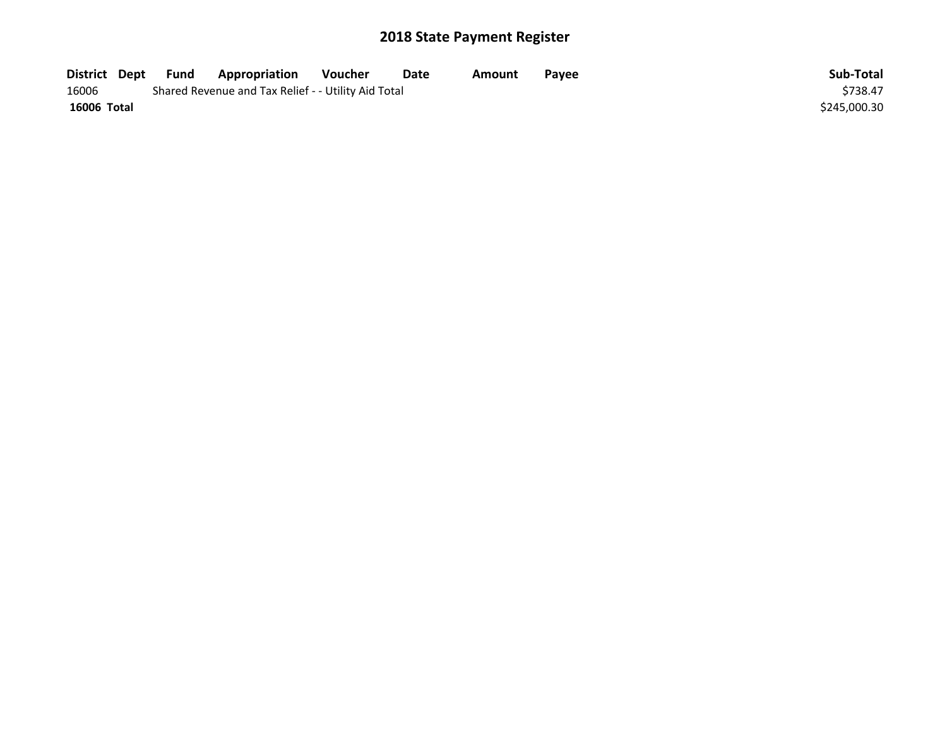| District Dept | Fund | Appropriation                                       | Voucher  | Date | Amount | Payee | Sub-Total    |
|---------------|------|-----------------------------------------------------|----------|------|--------|-------|--------------|
| 16006         |      | Shared Revenue and Tax Relief - - Utility Aid Total | \$738.47 |      |        |       |              |
| 16006 Total   |      |                                                     |          |      |        |       | \$245,000.30 |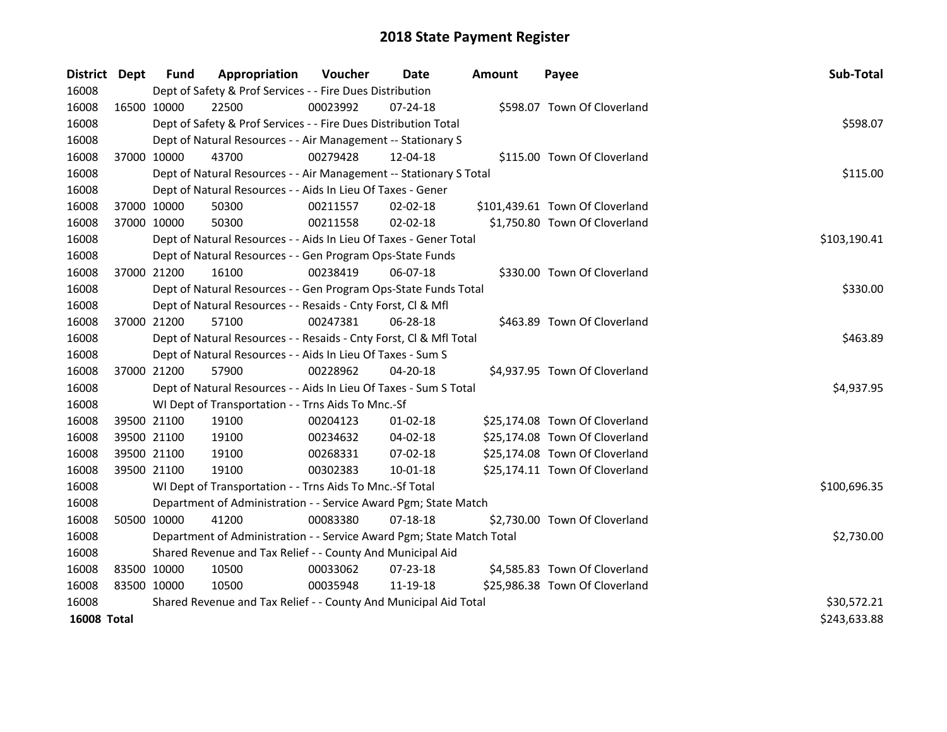| District Dept      |             | <b>Fund</b> | Appropriation                                                         | Voucher  | <b>Date</b>    | <b>Amount</b> | Payee                           | Sub-Total    |
|--------------------|-------------|-------------|-----------------------------------------------------------------------|----------|----------------|---------------|---------------------------------|--------------|
| 16008              |             |             | Dept of Safety & Prof Services - - Fire Dues Distribution             |          |                |               |                                 |              |
| 16008              | 16500 10000 |             | 22500                                                                 | 00023992 | $07 - 24 - 18$ |               | \$598.07 Town Of Cloverland     |              |
| 16008              |             |             | Dept of Safety & Prof Services - - Fire Dues Distribution Total       |          |                |               |                                 | \$598.07     |
| 16008              |             |             | Dept of Natural Resources - - Air Management -- Stationary S          |          |                |               |                                 |              |
| 16008              | 37000 10000 |             | 43700                                                                 | 00279428 | 12-04-18       |               | \$115.00 Town Of Cloverland     |              |
| 16008              |             |             | Dept of Natural Resources - - Air Management -- Stationary S Total    | \$115.00 |                |               |                                 |              |
| 16008              |             |             | Dept of Natural Resources - - Aids In Lieu Of Taxes - Gener           |          |                |               |                                 |              |
| 16008              | 37000 10000 |             | 50300                                                                 | 00211557 | 02-02-18       |               | \$101,439.61 Town Of Cloverland |              |
| 16008              | 37000 10000 |             | 50300                                                                 | 00211558 | $02 - 02 - 18$ |               | \$1,750.80 Town Of Cloverland   |              |
| 16008              |             |             | Dept of Natural Resources - - Aids In Lieu Of Taxes - Gener Total     |          |                |               |                                 | \$103,190.41 |
| 16008              |             |             | Dept of Natural Resources - - Gen Program Ops-State Funds             |          |                |               |                                 |              |
| 16008              | 37000 21200 |             | 16100                                                                 | 00238419 | 06-07-18       |               | \$330.00 Town Of Cloverland     |              |
| 16008              |             |             | Dept of Natural Resources - - Gen Program Ops-State Funds Total       |          |                |               |                                 | \$330.00     |
| 16008              |             |             | Dept of Natural Resources - - Resaids - Cnty Forst, Cl & Mfl          |          |                |               |                                 |              |
| 16008              | 37000 21200 |             | 57100                                                                 | 00247381 | $06 - 28 - 18$ |               | \$463.89 Town Of Cloverland     |              |
| 16008              |             |             | Dept of Natural Resources - - Resaids - Cnty Forst, Cl & Mfl Total    |          |                |               |                                 | \$463.89     |
| 16008              |             |             | Dept of Natural Resources - - Aids In Lieu Of Taxes - Sum S           |          |                |               |                                 |              |
| 16008              | 37000 21200 |             | 57900                                                                 | 00228962 | 04-20-18       |               | \$4,937.95 Town Of Cloverland   |              |
| 16008              |             |             | Dept of Natural Resources - - Aids In Lieu Of Taxes - Sum S Total     |          |                |               |                                 | \$4,937.95   |
| 16008              |             |             | WI Dept of Transportation - - Trns Aids To Mnc.-Sf                    |          |                |               |                                 |              |
| 16008              |             | 39500 21100 | 19100                                                                 | 00204123 | $01 - 02 - 18$ |               | \$25,174.08 Town Of Cloverland  |              |
| 16008              | 39500 21100 |             | 19100                                                                 | 00234632 | 04-02-18       |               | \$25,174.08 Town Of Cloverland  |              |
| 16008              | 39500 21100 |             | 19100                                                                 | 00268331 | 07-02-18       |               | \$25,174.08 Town Of Cloverland  |              |
| 16008              | 39500 21100 |             | 19100                                                                 | 00302383 | 10-01-18       |               | \$25,174.11 Town Of Cloverland  |              |
| 16008              |             |             | WI Dept of Transportation - - Trns Aids To Mnc.-Sf Total              |          |                |               |                                 | \$100,696.35 |
| 16008              |             |             | Department of Administration - - Service Award Pgm; State Match       |          |                |               |                                 |              |
| 16008              |             | 50500 10000 | 41200                                                                 | 00083380 | $07-18-18$     |               | \$2,730.00 Town Of Cloverland   |              |
| 16008              |             |             | Department of Administration - - Service Award Pgm; State Match Total |          |                |               |                                 | \$2,730.00   |
| 16008              |             |             | Shared Revenue and Tax Relief - - County And Municipal Aid            |          |                |               |                                 |              |
| 16008              | 83500 10000 |             | 10500                                                                 | 00033062 | 07-23-18       |               | \$4,585.83 Town Of Cloverland   |              |
| 16008              | 83500 10000 |             | 10500                                                                 | 00035948 | 11-19-18       |               | \$25,986.38 Town Of Cloverland  |              |
| 16008              |             |             | Shared Revenue and Tax Relief - - County And Municipal Aid Total      |          |                |               |                                 | \$30,572.21  |
| <b>16008 Total</b> |             |             |                                                                       |          |                |               |                                 | \$243,633.88 |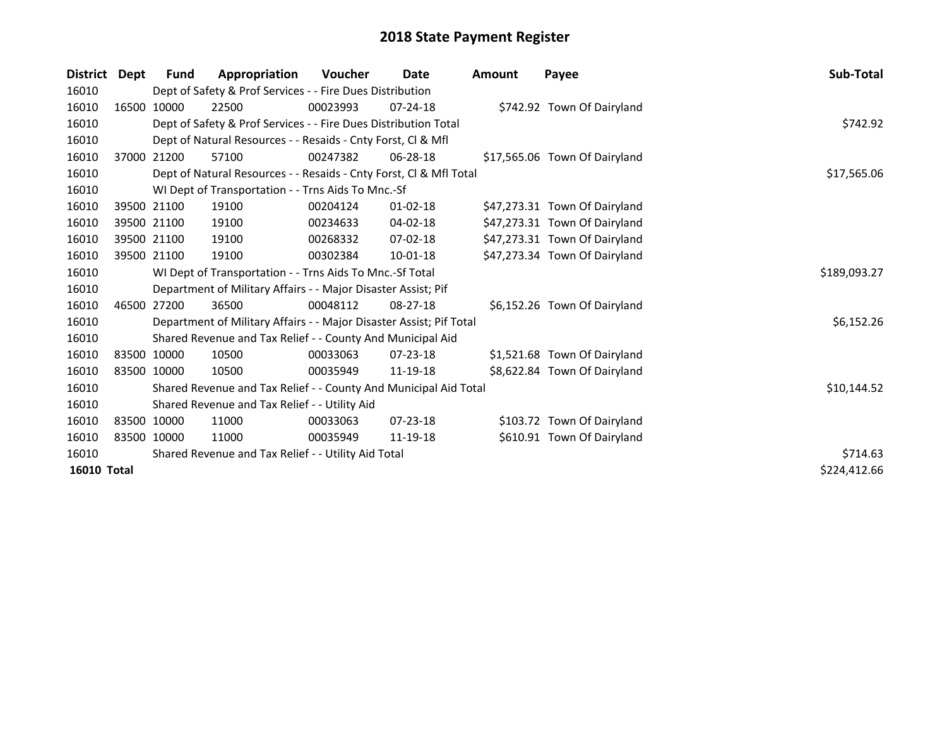| <b>District</b>    | Dept        | <b>Fund</b>                                         | Appropriation                                                       | <b>Voucher</b> | Date           | <b>Amount</b> | Payee                         | Sub-Total    |  |  |  |  |
|--------------------|-------------|-----------------------------------------------------|---------------------------------------------------------------------|----------------|----------------|---------------|-------------------------------|--------------|--|--|--|--|
| 16010              |             |                                                     | Dept of Safety & Prof Services - - Fire Dues Distribution           |                |                |               |                               |              |  |  |  |  |
| 16010              |             | 16500 10000                                         | 22500                                                               | 00023993       | $07 - 24 - 18$ |               | \$742.92 Town Of Dairyland    |              |  |  |  |  |
| 16010              |             |                                                     | Dept of Safety & Prof Services - - Fire Dues Distribution Total     |                |                |               |                               |              |  |  |  |  |
| 16010              |             |                                                     | Dept of Natural Resources - - Resaids - Cnty Forst, CI & Mfl        |                |                |               |                               |              |  |  |  |  |
| 16010              |             | 37000 21200                                         | 57100                                                               | 00247382       | 06-28-18       |               | \$17,565.06 Town Of Dairyland |              |  |  |  |  |
| 16010              |             |                                                     | Dept of Natural Resources - - Resaids - Cnty Forst, Cl & Mfl Total  |                |                |               |                               | \$17,565.06  |  |  |  |  |
| 16010              |             |                                                     | WI Dept of Transportation - - Trns Aids To Mnc.-Sf                  |                |                |               |                               |              |  |  |  |  |
| 16010              |             | 39500 21100                                         | 19100                                                               | 00204124       | $01 - 02 - 18$ |               | \$47,273.31 Town Of Dairyland |              |  |  |  |  |
| 16010              |             | 39500 21100                                         | 19100                                                               | 00234633       | 04-02-18       |               | \$47,273.31 Town Of Dairyland |              |  |  |  |  |
| 16010              |             | 39500 21100                                         | 19100                                                               | 00268332       | 07-02-18       |               | \$47,273.31 Town Of Dairyland |              |  |  |  |  |
| 16010              |             | 39500 21100                                         | 19100                                                               | 00302384       | 10-01-18       |               | \$47,273.34 Town Of Dairyland |              |  |  |  |  |
| 16010              |             |                                                     | WI Dept of Transportation - - Trns Aids To Mnc.-Sf Total            |                |                |               |                               | \$189,093.27 |  |  |  |  |
| 16010              |             |                                                     | Department of Military Affairs - - Major Disaster Assist; Pif       |                |                |               |                               |              |  |  |  |  |
| 16010              |             | 46500 27200                                         | 36500                                                               | 00048112       | $08 - 27 - 18$ |               | \$6,152.26 Town Of Dairyland  |              |  |  |  |  |
| 16010              |             |                                                     | Department of Military Affairs - - Major Disaster Assist; Pif Total |                |                |               |                               | \$6,152.26   |  |  |  |  |
| 16010              |             |                                                     | Shared Revenue and Tax Relief - - County And Municipal Aid          |                |                |               |                               |              |  |  |  |  |
| 16010              | 83500 10000 |                                                     | 10500                                                               | 00033063       | $07 - 23 - 18$ |               | \$1,521.68 Town Of Dairyland  |              |  |  |  |  |
| 16010              | 83500 10000 |                                                     | 10500                                                               | 00035949       | 11-19-18       |               | \$8,622.84 Town Of Dairyland  |              |  |  |  |  |
| 16010              |             |                                                     | Shared Revenue and Tax Relief - - County And Municipal Aid Total    |                |                |               |                               | \$10,144.52  |  |  |  |  |
| 16010              |             |                                                     | Shared Revenue and Tax Relief - - Utility Aid                       |                |                |               |                               |              |  |  |  |  |
| 16010              | 83500 10000 |                                                     | 11000                                                               | 00033063       | $07 - 23 - 18$ |               | \$103.72 Town Of Dairyland    |              |  |  |  |  |
| 16010              | 83500 10000 |                                                     | 11000                                                               | 00035949       | 11-19-18       |               | \$610.91 Town Of Dairyland    |              |  |  |  |  |
| 16010              |             | Shared Revenue and Tax Relief - - Utility Aid Total | \$714.63                                                            |                |                |               |                               |              |  |  |  |  |
| <b>16010 Total</b> |             |                                                     |                                                                     |                |                |               |                               | \$224,412.66 |  |  |  |  |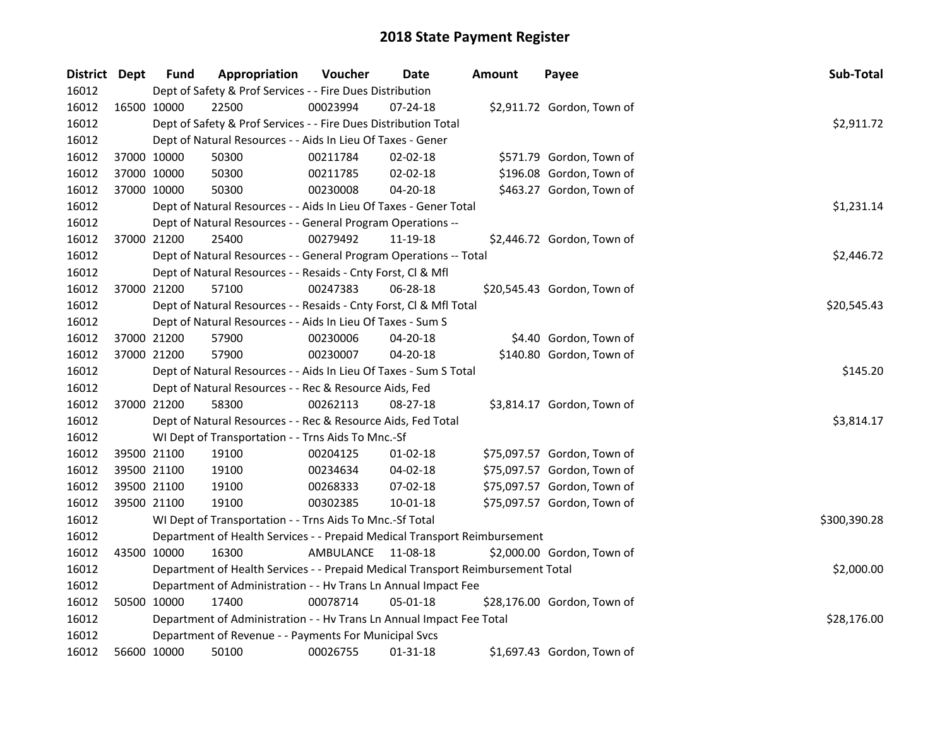| District Dept |             | <b>Fund</b> | Appropriation                                                                   | Voucher   | Date           | <b>Amount</b> | Payee                       | Sub-Total    |
|---------------|-------------|-------------|---------------------------------------------------------------------------------|-----------|----------------|---------------|-----------------------------|--------------|
| 16012         |             |             | Dept of Safety & Prof Services - - Fire Dues Distribution                       |           |                |               |                             |              |
| 16012         | 16500 10000 |             | 22500                                                                           | 00023994  | $07 - 24 - 18$ |               | \$2,911.72 Gordon, Town of  |              |
| 16012         |             |             | Dept of Safety & Prof Services - - Fire Dues Distribution Total                 |           |                |               |                             | \$2,911.72   |
| 16012         |             |             | Dept of Natural Resources - - Aids In Lieu Of Taxes - Gener                     |           |                |               |                             |              |
| 16012         | 37000 10000 |             | 50300                                                                           | 00211784  | $02 - 02 - 18$ |               | \$571.79 Gordon, Town of    |              |
| 16012         | 37000 10000 |             | 50300                                                                           | 00211785  | 02-02-18       |               | \$196.08 Gordon, Town of    |              |
| 16012         | 37000 10000 |             | 50300                                                                           | 00230008  | 04-20-18       |               | \$463.27 Gordon, Town of    |              |
| 16012         |             |             | Dept of Natural Resources - - Aids In Lieu Of Taxes - Gener Total               |           | \$1,231.14     |               |                             |              |
| 16012         |             |             | Dept of Natural Resources - - General Program Operations --                     |           |                |               |                             |              |
| 16012         | 37000 21200 |             | 25400                                                                           | 00279492  | 11-19-18       |               | \$2,446.72 Gordon, Town of  |              |
| 16012         |             |             | Dept of Natural Resources - - General Program Operations -- Total               |           |                |               |                             | \$2,446.72   |
| 16012         |             |             | Dept of Natural Resources - - Resaids - Cnty Forst, Cl & Mfl                    |           |                |               |                             |              |
| 16012         | 37000 21200 |             | 57100                                                                           | 00247383  | 06-28-18       |               | \$20,545.43 Gordon, Town of |              |
| 16012         |             |             | Dept of Natural Resources - - Resaids - Cnty Forst, Cl & Mfl Total              |           |                |               |                             | \$20,545.43  |
| 16012         |             |             | Dept of Natural Resources - - Aids In Lieu Of Taxes - Sum S                     |           |                |               |                             |              |
| 16012         | 37000 21200 |             | 57900                                                                           | 00230006  | 04-20-18       |               | \$4.40 Gordon, Town of      |              |
| 16012         | 37000 21200 |             | 57900                                                                           | 00230007  | $04 - 20 - 18$ |               | \$140.80 Gordon, Town of    |              |
| 16012         |             |             | Dept of Natural Resources - - Aids In Lieu Of Taxes - Sum S Total               |           |                |               |                             | \$145.20     |
| 16012         |             |             | Dept of Natural Resources - - Rec & Resource Aids, Fed                          |           |                |               |                             |              |
| 16012         | 37000 21200 |             | 58300                                                                           | 00262113  | 08-27-18       |               | \$3,814.17 Gordon, Town of  |              |
| 16012         |             |             | Dept of Natural Resources - - Rec & Resource Aids, Fed Total                    |           |                |               |                             | \$3,814.17   |
| 16012         |             |             | WI Dept of Transportation - - Trns Aids To Mnc.-Sf                              |           |                |               |                             |              |
| 16012         | 39500 21100 |             | 19100                                                                           | 00204125  | $01 - 02 - 18$ |               | \$75,097.57 Gordon, Town of |              |
| 16012         | 39500 21100 |             | 19100                                                                           | 00234634  | 04-02-18       |               | \$75,097.57 Gordon, Town of |              |
| 16012         | 39500 21100 |             | 19100                                                                           | 00268333  | 07-02-18       |               | \$75,097.57 Gordon, Town of |              |
| 16012         | 39500 21100 |             | 19100                                                                           | 00302385  | 10-01-18       |               | \$75,097.57 Gordon, Town of |              |
| 16012         |             |             | WI Dept of Transportation - - Trns Aids To Mnc.-Sf Total                        |           |                |               |                             | \$300,390.28 |
| 16012         |             |             | Department of Health Services - - Prepaid Medical Transport Reimbursement       |           |                |               |                             |              |
| 16012         | 43500 10000 |             | 16300                                                                           | AMBULANCE | 11-08-18       |               | \$2,000.00 Gordon, Town of  |              |
| 16012         |             |             | Department of Health Services - - Prepaid Medical Transport Reimbursement Total |           |                |               |                             | \$2,000.00   |
| 16012         |             |             | Department of Administration - - Hv Trans Ln Annual Impact Fee                  |           |                |               |                             |              |
| 16012         | 50500 10000 |             | 17400                                                                           | 00078714  | 05-01-18       |               | \$28,176.00 Gordon, Town of |              |
| 16012         |             |             | Department of Administration - - Hv Trans Ln Annual Impact Fee Total            |           |                |               |                             | \$28,176.00  |
| 16012         |             |             | Department of Revenue - - Payments For Municipal Svcs                           |           |                |               |                             |              |
| 16012         | 56600 10000 |             | 50100                                                                           | 00026755  | 01-31-18       |               | \$1,697.43 Gordon, Town of  |              |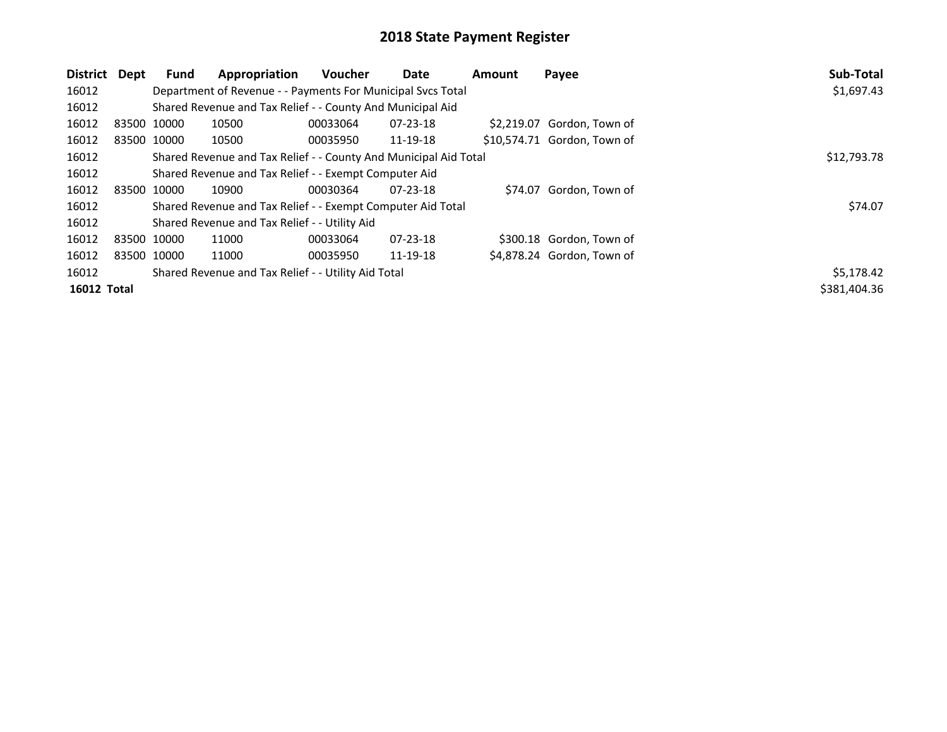| District Dept      |             | Fund        | Appropriation                                                    | <b>Voucher</b> | Date           | <b>Amount</b> | Payee                       | Sub-Total    |
|--------------------|-------------|-------------|------------------------------------------------------------------|----------------|----------------|---------------|-----------------------------|--------------|
| 16012              |             |             | Department of Revenue - - Payments For Municipal Svcs Total      |                |                |               |                             | \$1,697.43   |
| 16012              |             |             | Shared Revenue and Tax Relief - - County And Municipal Aid       |                |                |               |                             |              |
| 16012              | 83500 10000 |             | 10500                                                            | 00033064       | $07 - 23 - 18$ |               | \$2,219.07 Gordon, Town of  |              |
| 16012              |             | 83500 10000 | 10500                                                            | 00035950       | 11-19-18       |               | \$10,574.71 Gordon, Town of |              |
| 16012              |             |             | Shared Revenue and Tax Relief - - County And Municipal Aid Total |                |                |               |                             | \$12,793.78  |
| 16012              |             |             | Shared Revenue and Tax Relief - - Exempt Computer Aid            |                |                |               |                             |              |
| 16012              | 83500 10000 |             | 10900                                                            | 00030364       | 07-23-18       |               | \$74.07 Gordon, Town of     |              |
| 16012              |             |             | Shared Revenue and Tax Relief - - Exempt Computer Aid Total      |                |                |               |                             | \$74.07      |
| 16012              |             |             | Shared Revenue and Tax Relief - - Utility Aid                    |                |                |               |                             |              |
| 16012              | 83500 10000 |             | 11000                                                            | 00033064       | $07 - 23 - 18$ |               | \$300.18 Gordon, Town of    |              |
| 16012              | 83500 10000 |             | 11000                                                            | 00035950       | 11-19-18       |               | \$4,878.24 Gordon, Town of  |              |
| 16012              |             |             | Shared Revenue and Tax Relief - - Utility Aid Total              |                |                |               |                             | \$5,178.42   |
| <b>16012 Total</b> |             |             |                                                                  |                |                |               |                             | \$381,404.36 |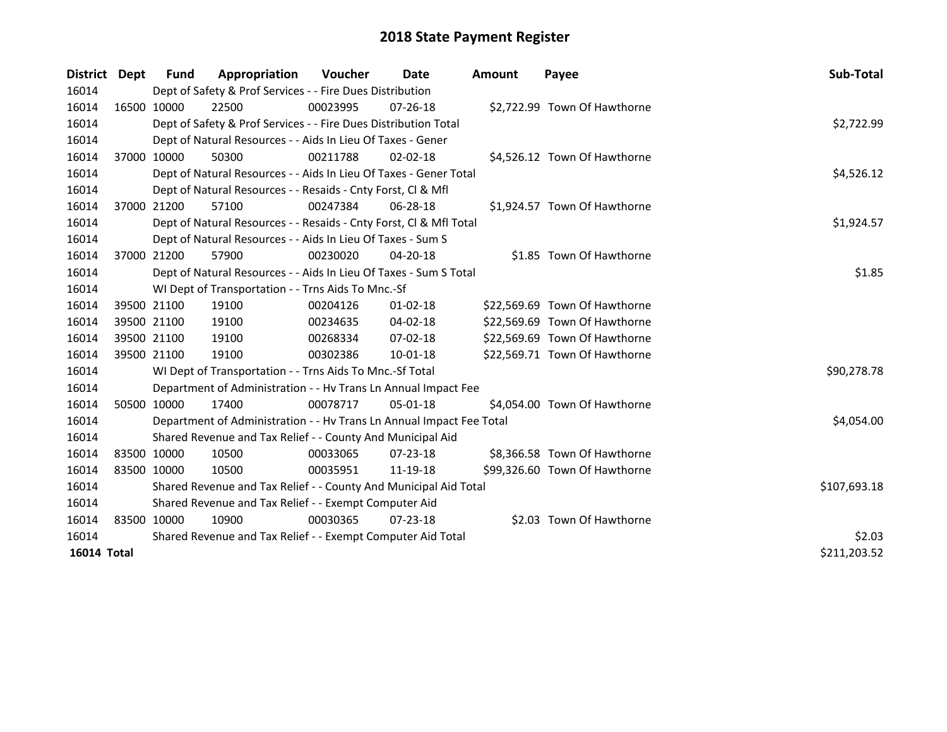| <b>District</b>    | <b>Dept</b> | <b>Fund</b> | Appropriation                                                        | Voucher  | Date           | <b>Amount</b> | Payee                         | Sub-Total    |
|--------------------|-------------|-------------|----------------------------------------------------------------------|----------|----------------|---------------|-------------------------------|--------------|
| 16014              |             |             | Dept of Safety & Prof Services - - Fire Dues Distribution            |          |                |               |                               |              |
| 16014              |             | 16500 10000 | 22500                                                                | 00023995 | $07 - 26 - 18$ |               | \$2,722.99 Town Of Hawthorne  |              |
| 16014              |             |             | Dept of Safety & Prof Services - - Fire Dues Distribution Total      |          |                |               |                               | \$2,722.99   |
| 16014              |             |             | Dept of Natural Resources - - Aids In Lieu Of Taxes - Gener          |          |                |               |                               |              |
| 16014              |             | 37000 10000 | 50300                                                                | 00211788 | $02 - 02 - 18$ |               | \$4,526.12 Town Of Hawthorne  |              |
| 16014              |             |             | Dept of Natural Resources - - Aids In Lieu Of Taxes - Gener Total    |          |                |               |                               | \$4,526.12   |
| 16014              |             |             | Dept of Natural Resources - - Resaids - Cnty Forst, Cl & Mfl         |          |                |               |                               |              |
| 16014              |             | 37000 21200 | 57100                                                                | 00247384 | 06-28-18       |               | \$1,924.57 Town Of Hawthorne  |              |
| 16014              |             |             | Dept of Natural Resources - - Resaids - Cnty Forst, CI & Mfl Total   |          |                |               |                               | \$1,924.57   |
| 16014              |             |             | Dept of Natural Resources - - Aids In Lieu Of Taxes - Sum S          |          |                |               |                               |              |
| 16014              |             | 37000 21200 | 57900                                                                | 00230020 | 04-20-18       |               | \$1.85 Town Of Hawthorne      |              |
| 16014              |             |             | Dept of Natural Resources - - Aids In Lieu Of Taxes - Sum S Total    |          |                |               |                               | \$1.85       |
| 16014              |             |             | WI Dept of Transportation - - Trns Aids To Mnc.-Sf                   |          |                |               |                               |              |
| 16014              |             | 39500 21100 | 19100                                                                | 00204126 | $01 - 02 - 18$ |               | \$22,569.69 Town Of Hawthorne |              |
| 16014              |             | 39500 21100 | 19100                                                                | 00234635 | 04-02-18       |               | \$22,569.69 Town Of Hawthorne |              |
| 16014              |             | 39500 21100 | 19100                                                                | 00268334 | 07-02-18       |               | \$22,569.69 Town Of Hawthorne |              |
| 16014              |             | 39500 21100 | 19100                                                                | 00302386 | $10-01-18$     |               | \$22,569.71 Town Of Hawthorne |              |
| 16014              |             |             | WI Dept of Transportation - - Trns Aids To Mnc.-Sf Total             |          |                |               |                               | \$90,278.78  |
| 16014              |             |             | Department of Administration - - Hv Trans Ln Annual Impact Fee       |          |                |               |                               |              |
| 16014              |             | 50500 10000 | 17400                                                                | 00078717 | $05-01-18$     |               | \$4,054.00 Town Of Hawthorne  |              |
| 16014              |             |             | Department of Administration - - Hv Trans Ln Annual Impact Fee Total |          |                |               |                               | \$4,054.00   |
| 16014              |             |             | Shared Revenue and Tax Relief - - County And Municipal Aid           |          |                |               |                               |              |
| 16014              |             | 83500 10000 | 10500                                                                | 00033065 | $07 - 23 - 18$ |               | \$8,366.58 Town Of Hawthorne  |              |
| 16014              | 83500 10000 |             | 10500                                                                | 00035951 | 11-19-18       |               | \$99,326.60 Town Of Hawthorne |              |
| 16014              |             |             | Shared Revenue and Tax Relief - - County And Municipal Aid Total     |          |                |               |                               | \$107,693.18 |
| 16014              |             |             | Shared Revenue and Tax Relief - - Exempt Computer Aid                |          |                |               |                               |              |
| 16014              | 83500 10000 |             | 10900                                                                | 00030365 | $07 - 23 - 18$ |               | \$2.03 Town Of Hawthorne      |              |
| 16014              |             |             | Shared Revenue and Tax Relief - - Exempt Computer Aid Total          | \$2.03   |                |               |                               |              |
| <b>16014 Total</b> |             |             |                                                                      |          |                |               |                               | \$211,203.52 |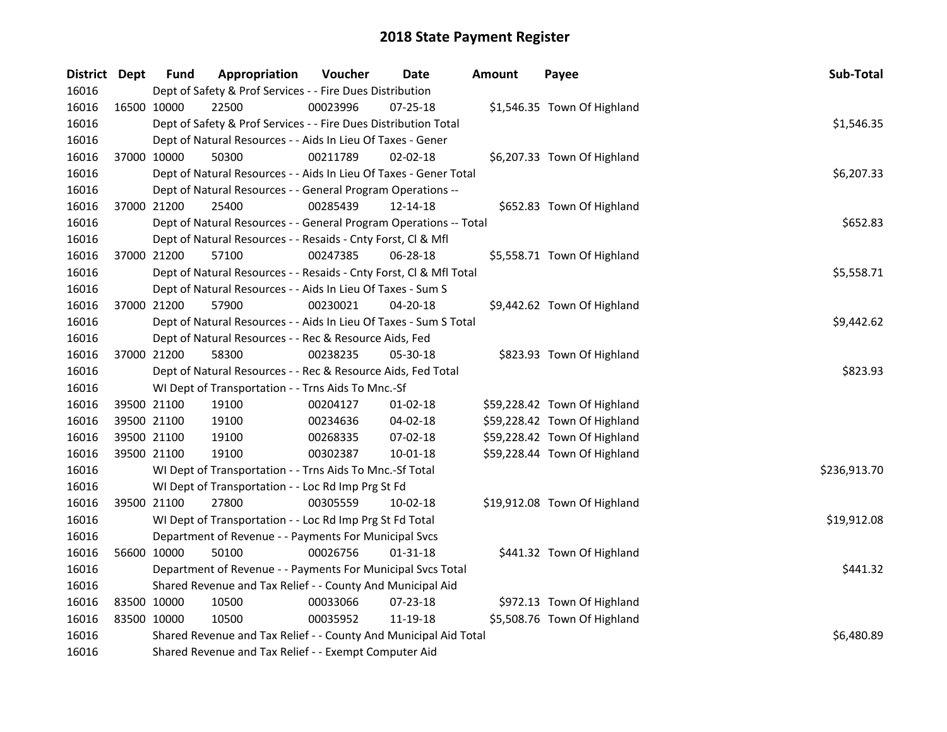| District Dept |             | <b>Fund</b>                                                                    | Appropriation                                                      | Voucher  | Date           | <b>Amount</b> | Payee                        | Sub-Total    |  |
|---------------|-------------|--------------------------------------------------------------------------------|--------------------------------------------------------------------|----------|----------------|---------------|------------------------------|--------------|--|
| 16016         |             |                                                                                | Dept of Safety & Prof Services - - Fire Dues Distribution          |          |                |               |                              |              |  |
| 16016         |             | 16500 10000                                                                    | 22500                                                              | 00023996 | 07-25-18       |               | \$1,546.35 Town Of Highland  |              |  |
| 16016         |             |                                                                                | Dept of Safety & Prof Services - - Fire Dues Distribution Total    |          |                |               |                              | \$1,546.35   |  |
| 16016         |             |                                                                                | Dept of Natural Resources - - Aids In Lieu Of Taxes - Gener        |          |                |               |                              |              |  |
| 16016         |             | 37000 10000                                                                    | 50300                                                              | 00211789 | 02-02-18       |               | \$6,207.33 Town Of Highland  |              |  |
| 16016         |             |                                                                                | Dept of Natural Resources - - Aids In Lieu Of Taxes - Gener Total  |          |                |               |                              | \$6,207.33   |  |
| 16016         |             |                                                                                | Dept of Natural Resources - - General Program Operations --        |          |                |               |                              |              |  |
| 16016         |             | 37000 21200                                                                    | 25400                                                              | 00285439 | 12-14-18       |               | \$652.83 Town Of Highland    |              |  |
| 16016         |             |                                                                                | Dept of Natural Resources - - General Program Operations -- Total  |          |                |               |                              | \$652.83     |  |
| 16016         |             |                                                                                | Dept of Natural Resources - - Resaids - Cnty Forst, Cl & Mfl       |          |                |               |                              |              |  |
| 16016         |             | 37000 21200                                                                    | 57100                                                              | 00247385 | 06-28-18       |               | \$5,558.71 Town Of Highland  |              |  |
| 16016         |             |                                                                                | Dept of Natural Resources - - Resaids - Cnty Forst, Cl & Mfl Total |          |                |               |                              | \$5,558.71   |  |
| 16016         |             |                                                                                | Dept of Natural Resources - - Aids In Lieu Of Taxes - Sum S        |          |                |               |                              |              |  |
| 16016         |             | 37000 21200                                                                    | 57900                                                              | 00230021 | $04 - 20 - 18$ |               | \$9,442.62 Town Of Highland  |              |  |
| 16016         |             |                                                                                | Dept of Natural Resources - - Aids In Lieu Of Taxes - Sum S Total  |          |                |               |                              | \$9,442.62   |  |
| 16016         |             |                                                                                | Dept of Natural Resources - - Rec & Resource Aids, Fed             |          |                |               |                              |              |  |
| 16016         |             | 37000 21200                                                                    | 58300                                                              | 00238235 | 05-30-18       |               | \$823.93 Town Of Highland    |              |  |
| 16016         |             |                                                                                | Dept of Natural Resources - - Rec & Resource Aids, Fed Total       |          |                |               |                              | \$823.93     |  |
| 16016         |             |                                                                                | WI Dept of Transportation - - Trns Aids To Mnc.-Sf                 |          |                |               |                              |              |  |
| 16016         |             | 39500 21100                                                                    | 19100                                                              | 00204127 | 01-02-18       |               | \$59,228.42 Town Of Highland |              |  |
| 16016         |             | 39500 21100                                                                    | 19100                                                              | 00234636 | 04-02-18       |               | \$59,228.42 Town Of Highland |              |  |
| 16016         |             | 39500 21100                                                                    | 19100                                                              | 00268335 | 07-02-18       |               | \$59,228.42 Town Of Highland |              |  |
| 16016         |             | 39500 21100                                                                    | 19100                                                              | 00302387 | $10 - 01 - 18$ |               | \$59,228.44 Town Of Highland |              |  |
| 16016         |             |                                                                                | WI Dept of Transportation - - Trns Aids To Mnc.-Sf Total           |          |                |               |                              | \$236,913.70 |  |
| 16016         |             |                                                                                | WI Dept of Transportation - - Loc Rd Imp Prg St Fd                 |          |                |               |                              |              |  |
| 16016         |             | 39500 21100                                                                    | 27800                                                              | 00305559 | 10-02-18       |               | \$19,912.08 Town Of Highland |              |  |
| 16016         |             |                                                                                | WI Dept of Transportation - - Loc Rd Imp Prg St Fd Total           |          |                |               |                              | \$19,912.08  |  |
| 16016         |             |                                                                                | Department of Revenue - - Payments For Municipal Svcs              |          |                |               |                              |              |  |
| 16016         |             | 56600 10000                                                                    | 50100                                                              | 00026756 | $01 - 31 - 18$ |               | \$441.32 Town Of Highland    |              |  |
| 16016         |             |                                                                                | Department of Revenue - - Payments For Municipal Svcs Total        |          |                |               |                              | \$441.32     |  |
| 16016         |             |                                                                                | Shared Revenue and Tax Relief - - County And Municipal Aid         |          |                |               |                              |              |  |
| 16016         |             | 83500 10000                                                                    | 10500                                                              | 00033066 | 07-23-18       |               | \$972.13 Town Of Highland    |              |  |
| 16016         | 83500 10000 |                                                                                | 10500                                                              | 00035952 | 11-19-18       |               | \$5,508.76 Town Of Highland  |              |  |
| 16016         |             | \$6,480.89<br>Shared Revenue and Tax Relief - - County And Municipal Aid Total |                                                                    |          |                |               |                              |              |  |
| 16016         |             |                                                                                | Shared Revenue and Tax Relief - - Exempt Computer Aid              |          |                |               |                              |              |  |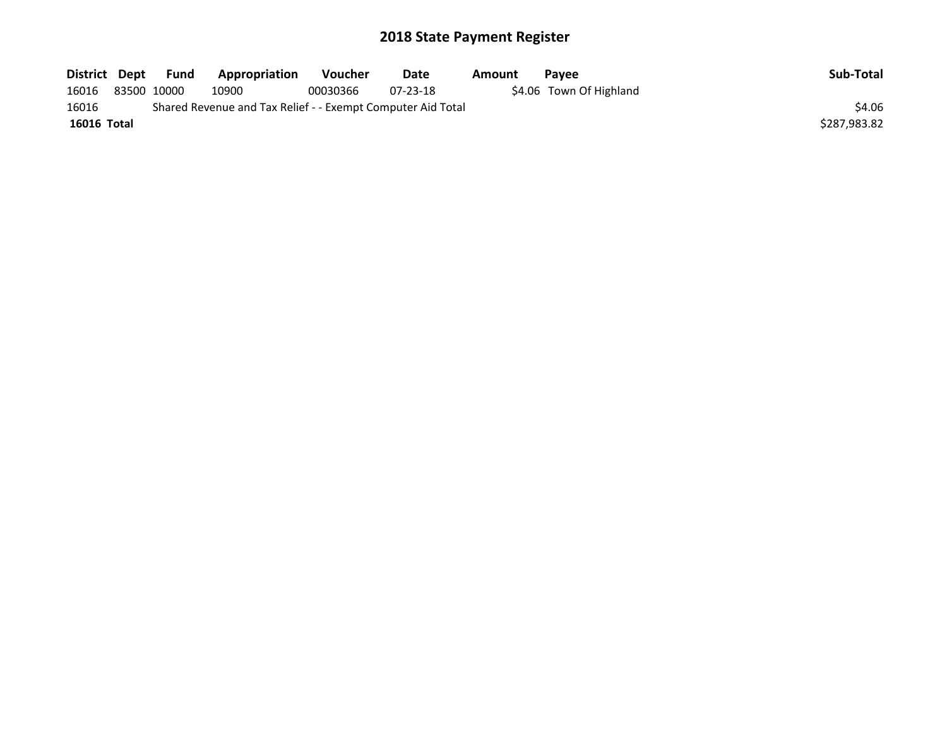| District Dept | Fund        | Appropriation                                               | <b>Voucher</b> | Date           | Amount | Pavee                   | Sub-Total    |
|---------------|-------------|-------------------------------------------------------------|----------------|----------------|--------|-------------------------|--------------|
| 16016         | 83500 10000 | 10900                                                       | 00030366       | $07 - 23 - 18$ |        | \$4.06 Town Of Highland |              |
| 16016         |             | Shared Revenue and Tax Relief - - Exempt Computer Aid Total |                |                |        |                         | \$4.06       |
| 16016 Total   |             |                                                             |                |                |        |                         | \$287,983.82 |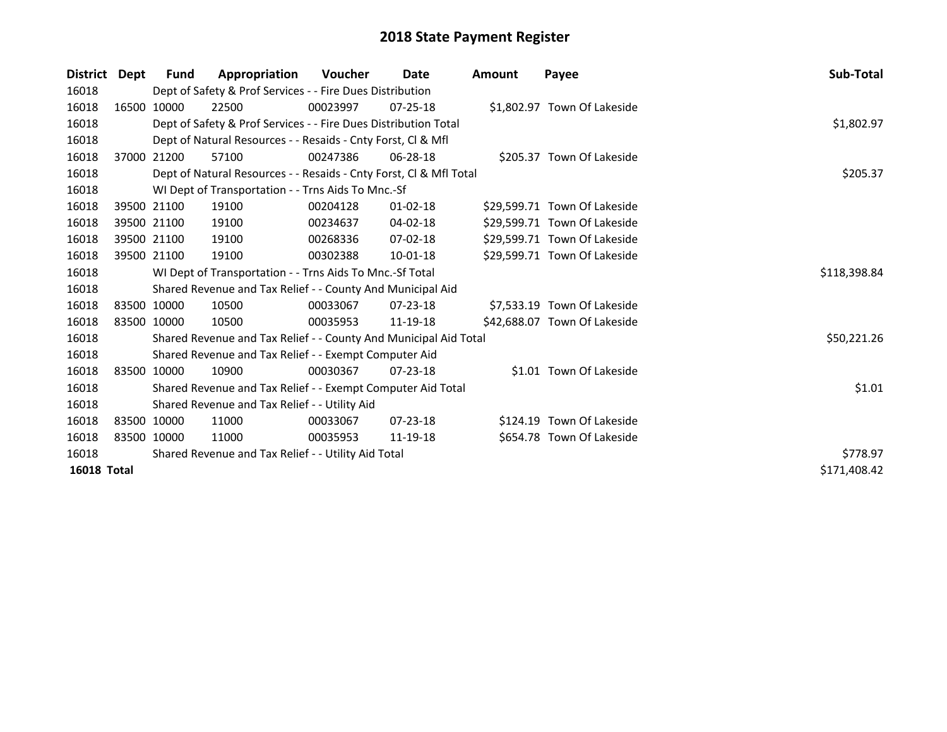| <b>District</b>    | Dept        | <b>Fund</b> | Appropriation                                                      | <b>Voucher</b> | Date           | <b>Amount</b> | Payee                        | Sub-Total    |
|--------------------|-------------|-------------|--------------------------------------------------------------------|----------------|----------------|---------------|------------------------------|--------------|
| 16018              |             |             | Dept of Safety & Prof Services - - Fire Dues Distribution          |                |                |               |                              |              |
| 16018              |             | 16500 10000 | 22500                                                              | 00023997       | $07 - 25 - 18$ |               | \$1,802.97 Town Of Lakeside  |              |
| 16018              |             |             | Dept of Safety & Prof Services - - Fire Dues Distribution Total    |                |                |               |                              | \$1,802.97   |
| 16018              |             |             | Dept of Natural Resources - - Resaids - Cnty Forst, Cl & Mfl       |                |                |               |                              |              |
| 16018              |             | 37000 21200 | 57100                                                              | 00247386       | $06 - 28 - 18$ |               | \$205.37 Town Of Lakeside    |              |
| 16018              |             |             | Dept of Natural Resources - - Resaids - Cnty Forst, Cl & Mfl Total |                |                |               |                              | \$205.37     |
| 16018              |             |             | WI Dept of Transportation - - Trns Aids To Mnc.-Sf                 |                |                |               |                              |              |
| 16018              |             | 39500 21100 | 19100                                                              | 00204128       | $01 - 02 - 18$ |               | \$29,599.71 Town Of Lakeside |              |
| 16018              |             | 39500 21100 | 19100                                                              | 00234637       | 04-02-18       |               | \$29,599.71 Town Of Lakeside |              |
| 16018              |             | 39500 21100 | 19100                                                              | 00268336       | 07-02-18       |               | \$29,599.71 Town Of Lakeside |              |
| 16018              |             | 39500 21100 | 19100                                                              | 00302388       | $10-01-18$     |               | \$29,599.71 Town Of Lakeside |              |
| 16018              |             |             | WI Dept of Transportation - - Trns Aids To Mnc.-Sf Total           |                |                |               |                              | \$118,398.84 |
| 16018              |             |             | Shared Revenue and Tax Relief - - County And Municipal Aid         |                |                |               |                              |              |
| 16018              | 83500 10000 |             | 10500                                                              | 00033067       | $07 - 23 - 18$ |               | \$7,533.19 Town Of Lakeside  |              |
| 16018              | 83500 10000 |             | 10500                                                              | 00035953       | 11-19-18       |               | \$42,688.07 Town Of Lakeside |              |
| 16018              |             |             | Shared Revenue and Tax Relief - - County And Municipal Aid Total   |                |                |               |                              | \$50,221.26  |
| 16018              |             |             | Shared Revenue and Tax Relief - - Exempt Computer Aid              |                |                |               |                              |              |
| 16018              |             | 83500 10000 | 10900                                                              | 00030367       | $07 - 23 - 18$ |               | \$1.01 Town Of Lakeside      |              |
| 16018              |             |             | Shared Revenue and Tax Relief - - Exempt Computer Aid Total        |                |                |               |                              | \$1.01       |
| 16018              |             |             | Shared Revenue and Tax Relief - - Utility Aid                      |                |                |               |                              |              |
| 16018              | 83500 10000 |             | 11000                                                              | 00033067       | 07-23-18       |               | \$124.19 Town Of Lakeside    |              |
| 16018              | 83500 10000 |             | 11000                                                              | 00035953       | 11-19-18       |               | \$654.78 Town Of Lakeside    |              |
| 16018              |             |             | Shared Revenue and Tax Relief - - Utility Aid Total                |                |                |               |                              | \$778.97     |
| <b>16018 Total</b> |             |             |                                                                    |                |                |               |                              | \$171,408.42 |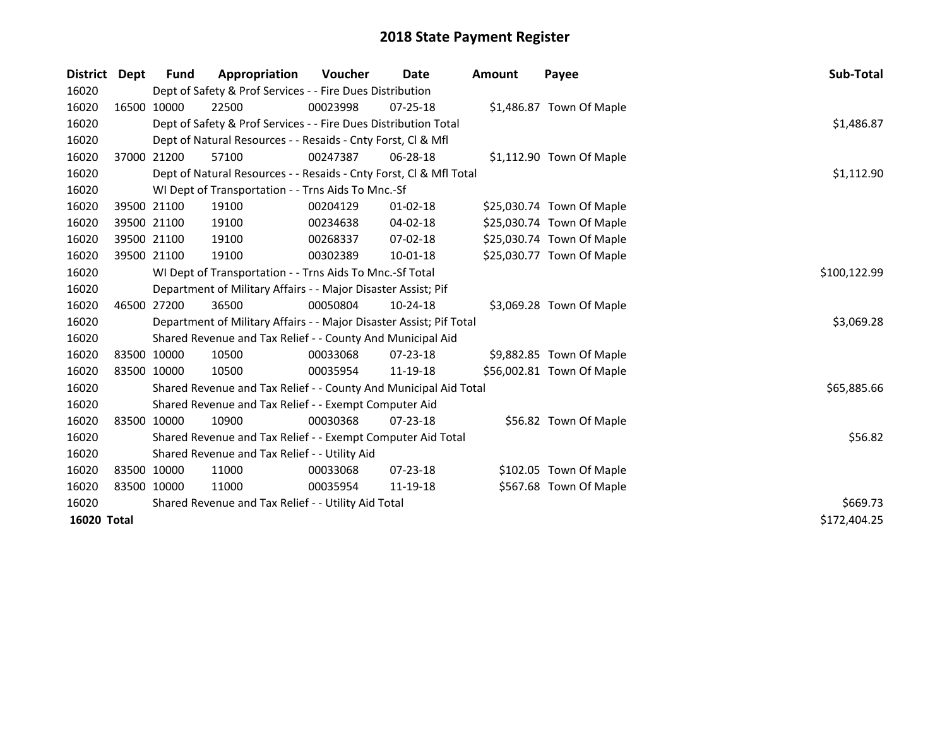| <b>District</b>    | Dept | <b>Fund</b> | Appropriation                                                       | <b>Voucher</b> | Date           | <b>Amount</b> | Payee                     | <b>Sub-Total</b> |
|--------------------|------|-------------|---------------------------------------------------------------------|----------------|----------------|---------------|---------------------------|------------------|
| 16020              |      |             | Dept of Safety & Prof Services - - Fire Dues Distribution           |                |                |               |                           |                  |
| 16020              |      | 16500 10000 | 22500                                                               | 00023998       | $07 - 25 - 18$ |               | \$1,486.87 Town Of Maple  |                  |
| 16020              |      |             | Dept of Safety & Prof Services - - Fire Dues Distribution Total     |                |                |               |                           | \$1,486.87       |
| 16020              |      |             | Dept of Natural Resources - - Resaids - Cnty Forst, CI & Mfl        |                |                |               |                           |                  |
| 16020              |      | 37000 21200 | 57100                                                               | 00247387       | 06-28-18       |               | \$1,112.90 Town Of Maple  |                  |
| 16020              |      |             | Dept of Natural Resources - - Resaids - Cnty Forst, Cl & Mfl Total  | \$1,112.90     |                |               |                           |                  |
| 16020              |      |             | WI Dept of Transportation - - Trns Aids To Mnc.-Sf                  |                |                |               |                           |                  |
| 16020              |      | 39500 21100 | 19100                                                               | 00204129       | $01 - 02 - 18$ |               | \$25,030.74 Town Of Maple |                  |
| 16020              |      | 39500 21100 | 19100                                                               | 00234638       | 04-02-18       |               | \$25,030.74 Town Of Maple |                  |
| 16020              |      | 39500 21100 | 19100                                                               | 00268337       | 07-02-18       |               | \$25,030.74 Town Of Maple |                  |
| 16020              |      | 39500 21100 | 19100                                                               | 00302389       | 10-01-18       |               | \$25,030.77 Town Of Maple |                  |
| 16020              |      |             | WI Dept of Transportation - - Trns Aids To Mnc.-Sf Total            |                |                |               |                           | \$100,122.99     |
| 16020              |      |             | Department of Military Affairs - - Major Disaster Assist; Pif       |                |                |               |                           |                  |
| 16020              |      | 46500 27200 | 36500                                                               | 00050804       | 10-24-18       |               | \$3,069.28 Town Of Maple  |                  |
| 16020              |      |             | Department of Military Affairs - - Major Disaster Assist; Pif Total |                |                |               |                           | \$3,069.28       |
| 16020              |      |             | Shared Revenue and Tax Relief - - County And Municipal Aid          |                |                |               |                           |                  |
| 16020              |      | 83500 10000 | 10500                                                               | 00033068       | $07 - 23 - 18$ |               | \$9,882.85 Town Of Maple  |                  |
| 16020              |      | 83500 10000 | 10500                                                               | 00035954       | 11-19-18       |               | \$56,002.81 Town Of Maple |                  |
| 16020              |      |             | Shared Revenue and Tax Relief - - County And Municipal Aid Total    |                |                |               |                           | \$65,885.66      |
| 16020              |      |             | Shared Revenue and Tax Relief - - Exempt Computer Aid               |                |                |               |                           |                  |
| 16020              |      | 83500 10000 | 10900                                                               | 00030368       | $07 - 23 - 18$ |               | \$56.82 Town Of Maple     |                  |
| 16020              |      |             | Shared Revenue and Tax Relief - - Exempt Computer Aid Total         |                |                |               |                           | \$56.82          |
| 16020              |      |             | Shared Revenue and Tax Relief - - Utility Aid                       |                |                |               |                           |                  |
| 16020              |      | 83500 10000 | 11000                                                               | 00033068       | 07-23-18       |               | \$102.05 Town Of Maple    |                  |
| 16020              |      | 83500 10000 | 11000                                                               | 00035954       | 11-19-18       |               | \$567.68 Town Of Maple    |                  |
| 16020              |      |             | Shared Revenue and Tax Relief - - Utility Aid Total                 |                |                |               |                           | \$669.73         |
| <b>16020 Total</b> |      |             |                                                                     |                |                |               |                           | \$172,404.25     |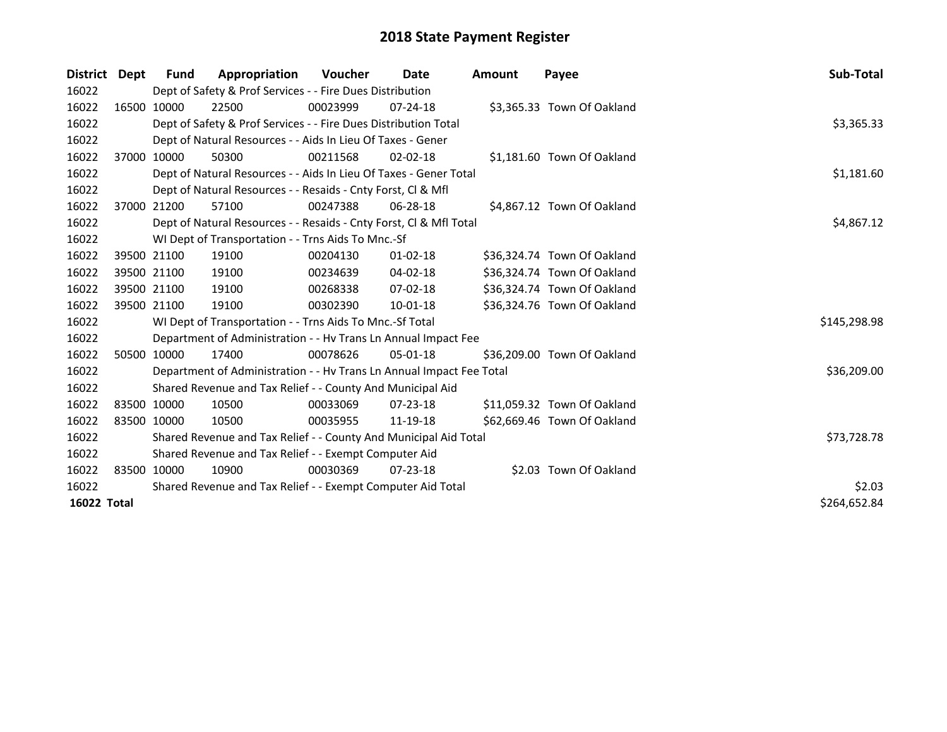| District Dept | Fund        | Appropriation                                                        | <b>Voucher</b> | Date           | Amount | Payee                       | Sub-Total    |
|---------------|-------------|----------------------------------------------------------------------|----------------|----------------|--------|-----------------------------|--------------|
| 16022         |             | Dept of Safety & Prof Services - - Fire Dues Distribution            |                |                |        |                             |              |
| 16022         | 16500 10000 | 22500                                                                | 00023999       | $07 - 24 - 18$ |        | \$3,365.33 Town Of Oakland  |              |
| 16022         |             | Dept of Safety & Prof Services - - Fire Dues Distribution Total      |                |                |        |                             | \$3,365.33   |
| 16022         |             | Dept of Natural Resources - - Aids In Lieu Of Taxes - Gener          |                |                |        |                             |              |
| 16022         | 37000 10000 | 50300                                                                | 00211568       | $02 - 02 - 18$ |        | \$1,181.60 Town Of Oakland  |              |
| 16022         |             | Dept of Natural Resources - - Aids In Lieu Of Taxes - Gener Total    |                |                |        |                             | \$1,181.60   |
| 16022         |             | Dept of Natural Resources - - Resaids - Cnty Forst, Cl & Mfl         |                |                |        |                             |              |
| 16022         | 37000 21200 | 57100                                                                | 00247388       | $06 - 28 - 18$ |        | \$4,867.12 Town Of Oakland  |              |
| 16022         |             | Dept of Natural Resources - - Resaids - Cnty Forst, CI & Mfl Total   |                |                |        |                             | \$4,867.12   |
| 16022         |             | WI Dept of Transportation - - Trns Aids To Mnc.-Sf                   |                |                |        |                             |              |
| 16022         | 39500 21100 | 19100                                                                | 00204130       | $01 - 02 - 18$ |        | \$36,324.74 Town Of Oakland |              |
| 16022         | 39500 21100 | 19100                                                                | 00234639       | 04-02-18       |        | \$36,324.74 Town Of Oakland |              |
| 16022         | 39500 21100 | 19100                                                                | 00268338       | $07-02-18$     |        | \$36,324.74 Town Of Oakland |              |
| 16022         | 39500 21100 | 19100                                                                | 00302390       | 10-01-18       |        | \$36,324.76 Town Of Oakland |              |
| 16022         |             | WI Dept of Transportation - - Trns Aids To Mnc.-Sf Total             |                |                |        |                             | \$145,298.98 |
| 16022         |             | Department of Administration - - Hv Trans Ln Annual Impact Fee       |                |                |        |                             |              |
| 16022         | 50500 10000 | 17400                                                                | 00078626       | $05 - 01 - 18$ |        | \$36,209.00 Town Of Oakland |              |
| 16022         |             | Department of Administration - - Hv Trans Ln Annual Impact Fee Total |                |                |        |                             | \$36,209.00  |
| 16022         |             | Shared Revenue and Tax Relief - - County And Municipal Aid           |                |                |        |                             |              |
| 16022         | 83500 10000 | 10500                                                                | 00033069       | 07-23-18       |        | \$11,059.32 Town Of Oakland |              |
| 16022         | 83500 10000 | 10500                                                                | 00035955       | 11-19-18       |        | \$62,669.46 Town Of Oakland |              |
| 16022         |             | Shared Revenue and Tax Relief - - County And Municipal Aid Total     |                |                |        |                             | \$73,728.78  |
| 16022         |             | Shared Revenue and Tax Relief - - Exempt Computer Aid                |                |                |        |                             |              |
| 16022         | 83500 10000 | 10900                                                                | 00030369       | $07 - 23 - 18$ |        | \$2.03 Town Of Oakland      |              |
| 16022         |             | Shared Revenue and Tax Relief - - Exempt Computer Aid Total          |                |                |        |                             | \$2.03       |
| 16022 Total   |             |                                                                      |                |                |        |                             | \$264,652.84 |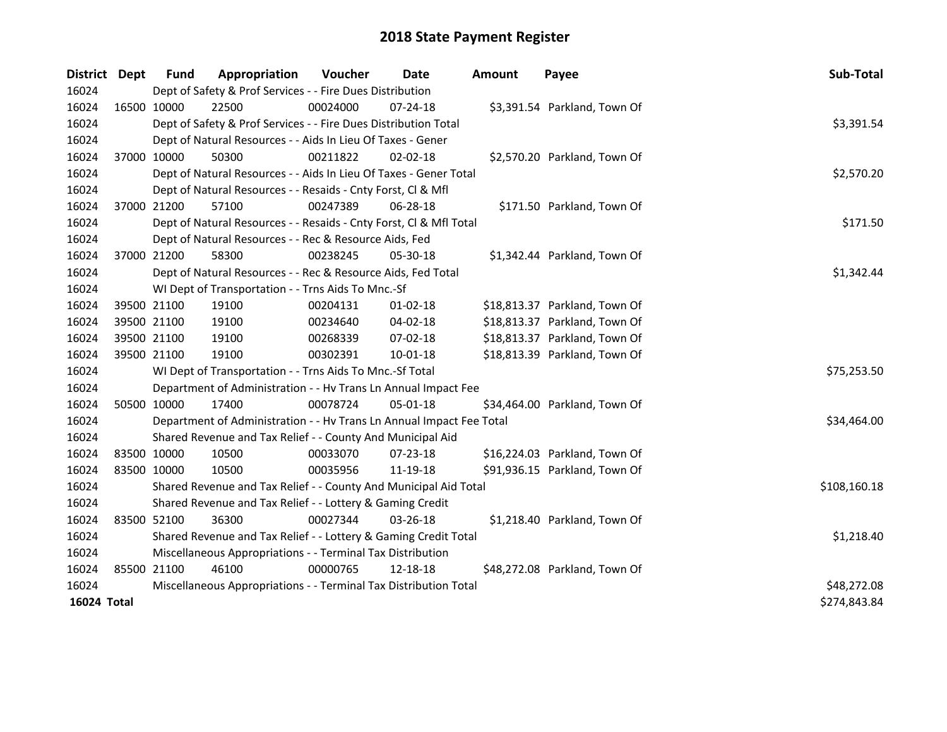| <b>District</b> | <b>Dept</b> | <b>Fund</b> | Appropriation                                                        | <b>Voucher</b> | <b>Date</b>    | <b>Amount</b> | Payee                         | Sub-Total    |
|-----------------|-------------|-------------|----------------------------------------------------------------------|----------------|----------------|---------------|-------------------------------|--------------|
| 16024           |             |             | Dept of Safety & Prof Services - - Fire Dues Distribution            |                |                |               |                               |              |
| 16024           | 16500 10000 |             | 22500                                                                | 00024000       | $07 - 24 - 18$ |               | \$3,391.54 Parkland, Town Of  |              |
| 16024           |             |             | Dept of Safety & Prof Services - - Fire Dues Distribution Total      |                |                |               |                               | \$3,391.54   |
| 16024           |             |             | Dept of Natural Resources - - Aids In Lieu Of Taxes - Gener          |                |                |               |                               |              |
| 16024           | 37000 10000 |             | 50300                                                                | 00211822       | 02-02-18       |               | \$2,570.20 Parkland, Town Of  |              |
| 16024           |             |             | Dept of Natural Resources - - Aids In Lieu Of Taxes - Gener Total    |                |                |               |                               | \$2,570.20   |
| 16024           |             |             | Dept of Natural Resources - - Resaids - Cnty Forst, Cl & Mfl         |                |                |               |                               |              |
| 16024           | 37000 21200 |             | 57100                                                                | 00247389       | 06-28-18       |               | \$171.50 Parkland, Town Of    |              |
| 16024           |             |             | Dept of Natural Resources - - Resaids - Cnty Forst, Cl & Mfl Total   |                |                |               |                               | \$171.50     |
| 16024           |             |             | Dept of Natural Resources - - Rec & Resource Aids, Fed               |                |                |               |                               |              |
| 16024           | 37000 21200 |             | 58300                                                                | 00238245       | 05-30-18       |               | \$1,342.44 Parkland, Town Of  |              |
| 16024           |             |             | Dept of Natural Resources - - Rec & Resource Aids, Fed Total         |                |                |               |                               | \$1,342.44   |
| 16024           |             |             | WI Dept of Transportation - - Trns Aids To Mnc.-Sf                   |                |                |               |                               |              |
| 16024           | 39500 21100 |             | 19100                                                                | 00204131       | $01 - 02 - 18$ |               | \$18,813.37 Parkland, Town Of |              |
| 16024           | 39500 21100 |             | 19100                                                                | 00234640       | 04-02-18       |               | \$18,813.37 Parkland, Town Of |              |
| 16024           | 39500 21100 |             | 19100                                                                | 00268339       | 07-02-18       |               | \$18,813.37 Parkland, Town Of |              |
| 16024           | 39500 21100 |             | 19100                                                                | 00302391       | $10 - 01 - 18$ |               | \$18,813.39 Parkland, Town Of |              |
| 16024           |             |             | WI Dept of Transportation - - Trns Aids To Mnc.-Sf Total             |                |                |               |                               | \$75,253.50  |
| 16024           |             |             | Department of Administration - - Hv Trans Ln Annual Impact Fee       |                |                |               |                               |              |
| 16024           | 50500 10000 |             | 17400                                                                | 00078724       | 05-01-18       |               | \$34,464.00 Parkland, Town Of |              |
| 16024           |             |             | Department of Administration - - Hv Trans Ln Annual Impact Fee Total |                |                |               |                               | \$34,464.00  |
| 16024           |             |             | Shared Revenue and Tax Relief - - County And Municipal Aid           |                |                |               |                               |              |
| 16024           | 83500 10000 |             | 10500                                                                | 00033070       | 07-23-18       |               | \$16,224.03 Parkland, Town Of |              |
| 16024           | 83500 10000 |             | 10500                                                                | 00035956       | 11-19-18       |               | \$91,936.15 Parkland, Town Of |              |
| 16024           |             |             | Shared Revenue and Tax Relief - - County And Municipal Aid Total     |                |                |               |                               | \$108,160.18 |
| 16024           |             |             | Shared Revenue and Tax Relief - - Lottery & Gaming Credit            |                |                |               |                               |              |
| 16024           | 83500 52100 |             | 36300                                                                | 00027344       | 03-26-18       |               | \$1,218.40 Parkland, Town Of  |              |
| 16024           |             |             | Shared Revenue and Tax Relief - - Lottery & Gaming Credit Total      |                |                |               |                               | \$1,218.40   |
| 16024           |             |             | Miscellaneous Appropriations - - Terminal Tax Distribution           |                |                |               |                               |              |
| 16024           | 85500 21100 |             | 46100                                                                | 00000765       | 12-18-18       |               | \$48,272.08 Parkland, Town Of |              |
| 16024           |             |             | Miscellaneous Appropriations - - Terminal Tax Distribution Total     |                |                |               |                               | \$48,272.08  |
| 16024 Total     |             |             |                                                                      |                |                |               |                               | \$274,843.84 |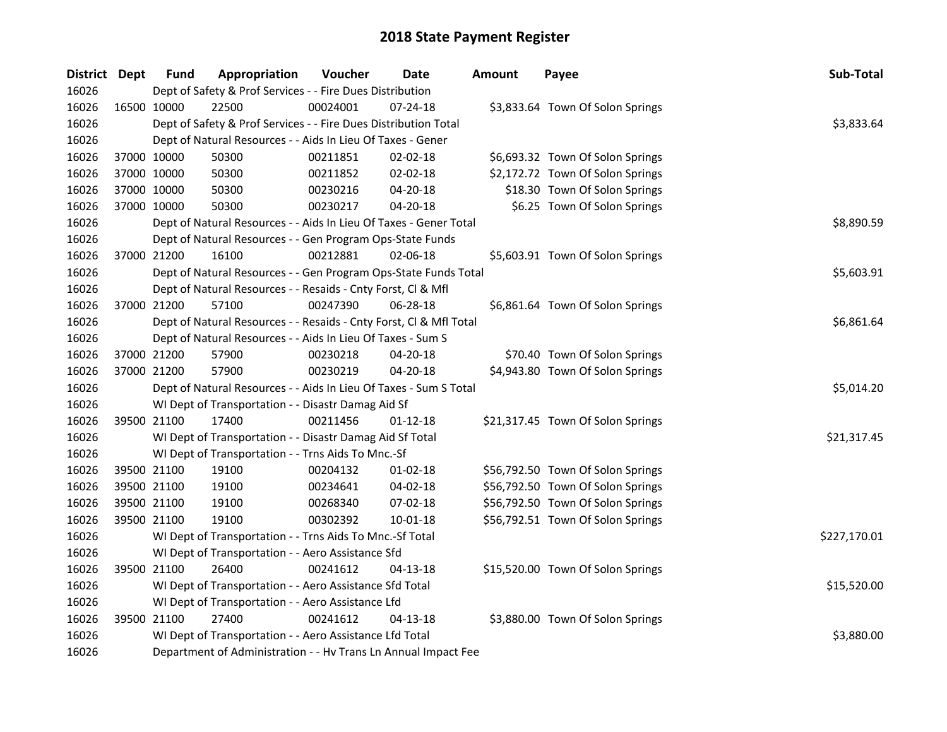| District Dept |             | <b>Fund</b> | Appropriation                                                      | Voucher  | Date           | <b>Amount</b> | Payee                             | Sub-Total    |
|---------------|-------------|-------------|--------------------------------------------------------------------|----------|----------------|---------------|-----------------------------------|--------------|
| 16026         |             |             | Dept of Safety & Prof Services - - Fire Dues Distribution          |          |                |               |                                   |              |
| 16026         | 16500 10000 |             | 22500                                                              | 00024001 | 07-24-18       |               | \$3,833.64 Town Of Solon Springs  |              |
| 16026         |             |             | Dept of Safety & Prof Services - - Fire Dues Distribution Total    |          |                |               |                                   | \$3,833.64   |
| 16026         |             |             | Dept of Natural Resources - - Aids In Lieu Of Taxes - Gener        |          |                |               |                                   |              |
| 16026         |             | 37000 10000 | 50300                                                              | 00211851 | 02-02-18       |               | \$6,693.32 Town Of Solon Springs  |              |
| 16026         |             | 37000 10000 | 50300                                                              | 00211852 | 02-02-18       |               | \$2,172.72 Town Of Solon Springs  |              |
| 16026         |             | 37000 10000 | 50300                                                              | 00230216 | 04-20-18       |               | \$18.30 Town Of Solon Springs     |              |
| 16026         |             | 37000 10000 | 50300                                                              | 00230217 | 04-20-18       |               | \$6.25 Town Of Solon Springs      |              |
| 16026         |             |             | Dept of Natural Resources - - Aids In Lieu Of Taxes - Gener Total  |          |                |               |                                   | \$8,890.59   |
| 16026         |             |             | Dept of Natural Resources - - Gen Program Ops-State Funds          |          |                |               |                                   |              |
| 16026         |             | 37000 21200 | 16100                                                              | 00212881 | 02-06-18       |               | \$5,603.91 Town Of Solon Springs  |              |
| 16026         |             |             | Dept of Natural Resources - - Gen Program Ops-State Funds Total    |          |                |               |                                   | \$5,603.91   |
| 16026         |             |             | Dept of Natural Resources - - Resaids - Cnty Forst, Cl & Mfl       |          |                |               |                                   |              |
| 16026         |             | 37000 21200 | 57100                                                              | 00247390 | 06-28-18       |               | \$6,861.64 Town Of Solon Springs  |              |
| 16026         |             |             | Dept of Natural Resources - - Resaids - Cnty Forst, Cl & Mfl Total |          |                |               |                                   | \$6,861.64   |
| 16026         |             |             | Dept of Natural Resources - - Aids In Lieu Of Taxes - Sum S        |          |                |               |                                   |              |
| 16026         |             | 37000 21200 | 57900                                                              | 00230218 | 04-20-18       |               | \$70.40 Town Of Solon Springs     |              |
| 16026         |             | 37000 21200 | 57900                                                              | 00230219 | $04 - 20 - 18$ |               | \$4,943.80 Town Of Solon Springs  |              |
| 16026         |             |             | Dept of Natural Resources - - Aids In Lieu Of Taxes - Sum S Total  |          |                |               |                                   | \$5,014.20   |
| 16026         |             |             | WI Dept of Transportation - - Disastr Damag Aid Sf                 |          |                |               |                                   |              |
| 16026         |             | 39500 21100 | 17400                                                              | 00211456 | $01 - 12 - 18$ |               | \$21,317.45 Town Of Solon Springs |              |
| 16026         |             |             | WI Dept of Transportation - - Disastr Damag Aid Sf Total           |          |                |               |                                   | \$21,317.45  |
| 16026         |             |             | WI Dept of Transportation - - Trns Aids To Mnc.-Sf                 |          |                |               |                                   |              |
| 16026         |             | 39500 21100 | 19100                                                              | 00204132 | 01-02-18       |               | \$56,792.50 Town Of Solon Springs |              |
| 16026         |             | 39500 21100 | 19100                                                              | 00234641 | 04-02-18       |               | \$56,792.50 Town Of Solon Springs |              |
| 16026         |             | 39500 21100 | 19100                                                              | 00268340 | 07-02-18       |               | \$56,792.50 Town Of Solon Springs |              |
| 16026         |             | 39500 21100 | 19100                                                              | 00302392 | $10 - 01 - 18$ |               | \$56,792.51 Town Of Solon Springs |              |
| 16026         |             |             | WI Dept of Transportation - - Trns Aids To Mnc.-Sf Total           |          |                |               |                                   | \$227,170.01 |
| 16026         |             |             | WI Dept of Transportation - - Aero Assistance Sfd                  |          |                |               |                                   |              |
| 16026         |             | 39500 21100 | 26400                                                              | 00241612 | 04-13-18       |               | \$15,520.00 Town Of Solon Springs |              |
| 16026         |             |             | WI Dept of Transportation - - Aero Assistance Sfd Total            |          |                |               |                                   | \$15,520.00  |
| 16026         |             |             | WI Dept of Transportation - - Aero Assistance Lfd                  |          |                |               |                                   |              |
| 16026         |             | 39500 21100 | 27400                                                              | 00241612 | $04 - 13 - 18$ |               | \$3,880.00 Town Of Solon Springs  |              |
| 16026         |             |             | WI Dept of Transportation - - Aero Assistance Lfd Total            |          |                |               |                                   | \$3,880.00   |
| 16026         |             |             | Department of Administration - - Hv Trans Ln Annual Impact Fee     |          |                |               |                                   |              |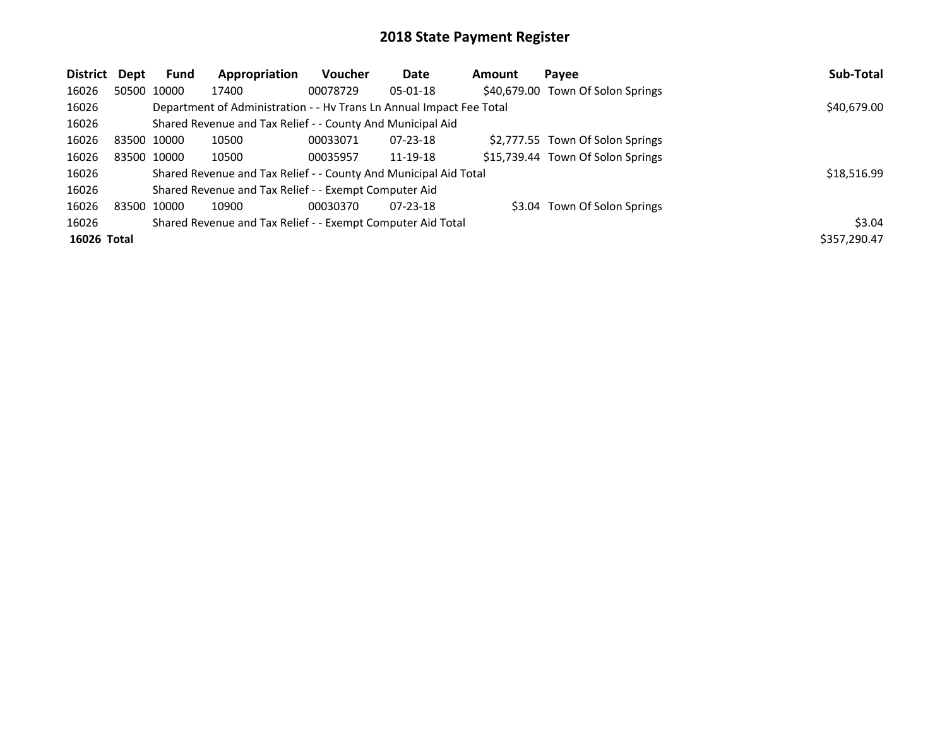| <b>District</b> | Dept | <b>Fund</b> | Appropriation                                                        | Voucher  | Date           | Amount | Payee                             | Sub-Total    |
|-----------------|------|-------------|----------------------------------------------------------------------|----------|----------------|--------|-----------------------------------|--------------|
| 16026           |      | 50500 10000 | 17400                                                                | 00078729 | $05-01-18$     |        | \$40,679.00 Town Of Solon Springs |              |
| 16026           |      |             | Department of Administration - - Hy Trans Ln Annual Impact Fee Total |          |                |        |                                   | \$40,679.00  |
| 16026           |      |             | Shared Revenue and Tax Relief - - County And Municipal Aid           |          |                |        |                                   |              |
| 16026           |      | 83500 10000 | 10500                                                                | 00033071 | $07 - 23 - 18$ |        | \$2,777.55 Town Of Solon Springs  |              |
| 16026           |      | 83500 10000 | 10500                                                                | 00035957 | 11-19-18       |        | \$15,739.44 Town Of Solon Springs |              |
| 16026           |      |             | Shared Revenue and Tax Relief - - County And Municipal Aid Total     |          |                |        |                                   | \$18,516.99  |
| 16026           |      |             | Shared Revenue and Tax Relief - - Exempt Computer Aid                |          |                |        |                                   |              |
| 16026           |      | 83500 10000 | 10900                                                                | 00030370 | $07 - 23 - 18$ |        | \$3.04 Town Of Solon Springs      |              |
| 16026           |      |             | Shared Revenue and Tax Relief - - Exempt Computer Aid Total          |          |                |        |                                   | \$3.04       |
| 16026 Total     |      |             |                                                                      |          |                |        |                                   | \$357,290.47 |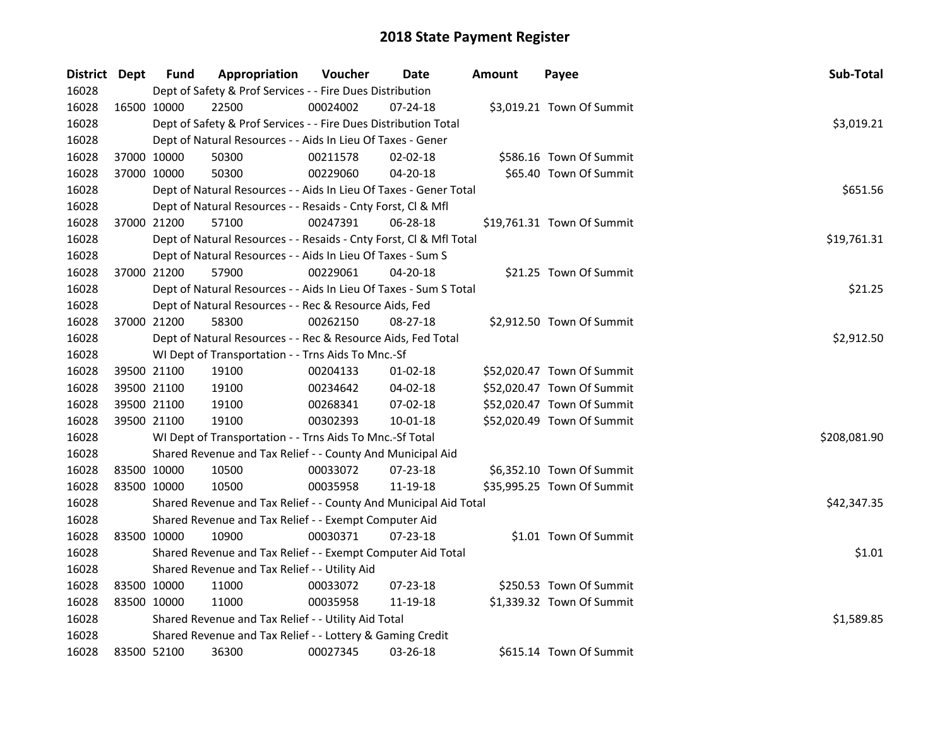| District Dept |             | <b>Fund</b> | Appropriation                                                      | Voucher  | Date           | <b>Amount</b> | Payee                      | Sub-Total    |
|---------------|-------------|-------------|--------------------------------------------------------------------|----------|----------------|---------------|----------------------------|--------------|
| 16028         |             |             | Dept of Safety & Prof Services - - Fire Dues Distribution          |          |                |               |                            |              |
| 16028         |             | 16500 10000 | 22500                                                              | 00024002 | $07 - 24 - 18$ |               | \$3,019.21 Town Of Summit  |              |
| 16028         |             |             | Dept of Safety & Prof Services - - Fire Dues Distribution Total    |          |                |               |                            | \$3,019.21   |
| 16028         |             |             | Dept of Natural Resources - - Aids In Lieu Of Taxes - Gener        |          |                |               |                            |              |
| 16028         |             | 37000 10000 | 50300                                                              | 00211578 | $02 - 02 - 18$ |               | \$586.16 Town Of Summit    |              |
| 16028         |             | 37000 10000 | 50300                                                              | 00229060 | 04-20-18       |               | \$65.40 Town Of Summit     |              |
| 16028         |             |             | Dept of Natural Resources - - Aids In Lieu Of Taxes - Gener Total  |          |                |               |                            | \$651.56     |
| 16028         |             |             | Dept of Natural Resources - - Resaids - Cnty Forst, Cl & Mfl       |          |                |               |                            |              |
| 16028         |             | 37000 21200 | 57100                                                              | 00247391 | 06-28-18       |               | \$19,761.31 Town Of Summit |              |
| 16028         |             |             | Dept of Natural Resources - - Resaids - Cnty Forst, Cl & Mfl Total |          |                |               |                            | \$19,761.31  |
| 16028         |             |             | Dept of Natural Resources - - Aids In Lieu Of Taxes - Sum S        |          |                |               |                            |              |
| 16028         |             | 37000 21200 | 57900                                                              | 00229061 | 04-20-18       |               | \$21.25 Town Of Summit     |              |
| 16028         |             |             | Dept of Natural Resources - - Aids In Lieu Of Taxes - Sum S Total  |          |                |               |                            | \$21.25      |
| 16028         |             |             | Dept of Natural Resources - - Rec & Resource Aids, Fed             |          |                |               |                            |              |
| 16028         |             | 37000 21200 | 58300                                                              | 00262150 | 08-27-18       |               | \$2,912.50 Town Of Summit  |              |
| 16028         |             |             | Dept of Natural Resources - - Rec & Resource Aids, Fed Total       |          |                |               |                            | \$2,912.50   |
| 16028         |             |             | WI Dept of Transportation - - Trns Aids To Mnc.-Sf                 |          |                |               |                            |              |
| 16028         |             | 39500 21100 | 19100                                                              | 00204133 | $01 - 02 - 18$ |               | \$52,020.47 Town Of Summit |              |
| 16028         |             | 39500 21100 | 19100                                                              | 00234642 | 04-02-18       |               | \$52,020.47 Town Of Summit |              |
| 16028         |             | 39500 21100 | 19100                                                              | 00268341 | 07-02-18       |               | \$52,020.47 Town Of Summit |              |
| 16028         |             | 39500 21100 | 19100                                                              | 00302393 | 10-01-18       |               | \$52,020.49 Town Of Summit |              |
| 16028         |             |             | WI Dept of Transportation - - Trns Aids To Mnc.-Sf Total           |          |                |               |                            | \$208,081.90 |
| 16028         |             |             | Shared Revenue and Tax Relief - - County And Municipal Aid         |          |                |               |                            |              |
| 16028         |             | 83500 10000 | 10500                                                              | 00033072 | 07-23-18       |               | \$6,352.10 Town Of Summit  |              |
| 16028         |             | 83500 10000 | 10500                                                              | 00035958 | 11-19-18       |               | \$35,995.25 Town Of Summit |              |
| 16028         |             |             | Shared Revenue and Tax Relief - - County And Municipal Aid Total   |          |                |               |                            | \$42,347.35  |
| 16028         |             |             | Shared Revenue and Tax Relief - - Exempt Computer Aid              |          |                |               |                            |              |
| 16028         |             | 83500 10000 | 10900                                                              | 00030371 | 07-23-18       |               | \$1.01 Town Of Summit      |              |
| 16028         |             |             | Shared Revenue and Tax Relief - - Exempt Computer Aid Total        |          |                |               |                            | \$1.01       |
| 16028         |             |             | Shared Revenue and Tax Relief - - Utility Aid                      |          |                |               |                            |              |
| 16028         |             | 83500 10000 | 11000                                                              | 00033072 | $07 - 23 - 18$ |               | \$250.53 Town Of Summit    |              |
| 16028         |             | 83500 10000 | 11000                                                              | 00035958 | 11-19-18       |               | \$1,339.32 Town Of Summit  |              |
| 16028         |             |             | Shared Revenue and Tax Relief - - Utility Aid Total                |          |                |               |                            | \$1,589.85   |
| 16028         |             |             | Shared Revenue and Tax Relief - - Lottery & Gaming Credit          |          |                |               |                            |              |
| 16028         | 83500 52100 |             | 36300                                                              | 00027345 | 03-26-18       |               | \$615.14 Town Of Summit    |              |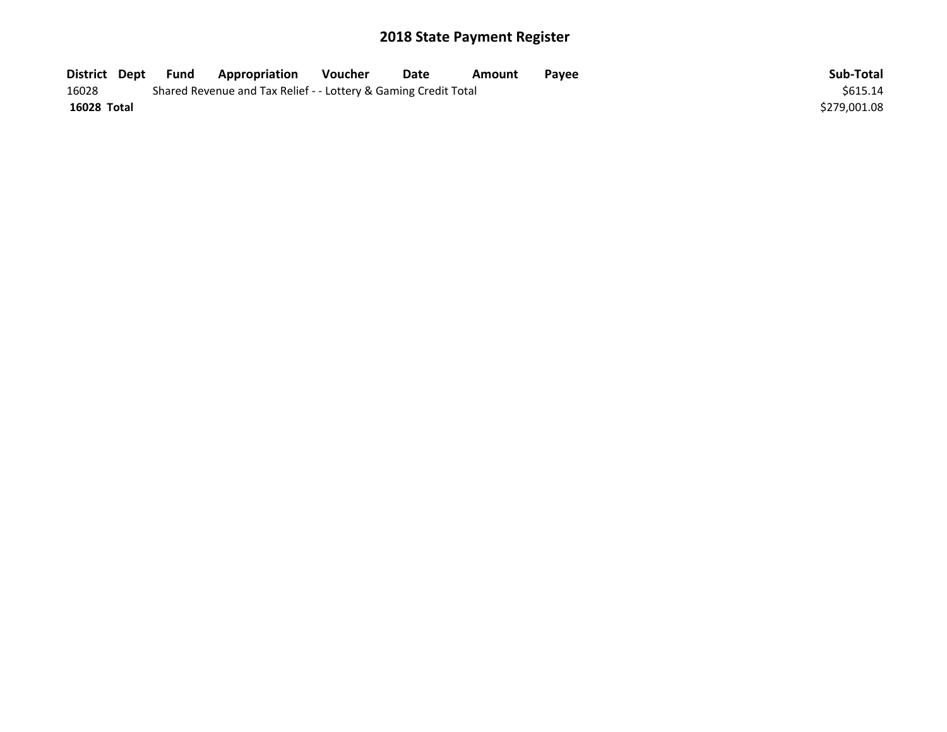| District Dept | <b>Fund</b> | <b>Appropriation</b>                                            | Voucher | Date | Amount | <b>Pavee</b> | Sub-Total    |
|---------------|-------------|-----------------------------------------------------------------|---------|------|--------|--------------|--------------|
| 16028         |             | Shared Revenue and Tax Relief - - Lottery & Gaming Credit Total |         |      |        |              | \$615.14     |
| 16028 Total   |             |                                                                 |         |      |        |              | \$279,001.08 |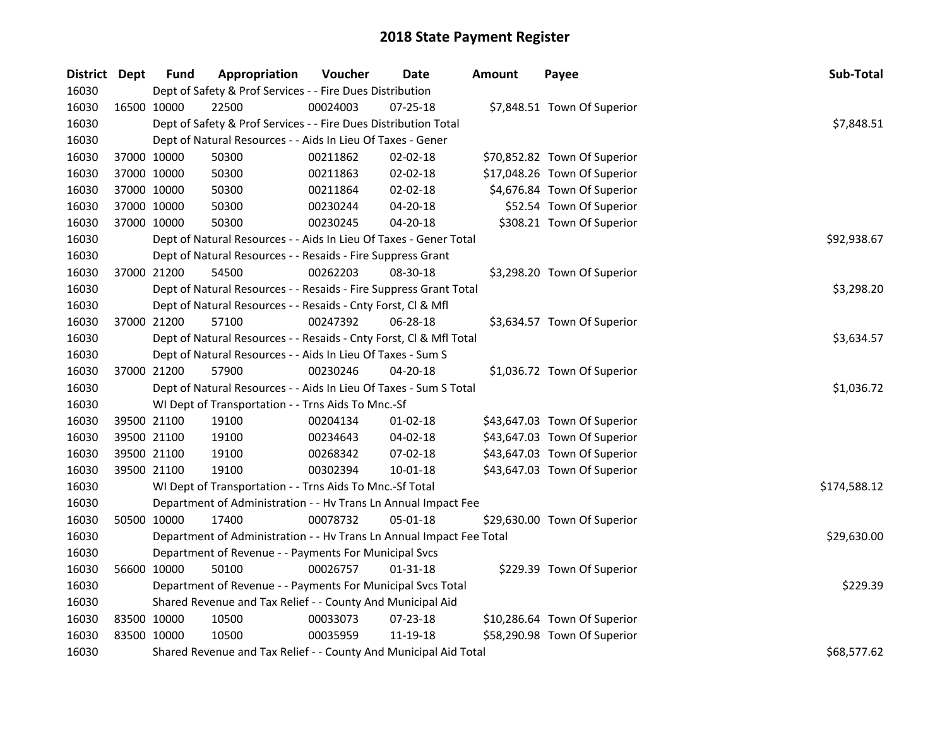| District Dept |             | <b>Fund</b> | Appropriation                                                        | Voucher     | <b>Date</b>    | Amount | Payee                        | Sub-Total    |
|---------------|-------------|-------------|----------------------------------------------------------------------|-------------|----------------|--------|------------------------------|--------------|
| 16030         |             |             | Dept of Safety & Prof Services - - Fire Dues Distribution            |             |                |        |                              |              |
| 16030         | 16500 10000 |             | 22500                                                                | 00024003    | 07-25-18       |        | \$7,848.51 Town Of Superior  |              |
| 16030         |             |             | Dept of Safety & Prof Services - - Fire Dues Distribution Total      |             |                |        |                              | \$7,848.51   |
| 16030         |             |             | Dept of Natural Resources - - Aids In Lieu Of Taxes - Gener          |             |                |        |                              |              |
| 16030         |             | 37000 10000 | 50300                                                                | 00211862    | 02-02-18       |        | \$70,852.82 Town Of Superior |              |
| 16030         |             | 37000 10000 | 50300                                                                | 00211863    | 02-02-18       |        | \$17,048.26 Town Of Superior |              |
| 16030         |             | 37000 10000 | 50300                                                                | 00211864    | $02 - 02 - 18$ |        | \$4,676.84 Town Of Superior  |              |
| 16030         |             | 37000 10000 | 50300                                                                | 00230244    | 04-20-18       |        | \$52.54 Town Of Superior     |              |
| 16030         |             | 37000 10000 | 50300                                                                | 00230245    | 04-20-18       |        | \$308.21 Town Of Superior    |              |
| 16030         |             |             | Dept of Natural Resources - - Aids In Lieu Of Taxes - Gener Total    | \$92,938.67 |                |        |                              |              |
| 16030         |             |             | Dept of Natural Resources - - Resaids - Fire Suppress Grant          |             |                |        |                              |              |
| 16030         |             | 37000 21200 | 54500                                                                | 00262203    | 08-30-18       |        | \$3,298.20 Town Of Superior  |              |
| 16030         |             |             | Dept of Natural Resources - - Resaids - Fire Suppress Grant Total    |             |                |        |                              | \$3,298.20   |
| 16030         |             |             | Dept of Natural Resources - - Resaids - Cnty Forst, Cl & Mfl         |             |                |        |                              |              |
| 16030         |             | 37000 21200 | 57100                                                                | 00247392    | 06-28-18       |        | \$3,634.57 Town Of Superior  |              |
| 16030         |             |             | Dept of Natural Resources - - Resaids - Cnty Forst, Cl & Mfl Total   | \$3,634.57  |                |        |                              |              |
| 16030         |             |             | Dept of Natural Resources - - Aids In Lieu Of Taxes - Sum S          |             |                |        |                              |              |
| 16030         |             | 37000 21200 | 57900                                                                | 00230246    | $04 - 20 - 18$ |        | \$1,036.72 Town Of Superior  |              |
| 16030         |             |             | Dept of Natural Resources - - Aids In Lieu Of Taxes - Sum S Total    |             |                |        |                              | \$1,036.72   |
| 16030         |             |             | WI Dept of Transportation - - Trns Aids To Mnc.-Sf                   |             |                |        |                              |              |
| 16030         |             | 39500 21100 | 19100                                                                | 00204134    | $01 - 02 - 18$ |        | \$43,647.03 Town Of Superior |              |
| 16030         |             | 39500 21100 | 19100                                                                | 00234643    | 04-02-18       |        | \$43,647.03 Town Of Superior |              |
| 16030         |             | 39500 21100 | 19100                                                                | 00268342    | 07-02-18       |        | \$43,647.03 Town Of Superior |              |
| 16030         |             | 39500 21100 | 19100                                                                | 00302394    | $10 - 01 - 18$ |        | \$43,647.03 Town Of Superior |              |
| 16030         |             |             | WI Dept of Transportation - - Trns Aids To Mnc.-Sf Total             |             |                |        |                              | \$174,588.12 |
| 16030         |             |             | Department of Administration - - Hv Trans Ln Annual Impact Fee       |             |                |        |                              |              |
| 16030         | 50500 10000 |             | 17400                                                                | 00078732    | 05-01-18       |        | \$29,630.00 Town Of Superior |              |
| 16030         |             |             | Department of Administration - - Hv Trans Ln Annual Impact Fee Total |             |                |        |                              | \$29,630.00  |
| 16030         |             |             | Department of Revenue - - Payments For Municipal Svcs                |             |                |        |                              |              |
| 16030         | 56600 10000 |             | 50100                                                                | 00026757    | $01 - 31 - 18$ |        | \$229.39 Town Of Superior    |              |
| 16030         |             |             | Department of Revenue - - Payments For Municipal Svcs Total          |             |                |        |                              | \$229.39     |
| 16030         |             |             | Shared Revenue and Tax Relief - - County And Municipal Aid           |             |                |        |                              |              |
| 16030         |             | 83500 10000 | 10500                                                                | 00033073    | 07-23-18       |        | \$10,286.64 Town Of Superior |              |
| 16030         |             | 83500 10000 | 10500                                                                | 00035959    | 11-19-18       |        | \$58,290.98 Town Of Superior |              |
| 16030         |             |             | Shared Revenue and Tax Relief - - County And Municipal Aid Total     |             | \$68,577.62    |        |                              |              |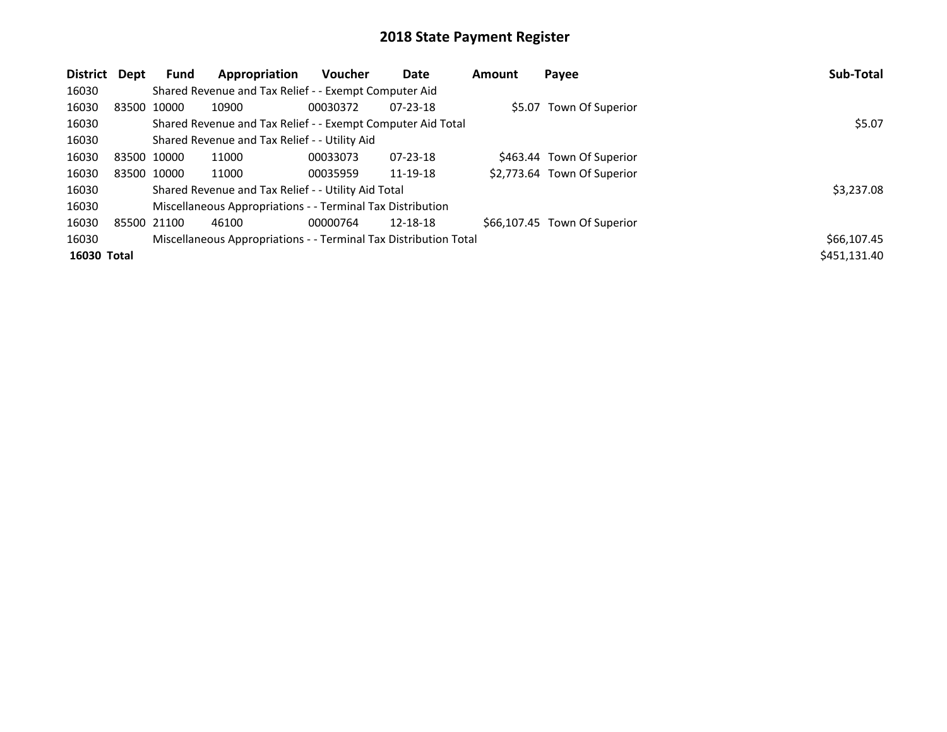| District    | Dept | Fund        | Appropriation                                                    | <b>Voucher</b> | Date           | Amount | Payee                        | Sub-Total    |
|-------------|------|-------------|------------------------------------------------------------------|----------------|----------------|--------|------------------------------|--------------|
| 16030       |      |             | Shared Revenue and Tax Relief - - Exempt Computer Aid            |                |                |        |                              |              |
| 16030       |      | 83500 10000 | 10900                                                            | 00030372       | $07 - 23 - 18$ |        | \$5.07 Town Of Superior      |              |
| 16030       |      |             | Shared Revenue and Tax Relief - - Exempt Computer Aid Total      | \$5.07         |                |        |                              |              |
| 16030       |      |             | Shared Revenue and Tax Relief - - Utility Aid                    |                |                |        |                              |              |
| 16030       |      | 83500 10000 | 11000                                                            | 00033073       | $07 - 23 - 18$ |        | \$463.44 Town Of Superior    |              |
| 16030       |      | 83500 10000 | 11000                                                            | 00035959       | 11-19-18       |        | \$2,773.64 Town Of Superior  |              |
| 16030       |      |             | Shared Revenue and Tax Relief - - Utility Aid Total              |                |                |        |                              | \$3,237.08   |
| 16030       |      |             | Miscellaneous Appropriations - - Terminal Tax Distribution       |                |                |        |                              |              |
| 16030       |      | 85500 21100 | 46100                                                            | 00000764       | 12-18-18       |        | \$66,107.45 Town Of Superior |              |
| 16030       |      |             | Miscellaneous Appropriations - - Terminal Tax Distribution Total |                |                |        |                              | \$66,107.45  |
| 16030 Total |      |             |                                                                  |                |                |        |                              | \$451,131.40 |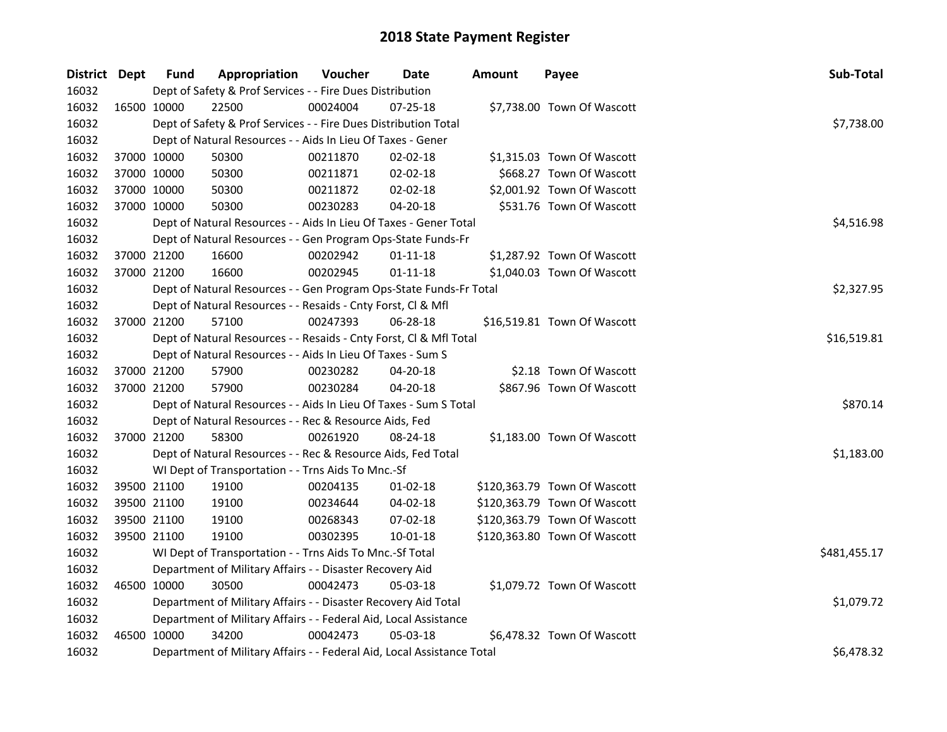| District Dept |             | <b>Fund</b> | Appropriation                                                          | Voucher     | Date           | Amount | Payee                        | Sub-Total    |
|---------------|-------------|-------------|------------------------------------------------------------------------|-------------|----------------|--------|------------------------------|--------------|
| 16032         |             |             | Dept of Safety & Prof Services - - Fire Dues Distribution              |             |                |        |                              |              |
| 16032         | 16500 10000 |             | 22500                                                                  | 00024004    | 07-25-18       |        | \$7,738.00 Town Of Wascott   |              |
| 16032         |             |             | Dept of Safety & Prof Services - - Fire Dues Distribution Total        |             |                |        |                              | \$7,738.00   |
| 16032         |             |             | Dept of Natural Resources - - Aids In Lieu Of Taxes - Gener            |             |                |        |                              |              |
| 16032         |             | 37000 10000 | 50300                                                                  | 00211870    | 02-02-18       |        | \$1,315.03 Town Of Wascott   |              |
| 16032         |             | 37000 10000 | 50300                                                                  | 00211871    | $02 - 02 - 18$ |        | \$668.27 Town Of Wascott     |              |
| 16032         |             | 37000 10000 | 50300                                                                  | 00211872    | 02-02-18       |        | \$2,001.92 Town Of Wascott   |              |
| 16032         |             | 37000 10000 | 50300                                                                  | 00230283    | 04-20-18       |        | \$531.76 Town Of Wascott     |              |
| 16032         |             |             | Dept of Natural Resources - - Aids In Lieu Of Taxes - Gener Total      |             |                |        |                              | \$4,516.98   |
| 16032         |             |             | Dept of Natural Resources - - Gen Program Ops-State Funds-Fr           |             |                |        |                              |              |
| 16032         |             | 37000 21200 | 16600                                                                  | 00202942    | $01 - 11 - 18$ |        | \$1,287.92 Town Of Wascott   |              |
| 16032         |             | 37000 21200 | 16600                                                                  | 00202945    | $01 - 11 - 18$ |        | \$1,040.03 Town Of Wascott   |              |
| 16032         |             |             | Dept of Natural Resources - - Gen Program Ops-State Funds-Fr Total     |             |                |        |                              | \$2,327.95   |
| 16032         |             |             | Dept of Natural Resources - - Resaids - Cnty Forst, Cl & Mfl           |             |                |        |                              |              |
| 16032         |             | 37000 21200 | 57100                                                                  | 00247393    | $06 - 28 - 18$ |        | \$16,519.81 Town Of Wascott  |              |
| 16032         |             |             | Dept of Natural Resources - - Resaids - Cnty Forst, Cl & Mfl Total     | \$16,519.81 |                |        |                              |              |
| 16032         |             |             | Dept of Natural Resources - - Aids In Lieu Of Taxes - Sum S            |             |                |        |                              |              |
| 16032         |             | 37000 21200 | 57900                                                                  | 00230282    | $04 - 20 - 18$ |        | \$2.18 Town Of Wascott       |              |
| 16032         |             | 37000 21200 | 57900                                                                  | 00230284    | $04 - 20 - 18$ |        | \$867.96 Town Of Wascott     |              |
| 16032         |             |             | Dept of Natural Resources - - Aids In Lieu Of Taxes - Sum S Total      |             |                |        |                              | \$870.14     |
| 16032         |             |             | Dept of Natural Resources - - Rec & Resource Aids, Fed                 |             |                |        |                              |              |
| 16032         |             | 37000 21200 | 58300                                                                  | 00261920    | 08-24-18       |        | \$1,183.00 Town Of Wascott   |              |
| 16032         |             |             | Dept of Natural Resources - - Rec & Resource Aids, Fed Total           |             |                |        |                              | \$1,183.00   |
| 16032         |             |             | WI Dept of Transportation - - Trns Aids To Mnc.-Sf                     |             |                |        |                              |              |
| 16032         |             | 39500 21100 | 19100                                                                  | 00204135    | 01-02-18       |        | \$120,363.79 Town Of Wascott |              |
| 16032         |             | 39500 21100 | 19100                                                                  | 00234644    | 04-02-18       |        | \$120,363.79 Town Of Wascott |              |
| 16032         |             | 39500 21100 | 19100                                                                  | 00268343    | 07-02-18       |        | \$120,363.79 Town Of Wascott |              |
| 16032         |             | 39500 21100 | 19100                                                                  | 00302395    | $10 - 01 - 18$ |        | \$120,363.80 Town Of Wascott |              |
| 16032         |             |             | WI Dept of Transportation - - Trns Aids To Mnc.-Sf Total               |             |                |        |                              | \$481,455.17 |
| 16032         |             |             | Department of Military Affairs - - Disaster Recovery Aid               |             |                |        |                              |              |
| 16032         |             | 46500 10000 | 30500                                                                  | 00042473    | 05-03-18       |        | \$1,079.72 Town Of Wascott   |              |
| 16032         |             |             | Department of Military Affairs - - Disaster Recovery Aid Total         |             |                |        |                              | \$1,079.72   |
| 16032         |             |             | Department of Military Affairs - - Federal Aid, Local Assistance       |             |                |        |                              |              |
| 16032         |             | 46500 10000 | 34200                                                                  | 00042473    | 05-03-18       |        | \$6,478.32 Town Of Wascott   |              |
| 16032         |             |             | Department of Military Affairs - - Federal Aid, Local Assistance Total |             |                |        |                              | \$6,478.32   |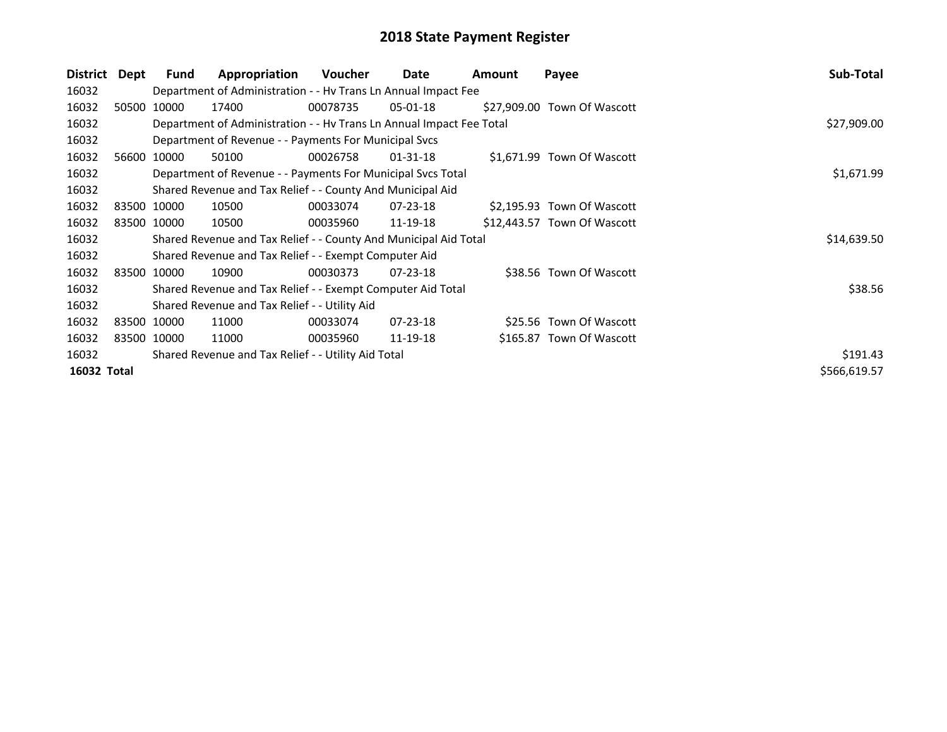| District    | Dept | Fund        | Appropriation                                                        | Voucher     | Date     | <b>Amount</b> | Payee                       | Sub-Total    |
|-------------|------|-------------|----------------------------------------------------------------------|-------------|----------|---------------|-----------------------------|--------------|
| 16032       |      |             | Department of Administration - - Hv Trans Ln Annual Impact Fee       |             |          |               |                             |              |
| 16032       |      | 50500 10000 | 17400                                                                | 00078735    | 05-01-18 |               | \$27,909.00 Town Of Wascott |              |
| 16032       |      |             | Department of Administration - - Hv Trans Ln Annual Impact Fee Total | \$27,909.00 |          |               |                             |              |
| 16032       |      |             | Department of Revenue - - Payments For Municipal Svcs                |             |          |               |                             |              |
| 16032       |      | 56600 10000 | 50100                                                                | 00026758    | 01-31-18 |               | \$1,671.99 Town Of Wascott  |              |
| 16032       |      |             | Department of Revenue - - Payments For Municipal Svcs Total          | \$1,671.99  |          |               |                             |              |
| 16032       |      |             | Shared Revenue and Tax Relief - - County And Municipal Aid           |             |          |               |                             |              |
| 16032       |      | 83500 10000 | 10500                                                                | 00033074    | 07-23-18 |               | \$2,195.93 Town Of Wascott  |              |
| 16032       |      | 83500 10000 | 10500                                                                | 00035960    | 11-19-18 |               | \$12,443.57 Town Of Wascott |              |
| 16032       |      |             | Shared Revenue and Tax Relief - - County And Municipal Aid Total     |             |          |               |                             | \$14,639.50  |
| 16032       |      |             | Shared Revenue and Tax Relief - - Exempt Computer Aid                |             |          |               |                             |              |
| 16032       |      | 83500 10000 | 10900                                                                | 00030373    | 07-23-18 |               | \$38.56 Town Of Wascott     |              |
| 16032       |      |             | Shared Revenue and Tax Relief - - Exempt Computer Aid Total          |             |          |               |                             | \$38.56      |
| 16032       |      |             | Shared Revenue and Tax Relief - - Utility Aid                        |             |          |               |                             |              |
| 16032       |      | 83500 10000 | 11000                                                                | 00033074    | 07-23-18 |               | \$25.56 Town Of Wascott     |              |
| 16032       |      | 83500 10000 | 11000                                                                | 00035960    | 11-19-18 |               | \$165.87 Town Of Wascott    |              |
| 16032       |      |             | Shared Revenue and Tax Relief - - Utility Aid Total                  |             |          |               |                             | \$191.43     |
| 16032 Total |      |             |                                                                      |             |          |               |                             | \$566,619.57 |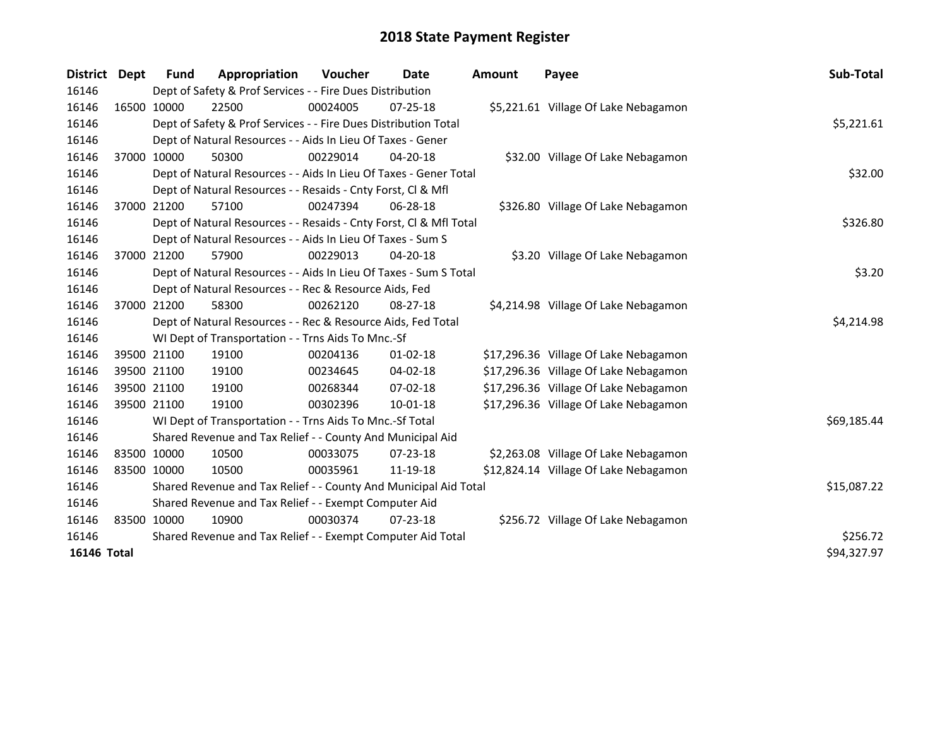| <b>District</b>    | <b>Dept</b> | <b>Fund</b>                                                 | Appropriation                                                      | Voucher     | Date           | <b>Amount</b> | Payee                                 | Sub-Total   |  |  |
|--------------------|-------------|-------------------------------------------------------------|--------------------------------------------------------------------|-------------|----------------|---------------|---------------------------------------|-------------|--|--|
| 16146              |             |                                                             | Dept of Safety & Prof Services - - Fire Dues Distribution          |             |                |               |                                       |             |  |  |
| 16146              |             | 16500 10000                                                 | 22500                                                              | 00024005    | $07 - 25 - 18$ |               | \$5,221.61 Village Of Lake Nebagamon  |             |  |  |
| 16146              |             |                                                             | Dept of Safety & Prof Services - - Fire Dues Distribution Total    |             |                |               |                                       | \$5,221.61  |  |  |
| 16146              |             |                                                             | Dept of Natural Resources - - Aids In Lieu Of Taxes - Gener        |             |                |               |                                       |             |  |  |
| 16146              |             | 37000 10000                                                 | 50300                                                              | 00229014    | $04 - 20 - 18$ |               | \$32.00 Village Of Lake Nebagamon     |             |  |  |
| 16146              |             |                                                             | Dept of Natural Resources - - Aids In Lieu Of Taxes - Gener Total  |             | \$32.00        |               |                                       |             |  |  |
| 16146              |             |                                                             | Dept of Natural Resources - - Resaids - Cnty Forst, Cl & Mfl       |             |                |               |                                       |             |  |  |
| 16146              |             | 37000 21200                                                 | 57100                                                              | 00247394    | 06-28-18       |               | \$326.80 Village Of Lake Nebagamon    |             |  |  |
| 16146              |             |                                                             | Dept of Natural Resources - - Resaids - Cnty Forst, Cl & Mfl Total |             |                |               |                                       |             |  |  |
| 16146              |             |                                                             | Dept of Natural Resources - - Aids In Lieu Of Taxes - Sum S        |             |                |               |                                       |             |  |  |
| 16146              |             | 37000 21200                                                 | 57900                                                              | 00229013    | 04-20-18       |               | \$3.20 Village Of Lake Nebagamon      |             |  |  |
| 16146              |             |                                                             | Dept of Natural Resources - - Aids In Lieu Of Taxes - Sum S Total  |             |                |               |                                       | \$3.20      |  |  |
| 16146              |             |                                                             | Dept of Natural Resources - - Rec & Resource Aids, Fed             |             |                |               |                                       |             |  |  |
| 16146              |             | 37000 21200                                                 | 58300                                                              | 00262120    | $08 - 27 - 18$ |               | \$4,214.98 Village Of Lake Nebagamon  |             |  |  |
| 16146              |             |                                                             | Dept of Natural Resources - - Rec & Resource Aids, Fed Total       |             |                |               |                                       | \$4,214.98  |  |  |
| 16146              |             |                                                             | WI Dept of Transportation - - Trns Aids To Mnc.-Sf                 |             |                |               |                                       |             |  |  |
| 16146              |             | 39500 21100                                                 | 19100                                                              | 00204136    | $01 - 02 - 18$ |               | \$17,296.36 Village Of Lake Nebagamon |             |  |  |
| 16146              |             | 39500 21100                                                 | 19100                                                              | 00234645    | $04 - 02 - 18$ |               | \$17,296.36 Village Of Lake Nebagamon |             |  |  |
| 16146              |             | 39500 21100                                                 | 19100                                                              | 00268344    | $07 - 02 - 18$ |               | \$17,296.36 Village Of Lake Nebagamon |             |  |  |
| 16146              |             | 39500 21100                                                 | 19100                                                              | 00302396    | $10 - 01 - 18$ |               | \$17,296.36 Village Of Lake Nebagamon |             |  |  |
| 16146              |             |                                                             | WI Dept of Transportation - - Trns Aids To Mnc.-Sf Total           |             |                |               |                                       | \$69,185.44 |  |  |
| 16146              |             |                                                             | Shared Revenue and Tax Relief - - County And Municipal Aid         |             |                |               |                                       |             |  |  |
| 16146              |             | 83500 10000                                                 | 10500                                                              | 00033075    | $07 - 23 - 18$ |               | \$2,263.08 Village Of Lake Nebagamon  |             |  |  |
| 16146              |             | 83500 10000                                                 | 10500                                                              | 00035961    | 11-19-18       |               | \$12,824.14 Village Of Lake Nebagamon |             |  |  |
| 16146              |             |                                                             | Shared Revenue and Tax Relief - - County And Municipal Aid Total   | \$15,087.22 |                |               |                                       |             |  |  |
| 16146              |             |                                                             | Shared Revenue and Tax Relief - - Exempt Computer Aid              |             |                |               |                                       |             |  |  |
| 16146              |             | 83500 10000                                                 | 10900                                                              | 00030374    | $07 - 23 - 18$ |               | \$256.72 Village Of Lake Nebagamon    |             |  |  |
| 16146              |             | Shared Revenue and Tax Relief - - Exempt Computer Aid Total | \$256.72                                                           |             |                |               |                                       |             |  |  |
| <b>16146 Total</b> |             |                                                             |                                                                    |             |                |               |                                       | \$94,327.97 |  |  |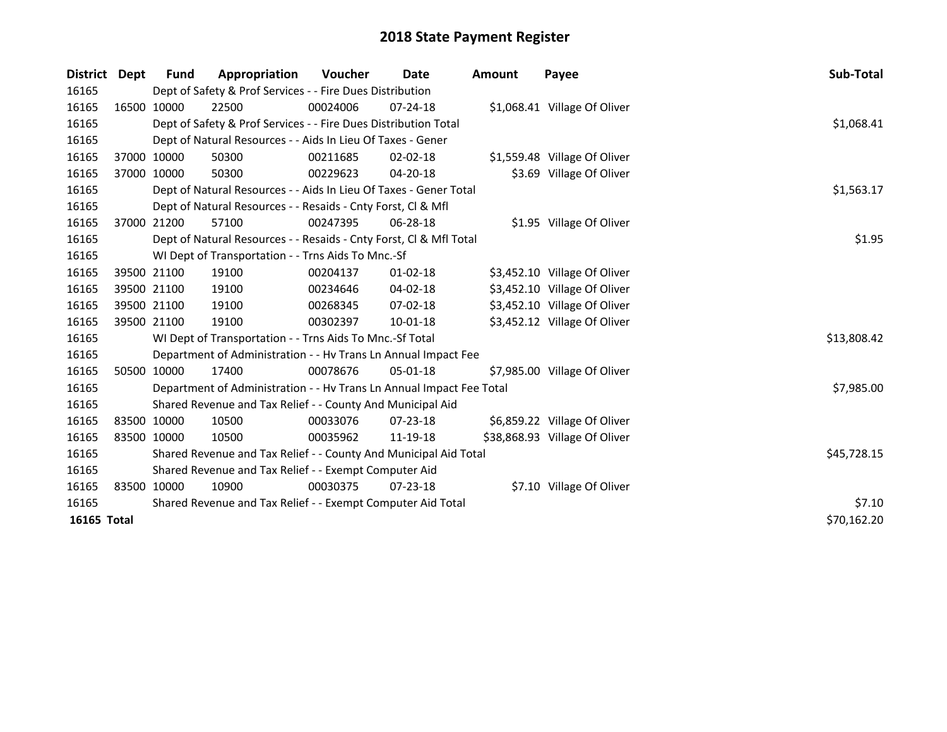| District Dept |             | <b>Fund</b> | Appropriation                                                        | Voucher  | Date           | <b>Amount</b> | Payee                         | Sub-Total   |
|---------------|-------------|-------------|----------------------------------------------------------------------|----------|----------------|---------------|-------------------------------|-------------|
| 16165         |             |             | Dept of Safety & Prof Services - - Fire Dues Distribution            |          |                |               |                               |             |
| 16165         |             | 16500 10000 | 22500                                                                | 00024006 | $07 - 24 - 18$ |               | \$1,068.41 Village Of Oliver  |             |
| 16165         |             |             | Dept of Safety & Prof Services - - Fire Dues Distribution Total      |          |                |               |                               | \$1,068.41  |
| 16165         |             |             | Dept of Natural Resources - - Aids In Lieu Of Taxes - Gener          |          |                |               |                               |             |
| 16165         |             | 37000 10000 | 50300                                                                | 00211685 | $02 - 02 - 18$ |               | \$1,559.48 Village Of Oliver  |             |
| 16165         |             | 37000 10000 | 50300                                                                | 00229623 | 04-20-18       |               | \$3.69 Village Of Oliver      |             |
| 16165         |             |             | Dept of Natural Resources - - Aids In Lieu Of Taxes - Gener Total    |          |                |               |                               | \$1,563.17  |
| 16165         |             |             | Dept of Natural Resources - - Resaids - Cnty Forst, Cl & Mfl         |          |                |               |                               |             |
| 16165         |             | 37000 21200 | 57100                                                                | 00247395 | 06-28-18       |               | \$1.95 Village Of Oliver      |             |
| 16165         |             |             | Dept of Natural Resources - - Resaids - Cnty Forst, CI & Mfl Total   |          |                |               |                               | \$1.95      |
| 16165         |             |             | WI Dept of Transportation - - Trns Aids To Mnc.-Sf                   |          |                |               |                               |             |
| 16165         |             | 39500 21100 | 19100                                                                | 00204137 | $01 - 02 - 18$ |               | \$3,452.10 Village Of Oliver  |             |
| 16165         |             | 39500 21100 | 19100                                                                | 00234646 | 04-02-18       |               | \$3,452.10 Village Of Oliver  |             |
| 16165         |             | 39500 21100 | 19100                                                                | 00268345 | 07-02-18       |               | \$3,452.10 Village Of Oliver  |             |
| 16165         | 39500 21100 |             | 19100                                                                | 00302397 | 10-01-18       |               | \$3,452.12 Village Of Oliver  |             |
| 16165         |             |             | WI Dept of Transportation - - Trns Aids To Mnc.-Sf Total             |          |                |               |                               | \$13,808.42 |
| 16165         |             |             | Department of Administration - - Hv Trans Ln Annual Impact Fee       |          |                |               |                               |             |
| 16165         |             | 50500 10000 | 17400                                                                | 00078676 | $05 - 01 - 18$ |               | \$7,985.00 Village Of Oliver  |             |
| 16165         |             |             | Department of Administration - - Hv Trans Ln Annual Impact Fee Total |          |                |               |                               | \$7,985.00  |
| 16165         |             |             | Shared Revenue and Tax Relief - - County And Municipal Aid           |          |                |               |                               |             |
| 16165         |             | 83500 10000 | 10500                                                                | 00033076 | 07-23-18       |               | \$6,859.22 Village Of Oliver  |             |
| 16165         |             | 83500 10000 | 10500                                                                | 00035962 | 11-19-18       |               | \$38,868.93 Village Of Oliver |             |
| 16165         |             |             | Shared Revenue and Tax Relief - - County And Municipal Aid Total     |          |                |               |                               | \$45,728.15 |
| 16165         |             |             | Shared Revenue and Tax Relief - - Exempt Computer Aid                |          |                |               |                               |             |
| 16165         |             | 83500 10000 | 10900                                                                | 00030375 | $07 - 23 - 18$ |               | \$7.10 Village Of Oliver      |             |
| 16165         |             |             | Shared Revenue and Tax Relief - - Exempt Computer Aid Total          | \$7.10   |                |               |                               |             |
| 16165 Total   |             |             |                                                                      |          |                |               |                               | \$70,162.20 |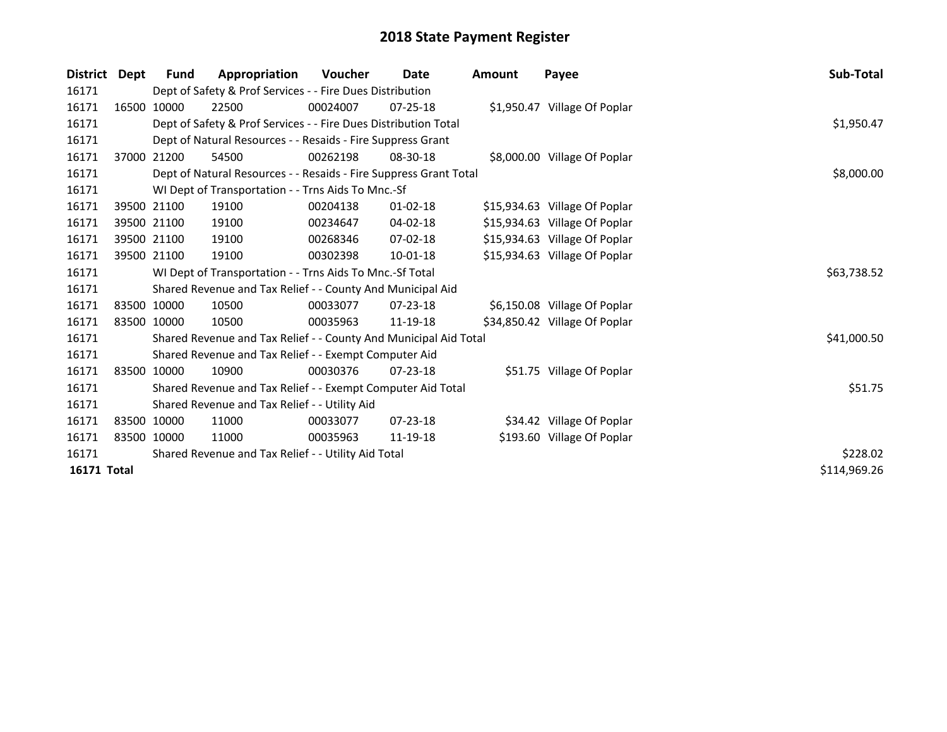| <b>District</b>    | Dept | Fund        | Appropriation                                                     | <b>Voucher</b> | Date           | <b>Amount</b> | Payee                         | Sub-Total    |
|--------------------|------|-------------|-------------------------------------------------------------------|----------------|----------------|---------------|-------------------------------|--------------|
| 16171              |      |             | Dept of Safety & Prof Services - - Fire Dues Distribution         |                |                |               |                               |              |
| 16171              |      | 16500 10000 | 22500                                                             | 00024007       | $07 - 25 - 18$ |               | \$1,950.47 Village Of Poplar  |              |
| 16171              |      |             | Dept of Safety & Prof Services - - Fire Dues Distribution Total   |                |                |               |                               | \$1,950.47   |
| 16171              |      |             | Dept of Natural Resources - - Resaids - Fire Suppress Grant       |                |                |               |                               |              |
| 16171              |      | 37000 21200 | 54500                                                             | 00262198       | 08-30-18       |               | \$8,000.00 Village Of Poplar  |              |
| 16171              |      |             | Dept of Natural Resources - - Resaids - Fire Suppress Grant Total | \$8,000.00     |                |               |                               |              |
| 16171              |      |             | WI Dept of Transportation - - Trns Aids To Mnc.-Sf                |                |                |               |                               |              |
| 16171              |      | 39500 21100 | 19100                                                             | 00204138       | $01 - 02 - 18$ |               | \$15,934.63 Village Of Poplar |              |
| 16171              |      | 39500 21100 | 19100                                                             | 00234647       | 04-02-18       |               | \$15,934.63 Village Of Poplar |              |
| 16171              |      | 39500 21100 | 19100                                                             | 00268346       | 07-02-18       |               | \$15,934.63 Village Of Poplar |              |
| 16171              |      | 39500 21100 | 19100                                                             | 00302398       | $10-01-18$     |               | \$15,934.63 Village Of Poplar |              |
| 16171              |      |             | WI Dept of Transportation - - Trns Aids To Mnc.-Sf Total          |                |                |               |                               | \$63,738.52  |
| 16171              |      |             | Shared Revenue and Tax Relief - - County And Municipal Aid        |                |                |               |                               |              |
| 16171              |      | 83500 10000 | 10500                                                             | 00033077       | 07-23-18       |               | \$6,150.08 Village Of Poplar  |              |
| 16171              |      | 83500 10000 | 10500                                                             | 00035963       | 11-19-18       |               | \$34,850.42 Village Of Poplar |              |
| 16171              |      |             | Shared Revenue and Tax Relief - - County And Municipal Aid Total  |                |                |               |                               | \$41,000.50  |
| 16171              |      |             | Shared Revenue and Tax Relief - - Exempt Computer Aid             |                |                |               |                               |              |
| 16171              |      | 83500 10000 | 10900                                                             | 00030376       | $07 - 23 - 18$ |               | \$51.75 Village Of Poplar     |              |
| 16171              |      |             | Shared Revenue and Tax Relief - - Exempt Computer Aid Total       |                |                |               |                               | \$51.75      |
| 16171              |      |             | Shared Revenue and Tax Relief - - Utility Aid                     |                |                |               |                               |              |
| 16171              |      | 83500 10000 | 11000                                                             | 00033077       | 07-23-18       |               | \$34.42 Village Of Poplar     |              |
| 16171              |      | 83500 10000 | 11000                                                             | 00035963       | 11-19-18       |               | \$193.60 Village Of Poplar    |              |
| 16171              |      |             | Shared Revenue and Tax Relief - - Utility Aid Total               |                |                |               |                               | \$228.02     |
| <b>16171 Total</b> |      |             |                                                                   |                |                |               |                               | \$114,969.26 |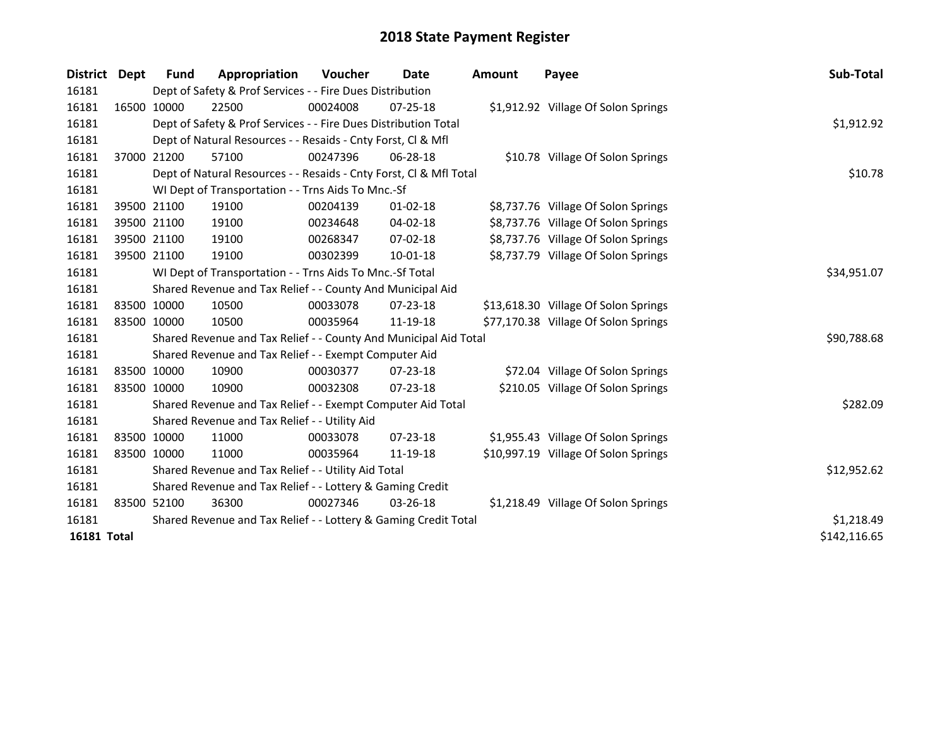| <b>District</b> | Dept | Fund        | Appropriation                                                      | Voucher  | Date           | <b>Amount</b> | Payee                                | Sub-Total    |
|-----------------|------|-------------|--------------------------------------------------------------------|----------|----------------|---------------|--------------------------------------|--------------|
| 16181           |      |             | Dept of Safety & Prof Services - - Fire Dues Distribution          |          |                |               |                                      |              |
| 16181           |      | 16500 10000 | 22500                                                              | 00024008 | $07 - 25 - 18$ |               | \$1,912.92 Village Of Solon Springs  |              |
| 16181           |      |             | Dept of Safety & Prof Services - - Fire Dues Distribution Total    |          |                |               |                                      | \$1,912.92   |
| 16181           |      |             | Dept of Natural Resources - - Resaids - Cnty Forst, Cl & Mfl       |          |                |               |                                      |              |
| 16181           |      | 37000 21200 | 57100                                                              | 00247396 | 06-28-18       |               | \$10.78 Village Of Solon Springs     |              |
| 16181           |      |             | Dept of Natural Resources - - Resaids - Cnty Forst, CI & Mfl Total |          |                |               |                                      | \$10.78      |
| 16181           |      |             | WI Dept of Transportation - - Trns Aids To Mnc.-Sf                 |          |                |               |                                      |              |
| 16181           |      | 39500 21100 | 19100                                                              | 00204139 | $01 - 02 - 18$ |               | \$8,737.76 Village Of Solon Springs  |              |
| 16181           |      | 39500 21100 | 19100                                                              | 00234648 | 04-02-18       |               | \$8,737.76 Village Of Solon Springs  |              |
| 16181           |      | 39500 21100 | 19100                                                              | 00268347 | 07-02-18       |               | \$8,737.76 Village Of Solon Springs  |              |
| 16181           |      | 39500 21100 | 19100                                                              | 00302399 | 10-01-18       |               | \$8,737.79 Village Of Solon Springs  |              |
| 16181           |      |             | WI Dept of Transportation - - Trns Aids To Mnc.-Sf Total           |          |                |               |                                      | \$34,951.07  |
| 16181           |      |             | Shared Revenue and Tax Relief - - County And Municipal Aid         |          |                |               |                                      |              |
| 16181           |      | 83500 10000 | 10500                                                              | 00033078 | $07 - 23 - 18$ |               | \$13,618.30 Village Of Solon Springs |              |
| 16181           |      | 83500 10000 | 10500                                                              | 00035964 | 11-19-18       |               | \$77,170.38 Village Of Solon Springs |              |
| 16181           |      |             | Shared Revenue and Tax Relief - - County And Municipal Aid Total   |          |                |               |                                      | \$90,788.68  |
| 16181           |      |             | Shared Revenue and Tax Relief - - Exempt Computer Aid              |          |                |               |                                      |              |
| 16181           |      | 83500 10000 | 10900                                                              | 00030377 | 07-23-18       |               | \$72.04 Village Of Solon Springs     |              |
| 16181           |      | 83500 10000 | 10900                                                              | 00032308 | 07-23-18       |               | \$210.05 Village Of Solon Springs    |              |
| 16181           |      |             | Shared Revenue and Tax Relief - - Exempt Computer Aid Total        |          |                |               |                                      | \$282.09     |
| 16181           |      |             | Shared Revenue and Tax Relief - - Utility Aid                      |          |                |               |                                      |              |
| 16181           |      | 83500 10000 | 11000                                                              | 00033078 | 07-23-18       |               | \$1,955.43 Village Of Solon Springs  |              |
| 16181           |      | 83500 10000 | 11000                                                              | 00035964 | 11-19-18       |               | \$10,997.19 Village Of Solon Springs |              |
| 16181           |      |             | Shared Revenue and Tax Relief - - Utility Aid Total                |          |                |               |                                      | \$12,952.62  |
| 16181           |      |             | Shared Revenue and Tax Relief - - Lottery & Gaming Credit          |          |                |               |                                      |              |
| 16181           |      | 83500 52100 | 36300                                                              | 00027346 | $03 - 26 - 18$ |               | \$1,218.49 Village Of Solon Springs  |              |
| 16181           |      |             | Shared Revenue and Tax Relief - - Lottery & Gaming Credit Total    |          |                |               |                                      | \$1,218.49   |
| 16181 Total     |      |             |                                                                    |          |                |               |                                      | \$142,116.65 |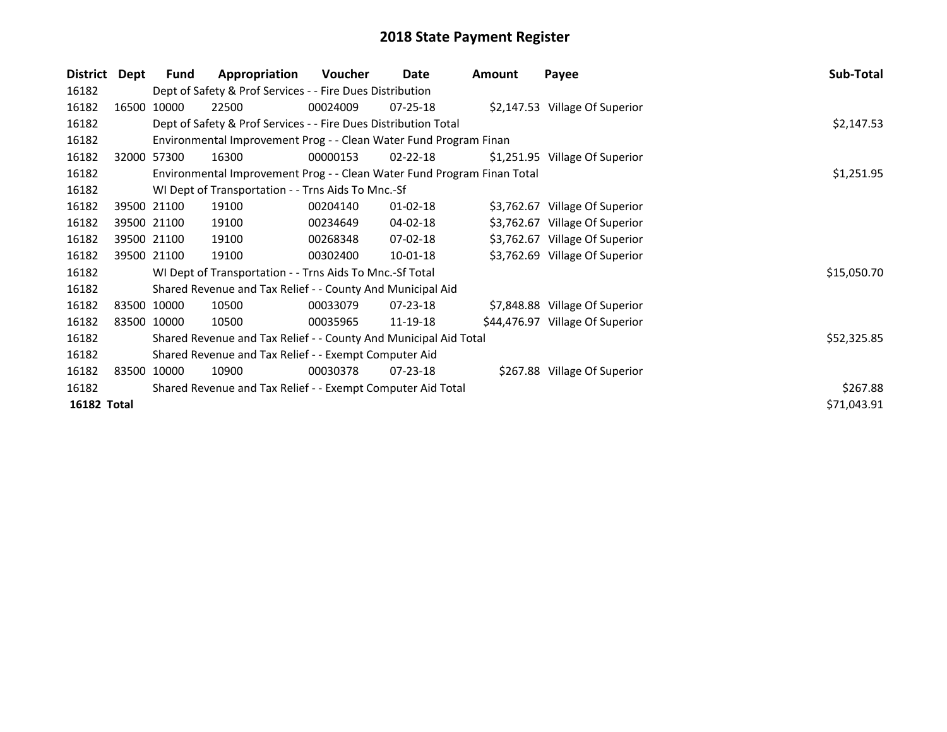| District    | Dept        | <b>Fund</b> | Appropriation                                                           | Voucher  | Date           | <b>Amount</b> | Payee                           | Sub-Total   |
|-------------|-------------|-------------|-------------------------------------------------------------------------|----------|----------------|---------------|---------------------------------|-------------|
| 16182       |             |             | Dept of Safety & Prof Services - - Fire Dues Distribution               |          |                |               |                                 |             |
| 16182       |             | 16500 10000 | 22500                                                                   | 00024009 | $07 - 25 - 18$ |               | \$2,147.53 Village Of Superior  |             |
| 16182       |             |             | Dept of Safety & Prof Services - - Fire Dues Distribution Total         |          |                |               |                                 | \$2,147.53  |
| 16182       |             |             | Environmental Improvement Prog - - Clean Water Fund Program Finan       |          |                |               |                                 |             |
| 16182       |             | 32000 57300 | 16300                                                                   | 00000153 | $02 - 22 - 18$ |               | \$1,251.95 Village Of Superior  |             |
| 16182       |             |             | Environmental Improvement Prog - - Clean Water Fund Program Finan Total |          |                |               |                                 | \$1,251.95  |
| 16182       |             |             | WI Dept of Transportation - - Trns Aids To Mnc.-Sf                      |          |                |               |                                 |             |
| 16182       |             | 39500 21100 | 19100                                                                   | 00204140 | $01 - 02 - 18$ |               | \$3,762.67 Village Of Superior  |             |
| 16182       |             | 39500 21100 | 19100                                                                   | 00234649 | 04-02-18       |               | \$3,762.67 Village Of Superior  |             |
| 16182       |             | 39500 21100 | 19100                                                                   | 00268348 | 07-02-18       |               | \$3,762.67 Village Of Superior  |             |
| 16182       | 39500 21100 |             | 19100                                                                   | 00302400 | 10-01-18       |               | \$3,762.69 Village Of Superior  |             |
| 16182       |             |             | WI Dept of Transportation - - Trns Aids To Mnc.-Sf Total                |          |                |               |                                 | \$15,050.70 |
| 16182       |             |             | Shared Revenue and Tax Relief - - County And Municipal Aid              |          |                |               |                                 |             |
| 16182       |             | 83500 10000 | 10500                                                                   | 00033079 | 07-23-18       |               | \$7,848.88 Village Of Superior  |             |
| 16182       | 83500 10000 |             | 10500                                                                   | 00035965 | 11-19-18       |               | \$44,476.97 Village Of Superior |             |
| 16182       |             |             | Shared Revenue and Tax Relief - - County And Municipal Aid Total        |          |                |               |                                 | \$52,325.85 |
| 16182       |             |             | Shared Revenue and Tax Relief - - Exempt Computer Aid                   |          |                |               |                                 |             |
| 16182       |             | 83500 10000 | 10900                                                                   | 00030378 | 07-23-18       |               | \$267.88 Village Of Superior    |             |
| 16182       |             |             | Shared Revenue and Tax Relief - - Exempt Computer Aid Total             | \$267.88 |                |               |                                 |             |
| 16182 Total |             |             |                                                                         |          |                |               |                                 | \$71,043.91 |
|             |             |             |                                                                         |          |                |               |                                 |             |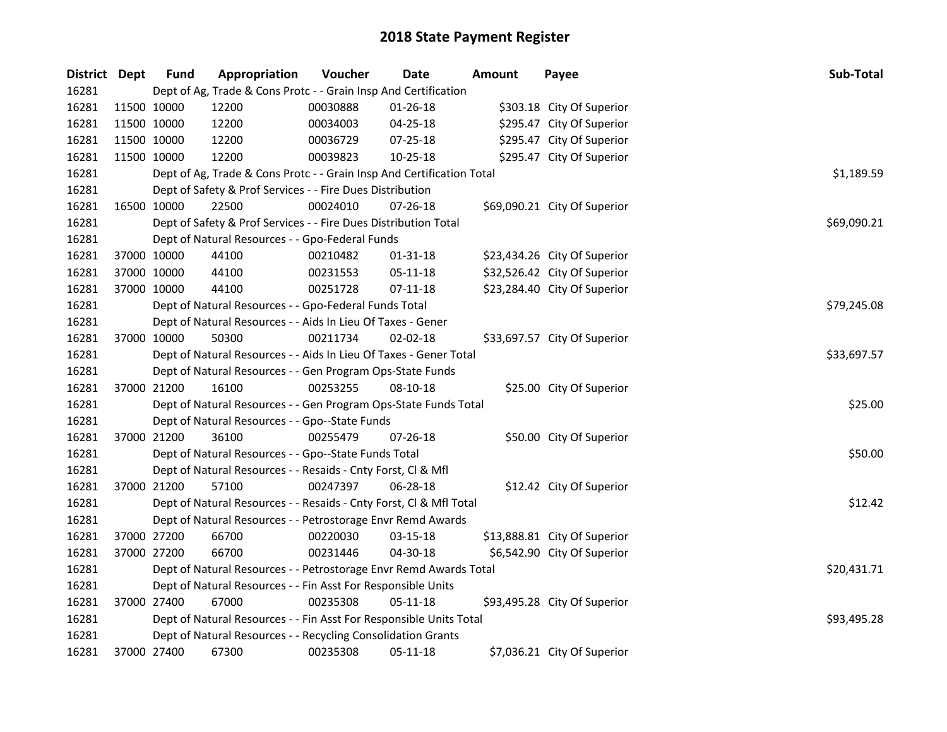| District Dept |             | <b>Fund</b> | Appropriation                                                         | Voucher  | <b>Date</b>    | <b>Amount</b> | Payee                        | Sub-Total   |
|---------------|-------------|-------------|-----------------------------------------------------------------------|----------|----------------|---------------|------------------------------|-------------|
| 16281         |             |             | Dept of Ag, Trade & Cons Protc - - Grain Insp And Certification       |          |                |               |                              |             |
| 16281         | 11500 10000 |             | 12200                                                                 | 00030888 | $01 - 26 - 18$ |               | \$303.18 City Of Superior    |             |
| 16281         |             | 11500 10000 | 12200                                                                 | 00034003 | 04-25-18       |               | \$295.47 City Of Superior    |             |
| 16281         |             | 11500 10000 | 12200                                                                 | 00036729 | 07-25-18       |               | \$295.47 City Of Superior    |             |
| 16281         | 11500 10000 |             | 12200                                                                 | 00039823 | 10-25-18       |               | \$295.47 City Of Superior    |             |
| 16281         |             |             | Dept of Ag, Trade & Cons Protc - - Grain Insp And Certification Total |          |                |               |                              | \$1,189.59  |
| 16281         |             |             | Dept of Safety & Prof Services - - Fire Dues Distribution             |          |                |               |                              |             |
| 16281         |             | 16500 10000 | 22500                                                                 | 00024010 | 07-26-18       |               | \$69,090.21 City Of Superior |             |
| 16281         |             |             | Dept of Safety & Prof Services - - Fire Dues Distribution Total       |          |                |               |                              | \$69,090.21 |
| 16281         |             |             | Dept of Natural Resources - - Gpo-Federal Funds                       |          |                |               |                              |             |
| 16281         |             | 37000 10000 | 44100                                                                 | 00210482 | 01-31-18       |               | \$23,434.26 City Of Superior |             |
| 16281         |             | 37000 10000 | 44100                                                                 | 00231553 | 05-11-18       |               | \$32,526.42 City Of Superior |             |
| 16281         | 37000 10000 |             | 44100                                                                 | 00251728 | $07-11-18$     |               | \$23,284.40 City Of Superior |             |
| 16281         |             |             | Dept of Natural Resources - - Gpo-Federal Funds Total                 |          |                |               |                              | \$79,245.08 |
| 16281         |             |             | Dept of Natural Resources - - Aids In Lieu Of Taxes - Gener           |          |                |               |                              |             |
| 16281         | 37000 10000 |             | 50300                                                                 | 00211734 | $02 - 02 - 18$ |               | \$33,697.57 City Of Superior |             |
| 16281         |             |             | Dept of Natural Resources - - Aids In Lieu Of Taxes - Gener Total     |          | \$33,697.57    |               |                              |             |
| 16281         |             |             | Dept of Natural Resources - - Gen Program Ops-State Funds             |          |                |               |                              |             |
| 16281         | 37000 21200 |             | 16100                                                                 | 00253255 | 08-10-18       |               | \$25.00 City Of Superior     |             |
| 16281         |             |             | Dept of Natural Resources - - Gen Program Ops-State Funds Total       |          |                |               |                              | \$25.00     |
| 16281         |             |             | Dept of Natural Resources - - Gpo--State Funds                        |          |                |               |                              |             |
| 16281         | 37000 21200 |             | 36100                                                                 | 00255479 | 07-26-18       |               | \$50.00 City Of Superior     |             |
| 16281         |             |             | Dept of Natural Resources - - Gpo--State Funds Total                  |          |                |               |                              | \$50.00     |
| 16281         |             |             | Dept of Natural Resources - - Resaids - Cnty Forst, Cl & Mfl          |          |                |               |                              |             |
| 16281         | 37000 21200 |             | 57100                                                                 | 00247397 | 06-28-18       |               | \$12.42 City Of Superior     |             |
| 16281         |             |             | Dept of Natural Resources - - Resaids - Cnty Forst, CI & Mfl Total    |          |                |               |                              | \$12.42     |
| 16281         |             |             | Dept of Natural Resources - - Petrostorage Envr Remd Awards           |          |                |               |                              |             |
| 16281         |             | 37000 27200 | 66700                                                                 | 00220030 | 03-15-18       |               | \$13,888.81 City Of Superior |             |
| 16281         | 37000 27200 |             | 66700                                                                 | 00231446 | 04-30-18       |               | \$6,542.90 City Of Superior  |             |
| 16281         |             |             | Dept of Natural Resources - - Petrostorage Envr Remd Awards Total     |          |                |               |                              | \$20,431.71 |
| 16281         |             |             | Dept of Natural Resources - - Fin Asst For Responsible Units          |          |                |               |                              |             |
| 16281         |             | 37000 27400 | 67000                                                                 | 00235308 | $05 - 11 - 18$ |               | \$93,495.28 City Of Superior |             |
| 16281         |             |             | Dept of Natural Resources - - Fin Asst For Responsible Units Total    |          |                |               |                              | \$93,495.28 |
| 16281         |             |             | Dept of Natural Resources - - Recycling Consolidation Grants          |          |                |               |                              |             |
| 16281         |             | 37000 27400 | 67300                                                                 | 00235308 | 05-11-18       |               | \$7,036.21 City Of Superior  |             |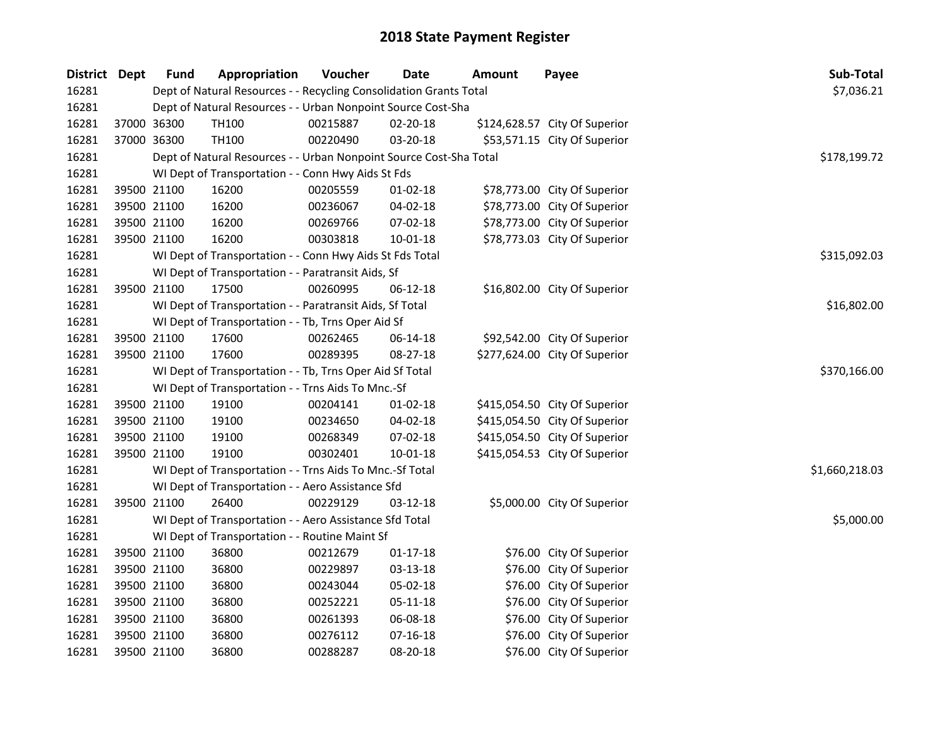| District Dept | <b>Fund</b> | Appropriation                                                      | Voucher  | <b>Date</b>    | <b>Amount</b> | Payee                         | Sub-Total      |
|---------------|-------------|--------------------------------------------------------------------|----------|----------------|---------------|-------------------------------|----------------|
| 16281         |             | Dept of Natural Resources - - Recycling Consolidation Grants Total |          |                |               |                               | \$7,036.21     |
| 16281         |             | Dept of Natural Resources - - Urban Nonpoint Source Cost-Sha       |          |                |               |                               |                |
| 16281         | 37000 36300 | TH100                                                              | 00215887 | 02-20-18       |               | \$124,628.57 City Of Superior |                |
| 16281         | 37000 36300 | TH100                                                              | 00220490 | 03-20-18       |               | \$53,571.15 City Of Superior  |                |
| 16281         |             | Dept of Natural Resources - - Urban Nonpoint Source Cost-Sha Total |          |                |               |                               | \$178,199.72   |
| 16281         |             | WI Dept of Transportation - - Conn Hwy Aids St Fds                 |          |                |               |                               |                |
| 16281         | 39500 21100 | 16200                                                              | 00205559 | $01 - 02 - 18$ |               | \$78,773.00 City Of Superior  |                |
| 16281         | 39500 21100 | 16200                                                              | 00236067 | 04-02-18       |               | \$78,773.00 City Of Superior  |                |
| 16281         | 39500 21100 | 16200                                                              | 00269766 | 07-02-18       |               | \$78,773.00 City Of Superior  |                |
| 16281         | 39500 21100 | 16200                                                              | 00303818 | $10 - 01 - 18$ |               | \$78,773.03 City Of Superior  |                |
| 16281         |             | WI Dept of Transportation - - Conn Hwy Aids St Fds Total           |          |                |               |                               | \$315,092.03   |
| 16281         |             | WI Dept of Transportation - - Paratransit Aids, Sf                 |          |                |               |                               |                |
| 16281         | 39500 21100 | 17500                                                              | 00260995 | 06-12-18       |               | \$16,802.00 City Of Superior  |                |
| 16281         |             | WI Dept of Transportation - - Paratransit Aids, Sf Total           |          |                |               |                               | \$16,802.00    |
| 16281         |             | WI Dept of Transportation - - Tb, Trns Oper Aid Sf                 |          |                |               |                               |                |
| 16281         | 39500 21100 | 17600                                                              | 00262465 | 06-14-18       |               | \$92,542.00 City Of Superior  |                |
| 16281         | 39500 21100 | 17600                                                              | 00289395 | 08-27-18       |               | \$277,624.00 City Of Superior |                |
| 16281         |             | WI Dept of Transportation - - Tb, Trns Oper Aid Sf Total           |          |                |               |                               | \$370,166.00   |
| 16281         |             | WI Dept of Transportation - - Trns Aids To Mnc.-Sf                 |          |                |               |                               |                |
| 16281         | 39500 21100 | 19100                                                              | 00204141 | $01 - 02 - 18$ |               | \$415,054.50 City Of Superior |                |
| 16281         | 39500 21100 | 19100                                                              | 00234650 | $04 - 02 - 18$ |               | \$415,054.50 City Of Superior |                |
| 16281         | 39500 21100 | 19100                                                              | 00268349 | 07-02-18       |               | \$415,054.50 City Of Superior |                |
| 16281         | 39500 21100 | 19100                                                              | 00302401 | $10 - 01 - 18$ |               | \$415,054.53 City Of Superior |                |
| 16281         |             | WI Dept of Transportation - - Trns Aids To Mnc.-Sf Total           |          |                |               |                               | \$1,660,218.03 |
| 16281         |             | WI Dept of Transportation - - Aero Assistance Sfd                  |          |                |               |                               |                |
| 16281         | 39500 21100 | 26400                                                              | 00229129 | 03-12-18       |               | \$5,000.00 City Of Superior   |                |
| 16281         |             | WI Dept of Transportation - - Aero Assistance Sfd Total            |          |                |               |                               | \$5,000.00     |
| 16281         |             | WI Dept of Transportation - - Routine Maint Sf                     |          |                |               |                               |                |
| 16281         | 39500 21100 | 36800                                                              | 00212679 | $01-17-18$     |               | \$76.00 City Of Superior      |                |
| 16281         | 39500 21100 | 36800                                                              | 00229897 | 03-13-18       |               | \$76.00 City Of Superior      |                |
| 16281         | 39500 21100 | 36800                                                              | 00243044 | 05-02-18       |               | \$76.00 City Of Superior      |                |
| 16281         | 39500 21100 | 36800                                                              | 00252221 | 05-11-18       |               | \$76.00 City Of Superior      |                |
| 16281         | 39500 21100 | 36800                                                              | 00261393 | 06-08-18       |               | \$76.00 City Of Superior      |                |
| 16281         | 39500 21100 | 36800                                                              | 00276112 | $07 - 16 - 18$ |               | \$76.00 City Of Superior      |                |
| 16281         | 39500 21100 | 36800                                                              | 00288287 | 08-20-18       |               | \$76.00 City Of Superior      |                |
|               |             |                                                                    |          |                |               |                               |                |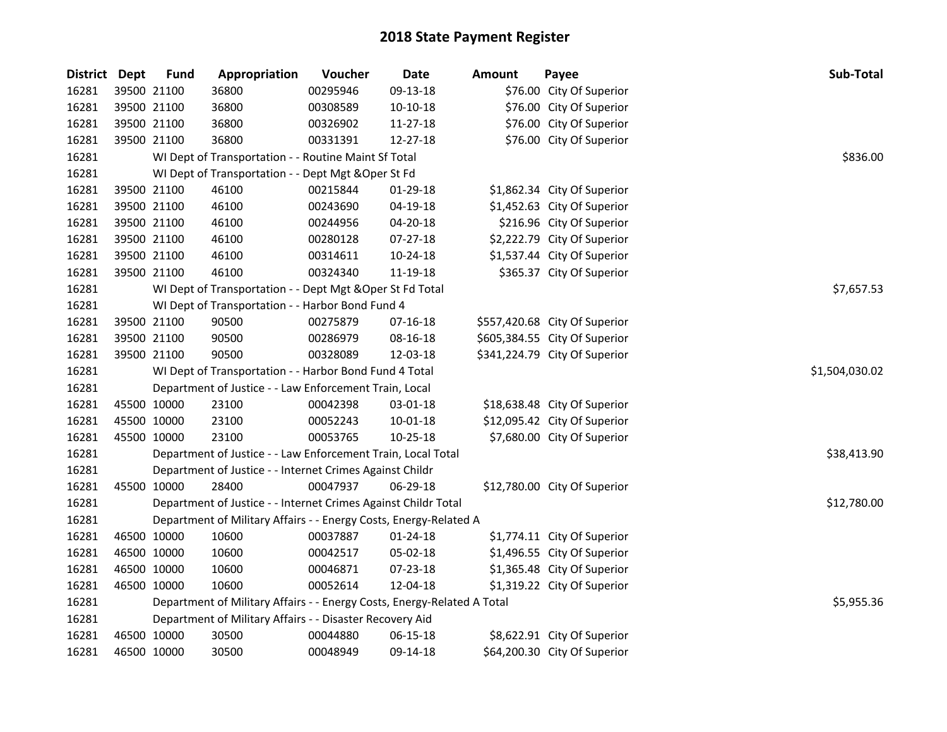| District Dept |             | <b>Fund</b> | Appropriation                                                           | Voucher  | Date           | <b>Amount</b> | Payee                         | Sub-Total      |
|---------------|-------------|-------------|-------------------------------------------------------------------------|----------|----------------|---------------|-------------------------------|----------------|
| 16281         |             | 39500 21100 | 36800                                                                   | 00295946 | 09-13-18       |               | \$76.00 City Of Superior      |                |
| 16281         |             | 39500 21100 | 36800                                                                   | 00308589 | $10-10-18$     |               | \$76.00 City Of Superior      |                |
| 16281         | 39500 21100 |             | 36800                                                                   | 00326902 | 11-27-18       |               | \$76.00 City Of Superior      |                |
| 16281         | 39500 21100 |             | 36800                                                                   | 00331391 | 12-27-18       |               | \$76.00 City Of Superior      |                |
| 16281         |             |             | WI Dept of Transportation - - Routine Maint Sf Total                    |          |                |               |                               | \$836.00       |
| 16281         |             |             | WI Dept of Transportation - - Dept Mgt & Oper St Fd                     |          |                |               |                               |                |
| 16281         | 39500 21100 |             | 46100                                                                   | 00215844 | 01-29-18       |               | \$1,862.34 City Of Superior   |                |
| 16281         | 39500 21100 |             | 46100                                                                   | 00243690 | 04-19-18       |               | \$1,452.63 City Of Superior   |                |
| 16281         | 39500 21100 |             | 46100                                                                   | 00244956 | 04-20-18       |               | \$216.96 City Of Superior     |                |
| 16281         | 39500 21100 |             | 46100                                                                   | 00280128 | 07-27-18       |               | \$2,222.79 City Of Superior   |                |
| 16281         |             | 39500 21100 | 46100                                                                   | 00314611 | 10-24-18       |               | \$1,537.44 City Of Superior   |                |
| 16281         |             | 39500 21100 | 46100                                                                   | 00324340 | 11-19-18       |               | \$365.37 City Of Superior     |                |
| 16281         |             |             | WI Dept of Transportation - - Dept Mgt & Oper St Fd Total               |          |                |               |                               | \$7,657.53     |
| 16281         |             |             | WI Dept of Transportation - - Harbor Bond Fund 4                        |          |                |               |                               |                |
| 16281         |             | 39500 21100 | 90500                                                                   | 00275879 | $07 - 16 - 18$ |               | \$557,420.68 City Of Superior |                |
| 16281         |             | 39500 21100 | 90500                                                                   | 00286979 | 08-16-18       |               | \$605,384.55 City Of Superior |                |
| 16281         |             | 39500 21100 | 90500                                                                   | 00328089 | 12-03-18       |               | \$341,224.79 City Of Superior |                |
| 16281         |             |             | WI Dept of Transportation - - Harbor Bond Fund 4 Total                  |          |                |               |                               | \$1,504,030.02 |
| 16281         |             |             | Department of Justice - - Law Enforcement Train, Local                  |          |                |               |                               |                |
| 16281         | 45500 10000 |             | 23100                                                                   | 00042398 | 03-01-18       |               | \$18,638.48 City Of Superior  |                |
| 16281         | 45500 10000 |             | 23100                                                                   | 00052243 | 10-01-18       |               | \$12,095.42 City Of Superior  |                |
| 16281         | 45500 10000 |             | 23100                                                                   | 00053765 | 10-25-18       |               | \$7,680.00 City Of Superior   |                |
| 16281         |             |             | Department of Justice - - Law Enforcement Train, Local Total            |          |                |               |                               | \$38,413.90    |
| 16281         |             |             | Department of Justice - - Internet Crimes Against Childr                |          |                |               |                               |                |
| 16281         | 45500 10000 |             | 28400                                                                   | 00047937 | 06-29-18       |               | \$12,780.00 City Of Superior  |                |
| 16281         |             |             | Department of Justice - - Internet Crimes Against Childr Total          |          |                |               |                               | \$12,780.00    |
| 16281         |             |             | Department of Military Affairs - - Energy Costs, Energy-Related A       |          |                |               |                               |                |
| 16281         | 46500 10000 |             | 10600                                                                   | 00037887 | $01 - 24 - 18$ |               | \$1,774.11 City Of Superior   |                |
| 16281         | 46500 10000 |             | 10600                                                                   | 00042517 | 05-02-18       |               | \$1,496.55 City Of Superior   |                |
| 16281         | 46500 10000 |             | 10600                                                                   | 00046871 | 07-23-18       |               | \$1,365.48 City Of Superior   |                |
| 16281         | 46500 10000 |             | 10600                                                                   | 00052614 | 12-04-18       |               | \$1,319.22 City Of Superior   |                |
| 16281         |             |             | Department of Military Affairs - - Energy Costs, Energy-Related A Total |          |                |               |                               | \$5,955.36     |
| 16281         |             |             | Department of Military Affairs - - Disaster Recovery Aid                |          |                |               |                               |                |
| 16281         |             | 46500 10000 | 30500                                                                   | 00044880 | 06-15-18       |               | \$8,622.91 City Of Superior   |                |
| 16281         | 46500 10000 |             | 30500                                                                   | 00048949 | 09-14-18       |               | \$64,200.30 City Of Superior  |                |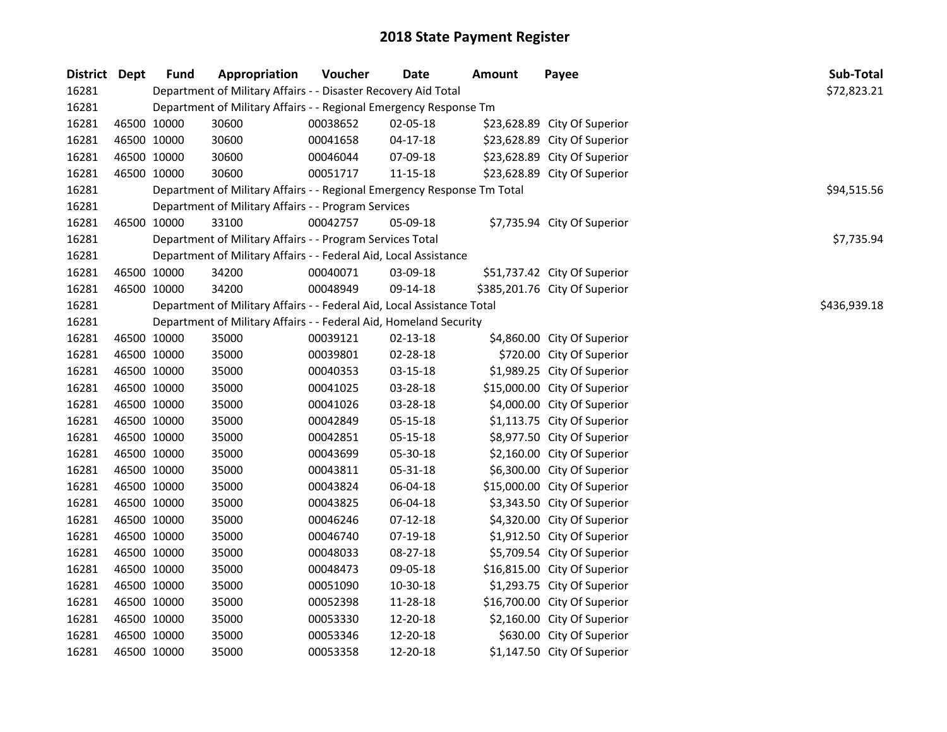| District Dept |             | <b>Fund</b>                                                       | Appropriation                                                           | Voucher     | Date           | <b>Amount</b> | Payee                         | Sub-Total    |
|---------------|-------------|-------------------------------------------------------------------|-------------------------------------------------------------------------|-------------|----------------|---------------|-------------------------------|--------------|
| 16281         |             |                                                                   | Department of Military Affairs - - Disaster Recovery Aid Total          | \$72,823.21 |                |               |                               |              |
| 16281         |             | Department of Military Affairs - - Regional Emergency Response Tm |                                                                         |             |                |               |                               |              |
| 16281         | 46500 10000 |                                                                   | 30600                                                                   | 00038652    | 02-05-18       |               | \$23,628.89 City Of Superior  |              |
| 16281         | 46500 10000 |                                                                   | 30600                                                                   | 00041658    | $04 - 17 - 18$ |               | \$23,628.89 City Of Superior  |              |
| 16281         | 46500 10000 |                                                                   | 30600                                                                   | 00046044    | 07-09-18       |               | \$23,628.89 City Of Superior  |              |
| 16281         | 46500 10000 |                                                                   | 30600                                                                   | 00051717    | 11-15-18       |               | \$23,628.89 City Of Superior  |              |
| 16281         |             |                                                                   | Department of Military Affairs - - Regional Emergency Response Tm Total | \$94,515.56 |                |               |                               |              |
| 16281         |             |                                                                   | Department of Military Affairs - - Program Services                     |             |                |               |                               |              |
| 16281         |             | 46500 10000                                                       | 33100                                                                   | 00042757    | 05-09-18       |               | \$7,735.94 City Of Superior   |              |
| 16281         |             |                                                                   | Department of Military Affairs - - Program Services Total               |             |                |               |                               | \$7,735.94   |
| 16281         |             |                                                                   | Department of Military Affairs - - Federal Aid, Local Assistance        |             |                |               |                               |              |
| 16281         |             | 46500 10000                                                       | 34200                                                                   | 00040071    | 03-09-18       |               | \$51,737.42 City Of Superior  |              |
| 16281         | 46500 10000 |                                                                   | 34200                                                                   | 00048949    | 09-14-18       |               | \$385,201.76 City Of Superior |              |
| 16281         |             |                                                                   | Department of Military Affairs - - Federal Aid, Local Assistance Total  |             |                |               |                               | \$436,939.18 |
| 16281         |             |                                                                   | Department of Military Affairs - - Federal Aid, Homeland Security       |             |                |               |                               |              |
| 16281         | 46500 10000 |                                                                   | 35000                                                                   | 00039121    | $02 - 13 - 18$ |               | \$4,860.00 City Of Superior   |              |
| 16281         | 46500 10000 |                                                                   | 35000                                                                   | 00039801    | 02-28-18       |               | \$720.00 City Of Superior     |              |
| 16281         | 46500 10000 |                                                                   | 35000                                                                   | 00040353    | 03-15-18       |               | \$1,989.25 City Of Superior   |              |
| 16281         | 46500 10000 |                                                                   | 35000                                                                   | 00041025    | 03-28-18       |               | \$15,000.00 City Of Superior  |              |
| 16281         | 46500 10000 |                                                                   | 35000                                                                   | 00041026    | 03-28-18       |               | \$4,000.00 City Of Superior   |              |
| 16281         | 46500 10000 |                                                                   | 35000                                                                   | 00042849    | 05-15-18       |               | \$1,113.75 City Of Superior   |              |
| 16281         | 46500 10000 |                                                                   | 35000                                                                   | 00042851    | 05-15-18       |               | \$8,977.50 City Of Superior   |              |
| 16281         | 46500 10000 |                                                                   | 35000                                                                   | 00043699    | 05-30-18       |               | \$2,160.00 City Of Superior   |              |
| 16281         | 46500 10000 |                                                                   | 35000                                                                   | 00043811    | 05-31-18       |               | \$6,300.00 City Of Superior   |              |
| 16281         | 46500 10000 |                                                                   | 35000                                                                   | 00043824    | 06-04-18       |               | \$15,000.00 City Of Superior  |              |
| 16281         | 46500 10000 |                                                                   | 35000                                                                   | 00043825    | 06-04-18       |               | \$3,343.50 City Of Superior   |              |
| 16281         | 46500 10000 |                                                                   | 35000                                                                   | 00046246    | $07-12-18$     |               | \$4,320.00 City Of Superior   |              |
| 16281         | 46500 10000 |                                                                   | 35000                                                                   | 00046740    | 07-19-18       |               | \$1,912.50 City Of Superior   |              |
| 16281         | 46500 10000 |                                                                   | 35000                                                                   | 00048033    | 08-27-18       |               | \$5,709.54 City Of Superior   |              |
| 16281         | 46500 10000 |                                                                   | 35000                                                                   | 00048473    | 09-05-18       |               | \$16,815.00 City Of Superior  |              |
| 16281         | 46500 10000 |                                                                   | 35000                                                                   | 00051090    | 10-30-18       |               | \$1,293.75 City Of Superior   |              |
| 16281         | 46500 10000 |                                                                   | 35000                                                                   | 00052398    | 11-28-18       |               | \$16,700.00 City Of Superior  |              |
| 16281         | 46500 10000 |                                                                   | 35000                                                                   | 00053330    | 12-20-18       |               | \$2,160.00 City Of Superior   |              |
| 16281         | 46500 10000 |                                                                   | 35000                                                                   | 00053346    | 12-20-18       |               | \$630.00 City Of Superior     |              |
| 16281         | 46500 10000 |                                                                   | 35000                                                                   | 00053358    | 12-20-18       |               | \$1,147.50 City Of Superior   |              |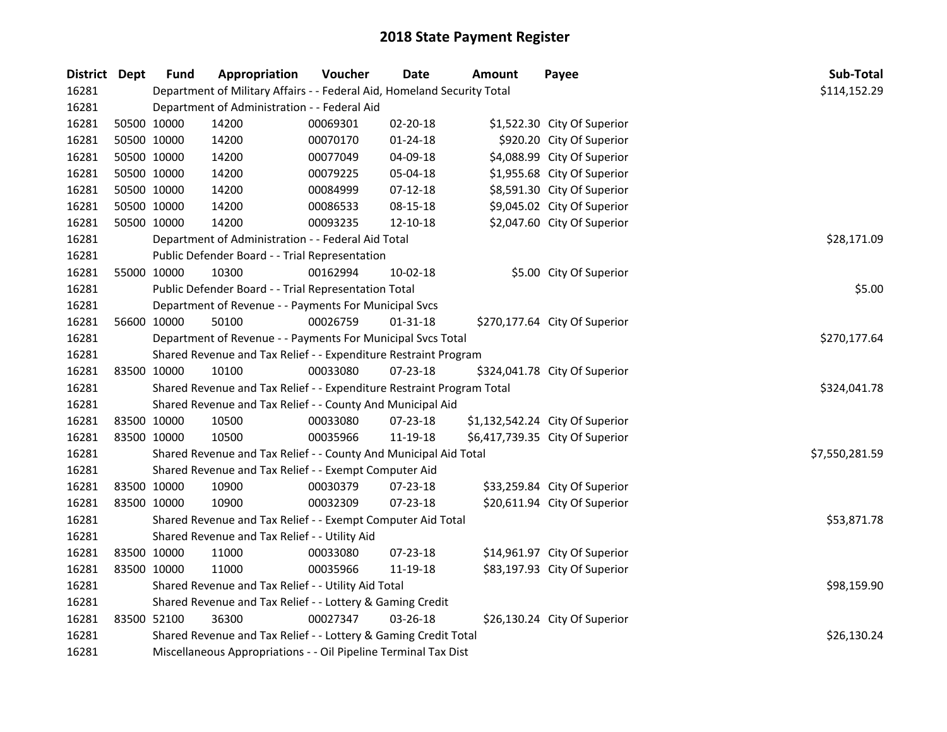| District Dept |             | Fund                                                                    | Appropriation                                                         | Voucher        | <b>Date</b>    | <b>Amount</b> | Payee                           | Sub-Total |
|---------------|-------------|-------------------------------------------------------------------------|-----------------------------------------------------------------------|----------------|----------------|---------------|---------------------------------|-----------|
| 16281         |             | Department of Military Affairs - - Federal Aid, Homeland Security Total | \$114,152.29                                                          |                |                |               |                                 |           |
| 16281         |             |                                                                         | Department of Administration - - Federal Aid                          |                |                |               |                                 |           |
| 16281         | 50500 10000 |                                                                         | 14200                                                                 | 00069301       | 02-20-18       |               | \$1,522.30 City Of Superior     |           |
| 16281         |             | 50500 10000                                                             | 14200                                                                 | 00070170       | $01 - 24 - 18$ |               | \$920.20 City Of Superior       |           |
| 16281         |             | 50500 10000                                                             | 14200                                                                 | 00077049       | 04-09-18       |               | \$4,088.99 City Of Superior     |           |
| 16281         |             | 50500 10000                                                             | 14200                                                                 | 00079225       | 05-04-18       |               | \$1,955.68 City Of Superior     |           |
| 16281         |             | 50500 10000                                                             | 14200                                                                 | 00084999       | 07-12-18       |               | \$8,591.30 City Of Superior     |           |
| 16281         |             | 50500 10000                                                             | 14200                                                                 | 00086533       | 08-15-18       |               | \$9,045.02 City Of Superior     |           |
| 16281         | 50500 10000 |                                                                         | 14200                                                                 | 00093235       | 12-10-18       |               | \$2,047.60 City Of Superior     |           |
| 16281         |             |                                                                         | Department of Administration - - Federal Aid Total                    | \$28,171.09    |                |               |                                 |           |
| 16281         |             |                                                                         | Public Defender Board - - Trial Representation                        |                |                |               |                                 |           |
| 16281         |             | 55000 10000                                                             | 10300                                                                 | 00162994       | $10 - 02 - 18$ |               | \$5.00 City Of Superior         |           |
| 16281         |             |                                                                         | Public Defender Board - - Trial Representation Total                  |                |                |               |                                 | \$5.00    |
| 16281         |             |                                                                         | Department of Revenue - - Payments For Municipal Svcs                 |                |                |               |                                 |           |
| 16281         | 56600 10000 |                                                                         | 50100                                                                 | 00026759       | 01-31-18       |               | \$270,177.64 City Of Superior   |           |
| 16281         |             |                                                                         | Department of Revenue - - Payments For Municipal Svcs Total           | \$270,177.64   |                |               |                                 |           |
| 16281         |             |                                                                         | Shared Revenue and Tax Relief - - Expenditure Restraint Program       |                |                |               |                                 |           |
| 16281         | 83500 10000 |                                                                         | 10100                                                                 | 00033080       | 07-23-18       |               | \$324,041.78 City Of Superior   |           |
| 16281         |             |                                                                         | Shared Revenue and Tax Relief - - Expenditure Restraint Program Total | \$324,041.78   |                |               |                                 |           |
| 16281         |             |                                                                         | Shared Revenue and Tax Relief - - County And Municipal Aid            |                |                |               |                                 |           |
| 16281         | 83500 10000 |                                                                         | 10500                                                                 | 00033080       | 07-23-18       |               | \$1,132,542.24 City Of Superior |           |
| 16281         | 83500 10000 |                                                                         | 10500                                                                 | 00035966       | 11-19-18       |               | \$6,417,739.35 City Of Superior |           |
| 16281         |             |                                                                         | Shared Revenue and Tax Relief - - County And Municipal Aid Total      | \$7,550,281.59 |                |               |                                 |           |
| 16281         |             |                                                                         | Shared Revenue and Tax Relief - - Exempt Computer Aid                 |                |                |               |                                 |           |
| 16281         | 83500 10000 |                                                                         | 10900                                                                 | 00030379       | 07-23-18       |               | \$33,259.84 City Of Superior    |           |
| 16281         | 83500 10000 |                                                                         | 10900                                                                 | 00032309       | 07-23-18       |               | \$20,611.94 City Of Superior    |           |
| 16281         |             |                                                                         | Shared Revenue and Tax Relief - - Exempt Computer Aid Total           | \$53,871.78    |                |               |                                 |           |
| 16281         |             |                                                                         | Shared Revenue and Tax Relief - - Utility Aid                         |                |                |               |                                 |           |
| 16281         | 83500 10000 |                                                                         | 11000                                                                 | 00033080       | 07-23-18       |               | \$14,961.97 City Of Superior    |           |
| 16281         | 83500 10000 |                                                                         | 11000                                                                 | 00035966       | 11-19-18       |               | \$83,197.93 City Of Superior    |           |
| 16281         |             | Shared Revenue and Tax Relief - - Utility Aid Total                     | \$98,159.90                                                           |                |                |               |                                 |           |
| 16281         |             | Shared Revenue and Tax Relief - - Lottery & Gaming Credit               |                                                                       |                |                |               |                                 |           |
| 16281         | 83500 52100 |                                                                         | 36300                                                                 | 00027347       | 03-26-18       |               | \$26,130.24 City Of Superior    |           |
| 16281         |             | Shared Revenue and Tax Relief - - Lottery & Gaming Credit Total         |                                                                       |                |                |               |                                 |           |
| 16281         |             | Miscellaneous Appropriations - - Oil Pipeline Terminal Tax Dist         |                                                                       |                |                |               |                                 |           |